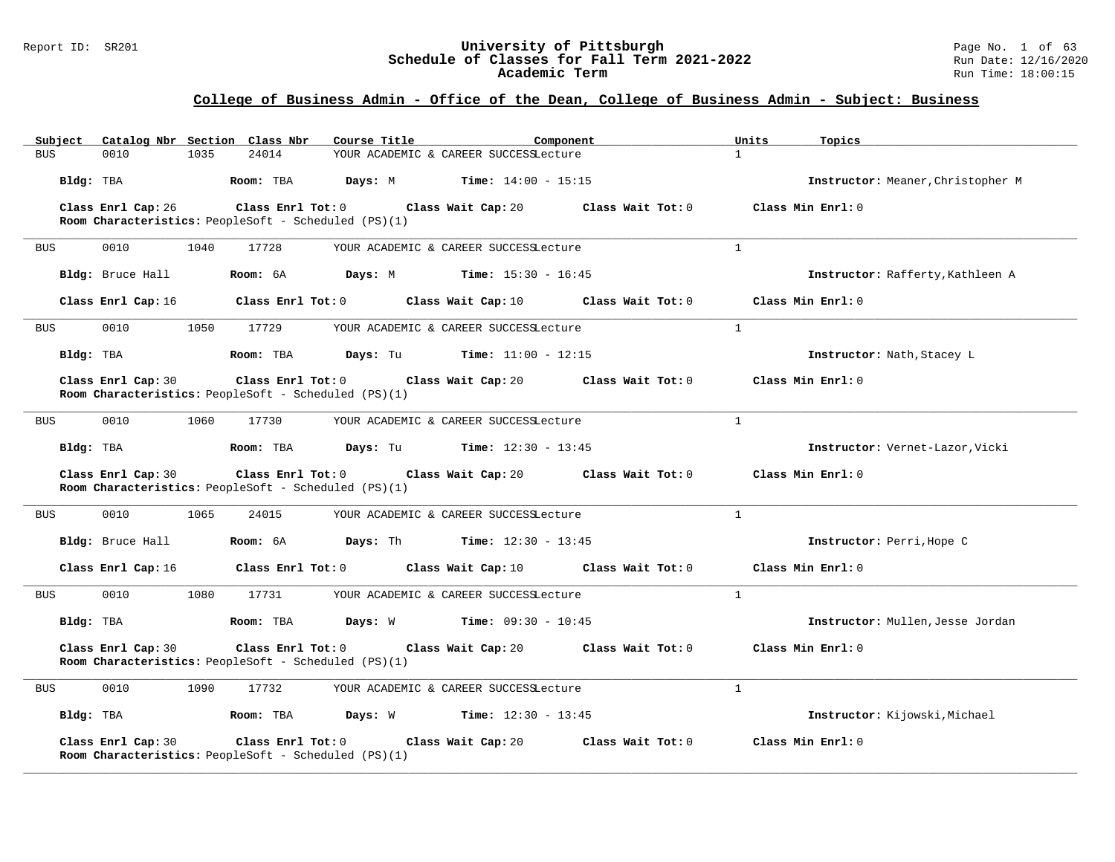#### Report ID: SR201 **University of Pittsburgh** Page No. 1 of 63 **Schedule of Classes for Fall Term 2021-2022** Run Date: 12/16/2020 **Academic Term** Run Time: 18:00:15

| Catalog Nbr Section Class Nbr<br>Subject | Course Title                                                                                 | Component                                    | Units<br>Topics                   |
|------------------------------------------|----------------------------------------------------------------------------------------------|----------------------------------------------|-----------------------------------|
| <b>BUS</b><br>0010<br>1035               | 24014                                                                                        | YOUR ACADEMIC & CAREER SUCCESSLecture        | $\mathbf{1}$                      |
| Bldg: TBA                                | Room: TBA<br>Days: M                                                                         | <b>Time:</b> $14:00 - 15:15$                 | Instructor: Meaner, Christopher M |
| Class Enrl Cap: 26                       | Class Enrl Tot: 0                                                                            | Class Wait Tot: 0<br>Class Wait Cap: 20      | Class Min Enrl: 0                 |
|                                          | Room Characteristics: PeopleSoft - Scheduled (PS)(1)                                         |                                              |                                   |
| 0010<br>1040<br><b>BUS</b>               | 17728                                                                                        | YOUR ACADEMIC & CAREER SUCCESSLecture        | $\overline{1}$                    |
| Bldg: Bruce Hall                         | Room: 6A                                                                                     | <b>Days:</b> M <b>Time:</b> $15:30 - 16:45$  | Instructor: Rafferty, Kathleen A  |
| Class Enrl Cap: 16                       | Class Enrl Tot: 0                                                                            | Class Wait Cap: 10<br>Class Wait Tot: 0      | Class Min Enrl: 0                 |
| 0010<br>1050<br><b>BUS</b>               | 17729                                                                                        | YOUR ACADEMIC & CAREER SUCCESSLecture        | $\mathbf{1}$                      |
| Bldg: TBA                                | Days: Tu<br>Room: TBA                                                                        | <b>Time:</b> $11:00 - 12:15$                 | Instructor: Nath, Stacey L        |
| Class Enrl Cap: 30                       | Class Enrl Tot: 0 Class Wait Cap: 20<br>Room Characteristics: PeopleSoft - Scheduled (PS)(1) | Class Wait Tot: 0                            | Class Min Enrl: 0                 |
| 0010<br><b>BUS</b><br>1060               | 17730                                                                                        | YOUR ACADEMIC & CAREER SUCCESSLecture        | 1                                 |
| Bldg: TBA                                | Room: TBA                                                                                    | <b>Days:</b> Tu <b>Time:</b> $12:30 - 13:45$ | Instructor: Vernet-Lazor, Vicki   |
| Class Enrl Cap: 30                       | $Class$ $Enrl$ $Tot: 0$<br>Room Characteristics: PeopleSoft - Scheduled (PS)(1)              | Class Wait Cap: 20<br>Class Wait Tot: 0      | Class Min Enrl: 0                 |
| 0010<br>1065<br><b>BUS</b>               | 24015                                                                                        | YOUR ACADEMIC & CAREER SUCCESSLecture        | $\mathbf{1}$                      |
| Bldg: Bruce Hall                         | Room: 6A                                                                                     | <b>Days:</b> Th <b>Time:</b> $12:30 - 13:45$ | Instructor: Perri, Hope C         |
| Class Enrl Cap: 16                       | Class Enrl Tot: 0                                                                            | Class Wait Cap: 10<br>Class Wait Tot: 0      | Class Min Enrl: 0                 |
| 0010<br>1080<br><b>BUS</b>               | 17731                                                                                        | YOUR ACADEMIC & CAREER SUCCESSLecture        | $\mathbf{1}$                      |
| Bldg: TBA                                | Room: TBA<br>Days: W                                                                         | <b>Time:</b> $09:30 - 10:45$                 | Instructor: Mullen, Jesse Jordan  |
| Class Enrl Cap: 30                       | Class Enrl Tot: 0 Class Wait Cap: 20<br>Room Characteristics: PeopleSoft - Scheduled (PS)(1) | Class Wait Tot: 0                            | Class Min Enrl: 0                 |
| 0010<br>1090<br><b>BUS</b>               | 17732                                                                                        | YOUR ACADEMIC & CAREER SUCCESSLecture        | $\mathbf{1}$                      |
| Bldg: TBA                                | Room: TBA                                                                                    | <b>Days:</b> W <b>Time:</b> $12:30 - 13:45$  | Instructor: Kijowski, Michael     |
| Class Enrl Cap: 30                       | Class Enrl Tot: 0<br>Room Characteristics: PeopleSoft - Scheduled (PS)(1)                    | Class Wait Cap: 20<br>Class Wait Tot: 0      | Class Min Enrl: 0                 |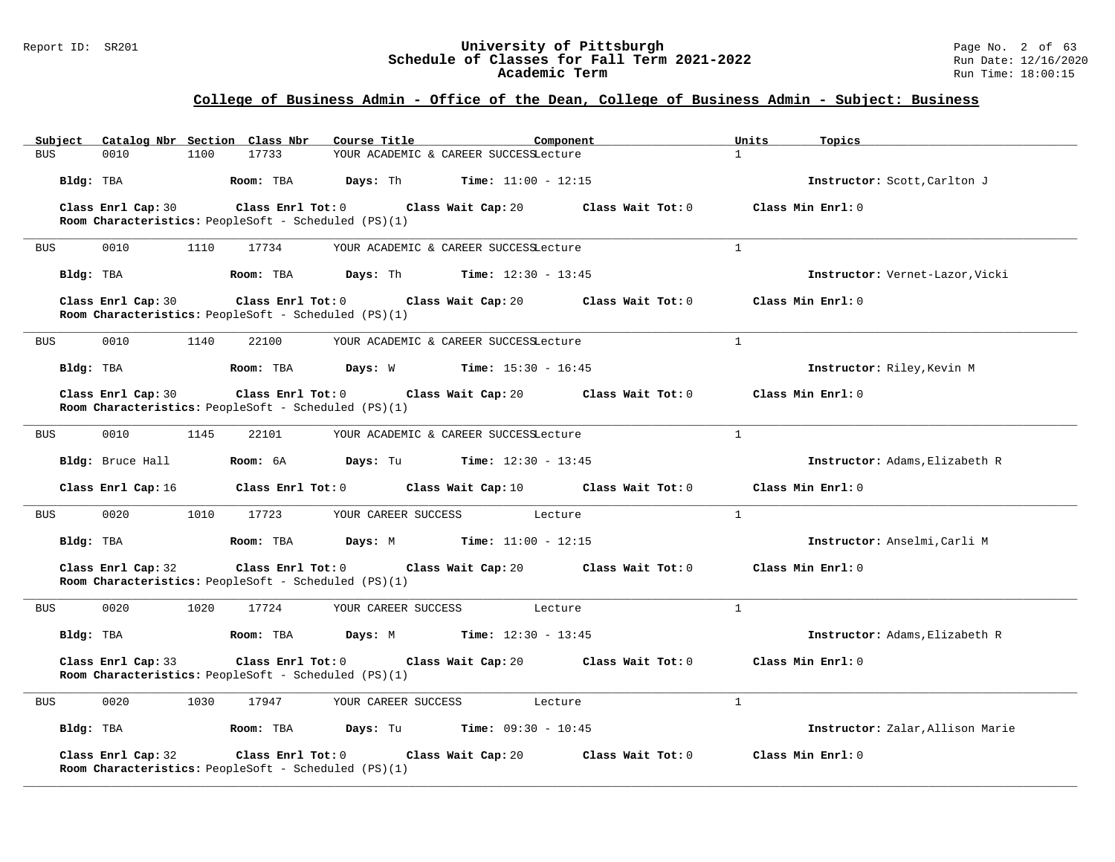#### Report ID: SR201 **University of Pittsburgh** Page No. 2 of 63 **Schedule of Classes for Fall Term 2021-2022** Run Date: 12/16/2020 **Academic Term** Run Time: 18:00:15

# **College of Business Admin - Office of the Dean, College of Business Admin - Subject: Business**

| Subject    |                    |      | Catalog Nbr Section Class Nbr                                                   | Course Title                         |                                              | Component                            | Units          | Topics                           |
|------------|--------------------|------|---------------------------------------------------------------------------------|--------------------------------------|----------------------------------------------|--------------------------------------|----------------|----------------------------------|
| <b>BUS</b> | 0010               | 1100 | 17733                                                                           |                                      | YOUR ACADEMIC & CAREER SUCCESSLecture        |                                      | $\mathbf{1}$   |                                  |
|            | Bldg: TBA          |      | Room: TBA                                                                       | Days: Th                             | Time: $11:00 - 12:15$                        |                                      |                | Instructor: Scott, Carlton J     |
|            | Class Enrl Cap: 30 |      | Class Enrl Tot: 0                                                               |                                      | Class Wait Cap: 20                           | Class Wait Tot: 0                    |                | Class Min Enrl: 0                |
|            |                    |      | Room Characteristics: PeopleSoft - Scheduled (PS)(1)                            |                                      |                                              |                                      |                |                                  |
| <b>BUS</b> | 0010               | 1110 | 17734                                                                           |                                      | YOUR ACADEMIC & CAREER SUCCESSLecture        |                                      | $\mathbf{1}$   |                                  |
|            | Bldg: TBA          |      | Room: TBA                                                                       |                                      | <b>Days:</b> Th <b>Time:</b> $12:30 - 13:45$ |                                      |                | Instructor: Vernet-Lazor, Vicki  |
|            | Class Enrl Cap: 30 |      | Room Characteristics: PeopleSoft - Scheduled (PS)(1)                            | Class Enrl Tot: 0 Class Wait Cap: 20 |                                              | Class Wait Tot: 0                    |                | Class Min Enrl: 0                |
| <b>BUS</b> | 0010               | 1140 | 22100                                                                           |                                      | YOUR ACADEMIC & CAREER SUCCESSLecture        |                                      | $\mathbf{1}$   |                                  |
|            | Bldg: TBA          |      | Room: TBA                                                                       |                                      | <b>Days:</b> W <b>Time:</b> $15:30 - 16:45$  |                                      |                | Instructor: Riley, Kevin M       |
|            | Class Enrl Cap: 30 |      | Room Characteristics: PeopleSoft - Scheduled (PS)(1)                            | Class Enrl Tot: 0 Class Wait Cap: 20 |                                              | Class Wait Tot: 0                    |                | Class Min Enrl: 0                |
| <b>BUS</b> | 0010               | 1145 | 22101                                                                           |                                      | YOUR ACADEMIC & CAREER SUCCESSLecture        |                                      | $\mathbf{1}$   |                                  |
|            | Bldg: Bruce Hall   |      | Room: 6A                                                                        | Days: Tu                             | <b>Time:</b> $12:30 - 13:45$                 |                                      |                | Instructor: Adams, Elizabeth R   |
|            | Class Enrl Cap: 16 |      | Class Enrl Tot: 0                                                               |                                      |                                              | Class Wait Cap: 10 Class Wait Tot: 0 |                | Class Min Enrl: 0                |
| <b>BUS</b> | 0020               | 1010 | 17723                                                                           | YOUR CAREER SUCCESS                  | Lecture                                      |                                      | $\mathbf{1}$   |                                  |
|            | Bldg: TBA          |      | Room: TBA                                                                       |                                      | <b>Days:</b> M <b>Time:</b> $11:00 - 12:15$  |                                      |                | Instructor: Anselmi, Carli M     |
|            | Class Enrl Cap: 32 |      | Class Enrl Tot: 0<br>Room Characteristics: PeopleSoft - Scheduled (PS)(1)       |                                      | Class Wait Cap: 20                           | Class Wait Tot: 0                    |                | Class Min Enrl: 0                |
| BUS        | 0020               | 1020 | 17724                                                                           | YOUR CAREER SUCCESS                  | Lecture                                      |                                      | $\overline{1}$ |                                  |
|            | Bldg: TBA          |      | Room: TBA                                                                       | Days: M                              | <b>Time:</b> $12:30 - 13:45$                 |                                      |                | Instructor: Adams, Elizabeth R   |
|            | Class Enrl Cap: 33 |      | Class Enrl Tot: 0<br>Room Characteristics: PeopleSoft - Scheduled (PS)(1)       |                                      | Class Wait Cap: 20                           | Class Wait Tot: 0                    |                | Class Min Enrl: 0                |
| <b>BUS</b> | 0020               | 1030 | 17947                                                                           | YOUR CAREER SUCCESS                  | Lecture                                      |                                      | $\mathbf{1}$   |                                  |
|            | Bldg: TBA          |      | Room: TBA                                                                       | Days: Tu                             | <b>Time:</b> $09:30 - 10:45$                 |                                      |                | Instructor: Zalar, Allison Marie |
|            | Class Enrl Cap: 32 |      | $Class$ $Enr1$ $Tot: 0$<br>Room Characteristics: PeopleSoft - Scheduled (PS)(1) |                                      | Class Wait Cap: 20                           | Class Wait Tot: 0                    |                | Class Min Enrl: 0                |

**\_\_\_\_\_\_\_\_\_\_\_\_\_\_\_\_\_\_\_\_\_\_\_\_\_\_\_\_\_\_\_\_\_\_\_\_\_\_\_\_\_\_\_\_\_\_\_\_\_\_\_\_\_\_\_\_\_\_\_\_\_\_\_\_\_\_\_\_\_\_\_\_\_\_\_\_\_\_\_\_\_\_\_\_\_\_\_\_\_\_\_\_\_\_\_\_\_\_\_\_\_\_\_\_\_\_\_\_\_\_\_\_\_\_\_\_\_\_\_\_\_\_\_\_\_\_\_\_\_\_\_\_\_\_\_\_\_\_\_\_\_\_\_\_\_\_\_\_\_\_\_\_\_\_\_\_**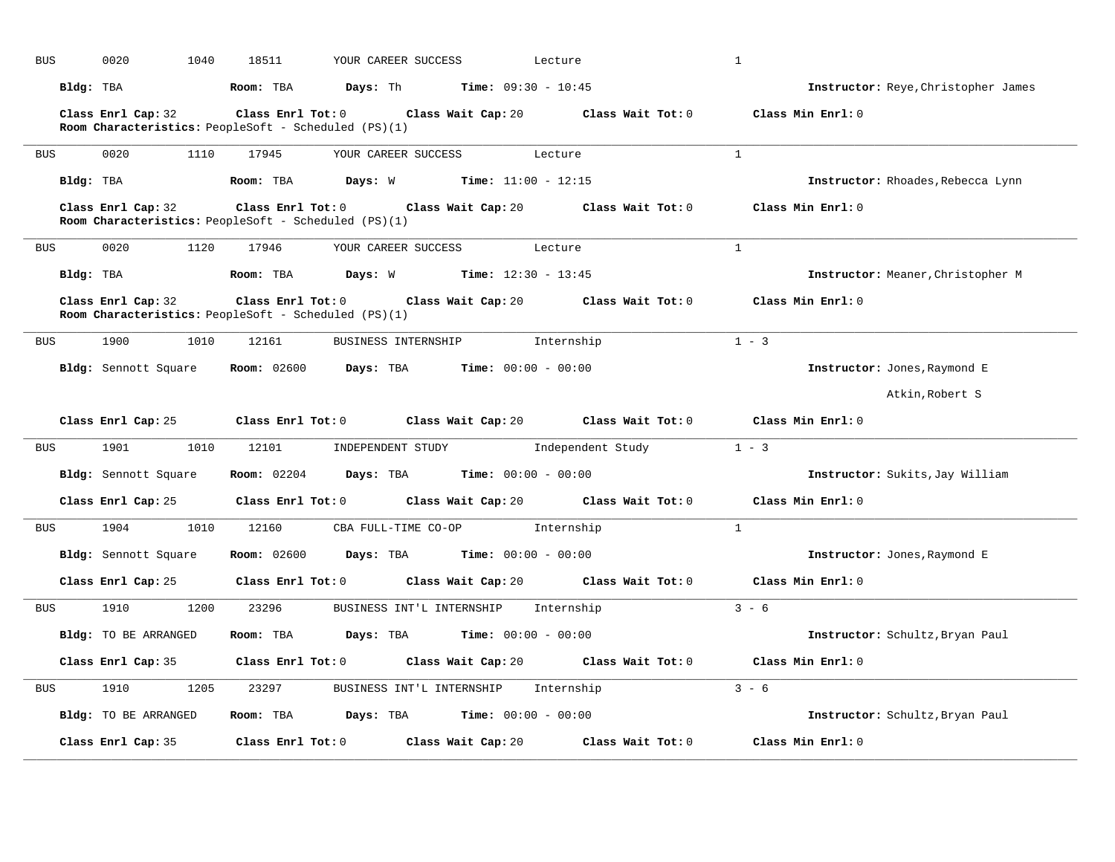| <b>BUS</b> | 0020<br>1040                                                               | 18511                   | YOUR CAREER SUCCESS                                              |                       | Lecture                                                                                     | $\mathbf{1}$                               |
|------------|----------------------------------------------------------------------------|-------------------------|------------------------------------------------------------------|-----------------------|---------------------------------------------------------------------------------------------|--------------------------------------------|
|            | Bldg: TBA                                                                  | Room: TBA               | <b>Days:</b> Th <b>Time:</b> $09:30 - 10:45$                     |                       |                                                                                             | <b>Instructor:</b> Reye, Christopher James |
|            | Class Enrl Cap: 32<br>Room Characteristics: PeopleSoft - Scheduled (PS)(1) | $Class$ $Enrl$ $Tot: 0$ |                                                                  |                       | Class Wait Cap: 20 Class Wait Tot: 0                                                        | Class Min Enrl: 0                          |
| BUS        | 0020<br>1110                                                               | 17945                   | YOUR CAREER SUCCESS                                              |                       | Lecture                                                                                     | $\mathbf{1}$                               |
|            | Bldg: TBA                                                                  | Room: TBA               | <b>Days:</b> W <b>Time:</b> $11:00 - 12:15$                      |                       |                                                                                             | Instructor: Rhoades, Rebecca Lynn          |
|            | Class Enrl Cap: 32<br>Room Characteristics: PeopleSoft - Scheduled (PS)(1) |                         |                                                                  |                       | Class Enrl Tot: $0$ Class Wait Cap: $20$ Class Wait Tot: $0$                                | Class Min Enrl: 0                          |
| <b>BUS</b> | 0020<br>1120                                                               | 17946                   | YOUR CAREER SUCCESS                                              |                       | Lecture                                                                                     | $\mathbf{1}$                               |
|            | Bldg: TBA                                                                  | Room: TBA               | <b>Days:</b> W <b>Time:</b> $12:30 - 13:45$                      |                       |                                                                                             | Instructor: Meaner, Christopher M          |
|            | Class Enrl Cap: 32<br>Room Characteristics: PeopleSoft - Scheduled (PS)(1) |                         |                                                                  |                       | Class Enrl Tot: $0$ Class Wait Cap: $20$ Class Wait Tot: $0$                                | Class Min Enrl: 0                          |
| BUS        | 1900<br>1010                                                               | 12161                   | BUSINESS INTERNSHIP 1nternship                                   |                       |                                                                                             | $1 - 3$                                    |
|            | <b>Bldg:</b> Sennott Square                                                |                         | <b>Room:</b> 02600 <b>Days:</b> TBA <b>Time:</b> $00:00 - 00:00$ |                       |                                                                                             | Instructor: Jones, Raymond E               |
|            |                                                                            |                         |                                                                  |                       |                                                                                             | Atkin, Robert S                            |
|            |                                                                            |                         |                                                                  |                       |                                                                                             |                                            |
|            |                                                                            |                         |                                                                  |                       | Class Enrl Cap: 25 Class Enrl Tot: 0 Class Wait Cap: 20 Class Wait Tot: 0 Class Min Enrl: 0 |                                            |
| BUS        | 1901 1901                                                                  | 1010 12101              | INDEPENDENT STUDY 1ndependent Study                              |                       |                                                                                             | $1 - 3$                                    |
|            | Bldg: Sennott Square                                                       |                         | <b>Room:</b> 02204 <b>Days:</b> TBA <b>Time:</b> 00:00 - 00:00   |                       |                                                                                             | Instructor: Sukits, Jay William            |
|            |                                                                            |                         |                                                                  |                       | Class Enrl Cap: 25 Class Enrl Tot: 0 Class Wait Cap: 20 Class Wait Tot: 0                   | Class Min Enrl: 0                          |
| BUS        | 1904<br>1010                                                               | 12160                   | CBA FULL-TIME CO-OP Internship                                   |                       |                                                                                             | $\mathbf{1}$                               |
|            | Bldg: Sennott Square                                                       |                         | <b>Room:</b> 02600 <b>Days:</b> TBA <b>Time:</b> $00:00 - 00:00$ |                       |                                                                                             | Instructor: Jones, Raymond E               |
|            | Class Enrl Cap: 25                                                         |                         | Class Enrl Tot: 0 Class Wait Cap: 20                             |                       | Class Wait Tot: 0                                                                           | Class Min Enrl: 0                          |
| BUS        | 1910<br>1200                                                               | 23296                   | BUSINESS INT'L INTERNSHIP                                        |                       | Internship                                                                                  | $3 - 6$                                    |
|            | Bldg: TO BE ARRANGED                                                       | Room: TBA               | <b>Days:</b> TBA <b>Time:</b> $00:00 - 00:00$                    |                       |                                                                                             | Instructor: Schultz, Bryan Paul            |
|            | Class Enrl Cap: 35                                                         | $Class$ $Enr1$ $Tot: 0$ |                                                                  | Class Wait Cap: 20    | Class Wait Tot: 0                                                                           | Class Min Enrl: 0                          |
| BUS        | 1910<br>1205                                                               | 23297                   | BUSINESS INT'L INTERNSHIP                                        |                       | Internship                                                                                  | $3 - 6$                                    |
|            | Bldg: TO BE ARRANGED                                                       | Room: TBA               | Days: TBA                                                        | $Time: 00:00 - 00:00$ |                                                                                             | Instructor: Schultz, Bryan Paul            |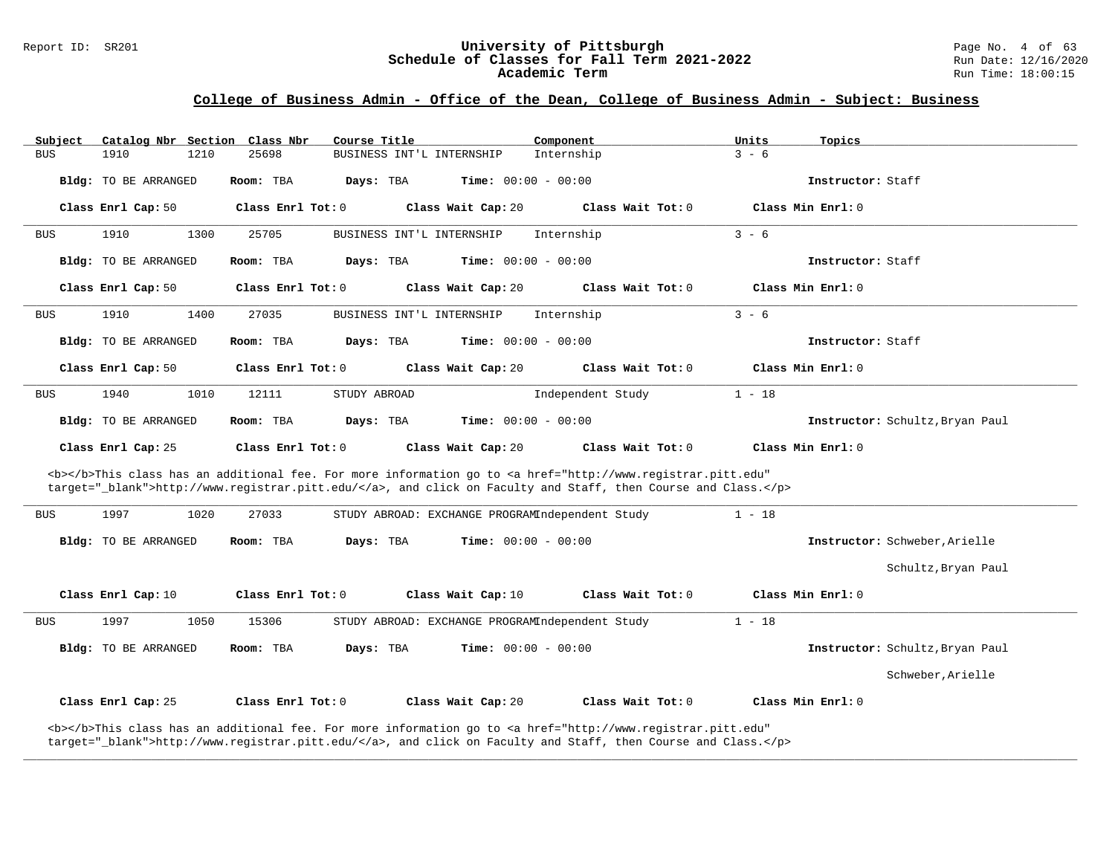#### Report ID: SR201 **University of Pittsburgh** Page No. 4 of 63 **Schedule of Classes for Fall Term 2021-2022** Run Date: 12/16/2020 **Academic Term** Run Time: 18:00:15

# **College of Business Admin - Office of the Dean, College of Business Admin - Subject: Business**

| Subject    |                             |      | Catalog Nbr Section Class Nbr | Course Title |                                                 | Component                                                                                                                                                                                                                          | Units    | Topics                          |
|------------|-----------------------------|------|-------------------------------|--------------|-------------------------------------------------|------------------------------------------------------------------------------------------------------------------------------------------------------------------------------------------------------------------------------------|----------|---------------------------------|
| <b>BUS</b> | 1910                        | 1210 | 25698                         |              | BUSINESS INT'L INTERNSHIP                       | Internship                                                                                                                                                                                                                         | $3 - 6$  |                                 |
|            | Bldg: TO BE ARRANGED        |      | Room: TBA                     | Days: TBA    | <b>Time:</b> $00:00 - 00:00$                    |                                                                                                                                                                                                                                    |          | Instructor: Staff               |
|            | Class Enrl Cap: 50          |      | Class Enrl Tot: 0             |              | Class Wait Cap: 20                              | Class Wait Tot: 0                                                                                                                                                                                                                  |          | Class Min Enrl: 0               |
| <b>BUS</b> | 1910                        | 1300 | 25705                         |              | BUSINESS INT'L INTERNSHIP                       | Internship                                                                                                                                                                                                                         | $3 - 6$  |                                 |
|            | Bldg: TO BE ARRANGED        |      | Room: TBA                     | Days: TBA    | <b>Time:</b> $00:00 - 00:00$                    |                                                                                                                                                                                                                                    |          | Instructor: Staff               |
|            | Class Enrl Cap: 50          |      | Class Enrl Tot: 0             |              | Class Wait Cap: 20                              | Class Wait Tot: 0                                                                                                                                                                                                                  |          | Class Min Enrl: 0               |
| <b>BUS</b> | 1910                        | 1400 | 27035                         |              | BUSINESS INT'L INTERNSHIP                       | Internship                                                                                                                                                                                                                         | $3 - 6$  |                                 |
|            | <b>Bldg:</b> TO BE ARRANGED |      | Room: TBA                     | Days: TBA    | <b>Time:</b> $00:00 - 00:00$                    |                                                                                                                                                                                                                                    |          | Instructor: Staff               |
|            | Class Enrl Cap: 50          |      | Class Enrl Tot: 0             |              | Class Wait Cap: 20                              | Class Wait Tot: 0                                                                                                                                                                                                                  |          | Class Min Enrl: 0               |
| <b>BUS</b> | 1940                        | 1010 | 12111                         | STUDY ABROAD |                                                 | Independent Study                                                                                                                                                                                                                  | $1 - 18$ |                                 |
|            | Bldg: TO BE ARRANGED        |      | Room: TBA                     | Days: TBA    | <b>Time:</b> $00:00 - 00:00$                    |                                                                                                                                                                                                                                    |          | Instructor: Schultz, Bryan Paul |
|            |                             |      |                               |              |                                                 |                                                                                                                                                                                                                                    |          |                                 |
|            | Class Enrl Cap: 25          |      | Class Enrl Tot: 0             |              | Class Wait Cap: 20                              | Class Wait Tot: 0                                                                                                                                                                                                                  |          | Class Min Enrl: 0               |
|            |                             |      |                               |              |                                                 | <b></b> This class has an additional fee. For more information go to <a <br="" href="http://www.registrar.pitt.edu">target="_blank"&gt;http://www.registrar.pitt.edu/</a> , and click on Faculty and Staff, then Course and Class. |          |                                 |
| <b>BUS</b> | 1997                        | 1020 | 27033                         |              | STUDY ABROAD: EXCHANGE PROGRAMIndependent Study |                                                                                                                                                                                                                                    | $1 - 18$ |                                 |
|            | Bldg: TO BE ARRANGED        |      | Room: TBA                     | Days: TBA    | <b>Time:</b> $00:00 - 00:00$                    |                                                                                                                                                                                                                                    |          | Instructor: Schweber, Arielle   |
|            |                             |      |                               |              |                                                 |                                                                                                                                                                                                                                    |          | Schultz, Bryan Paul             |
|            | Class Enrl Cap: 10          |      | Class Enrl Tot: 0             |              | Class Wait Cap: 10                              | Class Wait Tot: 0                                                                                                                                                                                                                  |          | Class Min Enrl: 0               |
| <b>BUS</b> | 1997                        | 1050 | 15306                         |              | STUDY ABROAD: EXCHANGE PROGRAMIndependent Study |                                                                                                                                                                                                                                    | $1 - 18$ |                                 |
|            | Bldg: TO BE ARRANGED        |      | Room: TBA                     | Days: TBA    | <b>Time:</b> $00:00 - 00:00$                    |                                                                                                                                                                                                                                    |          | Instructor: Schultz, Bryan Paul |
|            |                             |      |                               |              |                                                 |                                                                                                                                                                                                                                    |          | Schweber, Arielle               |
|            | Class Enrl Cap: 25          |      | Class Enrl Tot: 0             |              | Class Wait Cap: 20                              | Class Wait Tot: 0                                                                                                                                                                                                                  |          | Class Min Enrl: 0               |

**\_\_\_\_\_\_\_\_\_\_\_\_\_\_\_\_\_\_\_\_\_\_\_\_\_\_\_\_\_\_\_\_\_\_\_\_\_\_\_\_\_\_\_\_\_\_\_\_\_\_\_\_\_\_\_\_\_\_\_\_\_\_\_\_\_\_\_\_\_\_\_\_\_\_\_\_\_\_\_\_\_\_\_\_\_\_\_\_\_\_\_\_\_\_\_\_\_\_\_\_\_\_\_\_\_\_\_\_\_\_\_\_\_\_\_\_\_\_\_\_\_\_\_\_\_\_\_\_\_\_\_\_\_\_\_\_\_\_\_\_\_\_\_\_\_\_\_\_\_\_\_\_\_\_\_\_**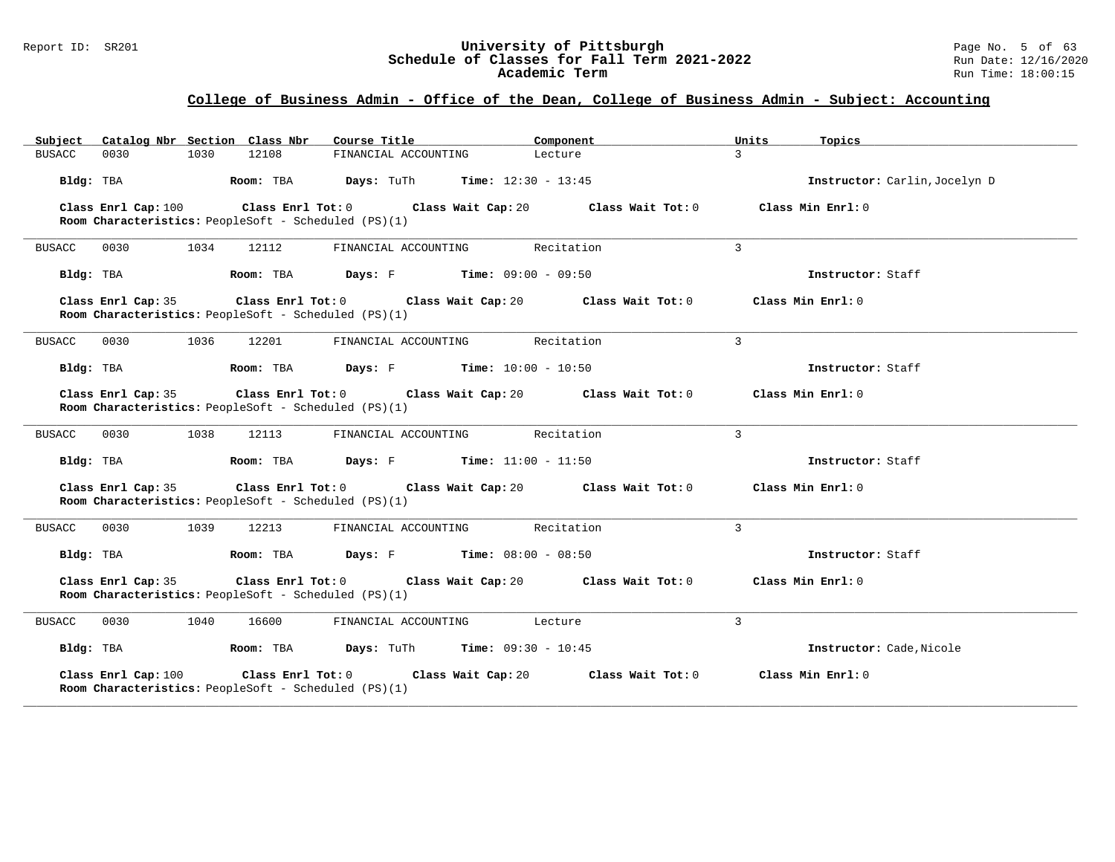#### Report ID: SR201 **University of Pittsburgh University of Pittsburgh** Page No. 5 of 63<br>**Schedule of Classes for Fall Term 2021-2022** Run Date: 12/16/2020 **Schedule of Classes for Fall Term 2021-2022** Run Date: 12/16/2020 **Academic Term** Run Time: 18:00:15

| Subject Catalog Nbr Section Class Nbr                                                            | Course Title<br>Component                      | Units<br>Topics                        |
|--------------------------------------------------------------------------------------------------|------------------------------------------------|----------------------------------------|
| 0030<br>1030<br>12108<br><b>BUSACC</b>                                                           | FINANCIAL ACCOUNTING<br>Lecture                | $\mathcal{L}$                          |
| Room: TBA<br>Bldg: TBA                                                                           | <b>Days:</b> TuTh <b>Time:</b> $12:30 - 13:45$ | Instructor: Carlin, Jocelyn D          |
| Class Enrl Cap: 100<br>Room Characteristics: PeopleSoft - Scheduled (PS)(1)                      | Class Enrl Tot: 0 Class Wait Cap: 20           | Class Min Enrl: 0<br>Class Wait Tot: 0 |
| 0030<br>1034<br>12112<br><b>BUSACC</b>                                                           | FINANCIAL ACCOUNTING<br>Recitation             | 3                                      |
| Bldg: TBA<br>Room: TBA                                                                           | <b>Days:</b> $F$ <b>Time:</b> $09:00 - 09:50$  | Instructor: Staff                      |
| Class Enrl Cap: 35<br>Room Characteristics: PeopleSoft - Scheduled (PS)(1)                       | Class Enrl Tot: 0 Class Wait Cap: 20           | Class Min Enrl: 0<br>Class Wait Tot: 0 |
| <b>BUSACC</b><br>0030<br>1036<br>12201                                                           | FINANCIAL ACCOUNTING<br>Recitation             | $\mathbf{3}$                           |
| Bldg: TBA<br>Room: TBA                                                                           | <b>Days:</b> $F$ <b>Time:</b> $10:00 - 10:50$  | Instructor: Staff                      |
| Class Enrl Cap: 35<br>Room Characteristics: PeopleSoft - Scheduled (PS)(1)                       | Class Enrl Tot: 0 Class Wait Cap: 20           | Class Wait Tot: 0<br>Class Min Enrl: 0 |
| 0030<br>1038<br>12113<br><b>BUSACC</b>                                                           | FINANCIAL ACCOUNTING<br>Recitation             | 3                                      |
| Room: TBA<br>Bldg: TBA                                                                           | <b>Days:</b> $F$ <b>Time:</b> $11:00 - 11:50$  | Instructor: Staff                      |
| Class Enrl Cap: 35<br>Room Characteristics: PeopleSoft - Scheduled (PS)(1)                       | Class Enrl Tot: 0 Class Wait Cap: 20           | Class Wait Tot: 0<br>Class Min Enrl: 0 |
| 0030<br><b>BUSACC</b><br>1039<br>12213                                                           | Recitation<br>FINANCIAL ACCOUNTING             | 3                                      |
| Bldg: TBA<br>Room: TBA                                                                           | <b>Days:</b> $F$ <b>Time:</b> $08:00 - 08:50$  | Instructor: Staff                      |
| Class Enrl Cap: 35<br>Room Characteristics: PeopleSoft - Scheduled (PS)(1)                       | Class Enrl Tot: 0 Class Wait Cap: 20           | Class Wait Tot: 0<br>Class Min Enrl: 0 |
| <b>BUSACC</b><br>0030<br>1040<br>16600                                                           | FINANCIAL ACCOUNTING<br>Lecture                | $\overline{3}$                         |
| Bldg: TBA<br>Room: TBA                                                                           | <b>Days:</b> TuTh <b>Time:</b> $09:30 - 10:45$ | Instructor: Cade, Nicole               |
| Class Enrl Cap: 100<br>Class Enrl Tot: 0<br>Room Characteristics: PeopleSoft - Scheduled (PS)(1) | Class Wait Cap: 20                             | Class Min Enrl: 0<br>Class Wait Tot: 0 |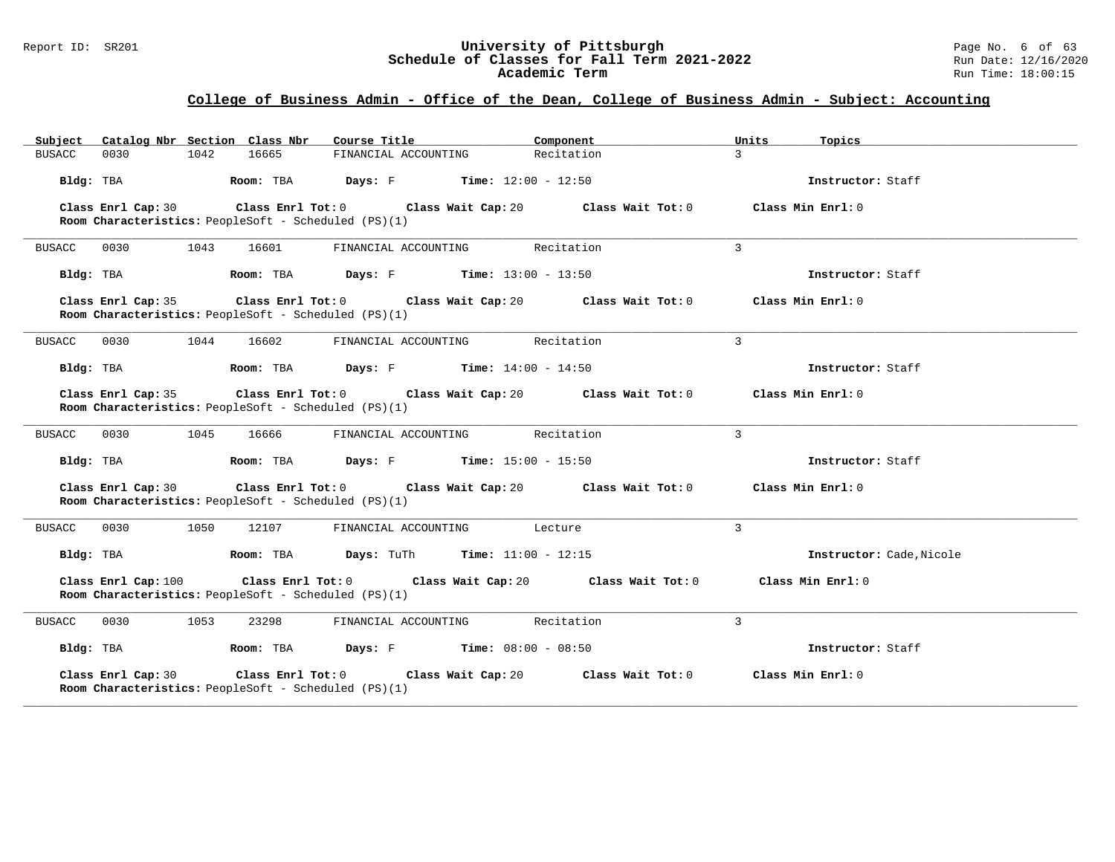#### Report ID: SR201 **University of Pittsburgh University of Pittsburgh** Page No. 6 of 63<br>**Schedule of Classes for Fall Term 2021-2022** Run Date: 12/16/2020 **Schedule of Classes for Fall Term 2021-2022** Run Date: 12/16/2020 **Academic Term** Run Time: 18:00:15

| Subject Catalog Nbr Section Class Nbr                                       | Course Title                                   | Component<br>Units           | Topics                   |
|-----------------------------------------------------------------------------|------------------------------------------------|------------------------------|--------------------------|
| 0030<br>1042<br>16665<br><b>BUSACC</b>                                      | FINANCIAL ACCOUNTING                           | Recitation<br>$\mathcal{L}$  |                          |
| Bldg: TBA<br>Room: TBA                                                      | <b>Days:</b> $F$ <b>Time:</b> $12:00 - 12:50$  |                              | Instructor: Staff        |
| Class Enrl Cap: 30<br>Room Characteristics: PeopleSoft - Scheduled (PS)(1)  | Class Enrl Tot: $0$ Class Wait Cap: $20$       | Class Wait Tot: 0            | Class Min Enrl: 0        |
| 0030<br>1043<br>16601<br><b>BUSACC</b>                                      | FINANCIAL ACCOUNTING                           | $\mathbf{3}$<br>Recitation   |                          |
| Bldg: TBA                                                                   | Room: TBA $Days: F$ Time: $13:00 - 13:50$      |                              | Instructor: Staff        |
| Class Enrl Cap: 35<br>Room Characteristics: PeopleSoft - Scheduled (PS)(1)  | Class Enrl Tot: 0 Class Wait Cap: 20           | Class Wait Tot: 0            | Class Min Enrl: 0        |
| 1044<br><b>BUSACC</b><br>0030<br>16602                                      | FINANCIAL ACCOUNTING                           | $\mathcal{L}$<br>Recitation  |                          |
| Bldg: TBA<br>Room: TBA                                                      | <b>Days:</b> F <b>Time:</b> $14:00 - 14:50$    |                              | Instructor: Staff        |
| Class Enrl Cap: 35<br>Room Characteristics: PeopleSoft - Scheduled (PS)(1)  | Class Enrl Tot: 0 Class Wait Cap: 20           | Class Wait Tot: 0            | Class Min Enrl: 0        |
| 0030<br>1045<br><b>BUSACC</b><br>16666                                      | FINANCIAL ACCOUNTING                           | 3<br>Recitation              |                          |
| Room: TBA<br>Bldg: TBA                                                      | <b>Days:</b> F Time: $15:00 - 15:50$           |                              | Instructor: Staff        |
| Class Enrl Cap: 30<br>Room Characteristics: PeopleSoft - Scheduled (PS)(1)  | Class Enrl Tot: 0 Class Wait Cap: 20           | Class Wait Tot: 0            | Class Min Enrl: 0        |
| 0030<br>1050<br><b>BUSACC</b><br>12107                                      | FINANCIAL ACCOUNTING                           | 3<br>Lecture                 |                          |
| Bldg: TBA<br>Room: TBA                                                      | <b>Days:</b> TuTh <b>Time:</b> $11:00 - 12:15$ |                              | Instructor: Cade, Nicole |
| Class Enrl Cap: 100<br>Room Characteristics: PeopleSoft - Scheduled (PS)(1) | Class Enrl Tot: 0 Class Wait Cap: 20           | Class Wait Tot: 0            | Class Min Enrl: 0        |
| 0030<br>1053<br>23298<br><b>BUSACC</b>                                      | FINANCIAL ACCOUNTING                           | $\overline{3}$<br>Recitation |                          |
| Bldg: TBA<br>Room: TBA                                                      | <b>Days:</b> $F$ <b>Time:</b> $08:00 - 08:50$  |                              | Instructor: Staff        |
| Class Enrl Cap: 30<br>Room Characteristics: PeopleSoft - Scheduled (PS)(1)  | Class Enrl Tot: $0$<br>Class Wait Cap: 20      | Class Wait Tot: 0            | Class Min Enrl: 0        |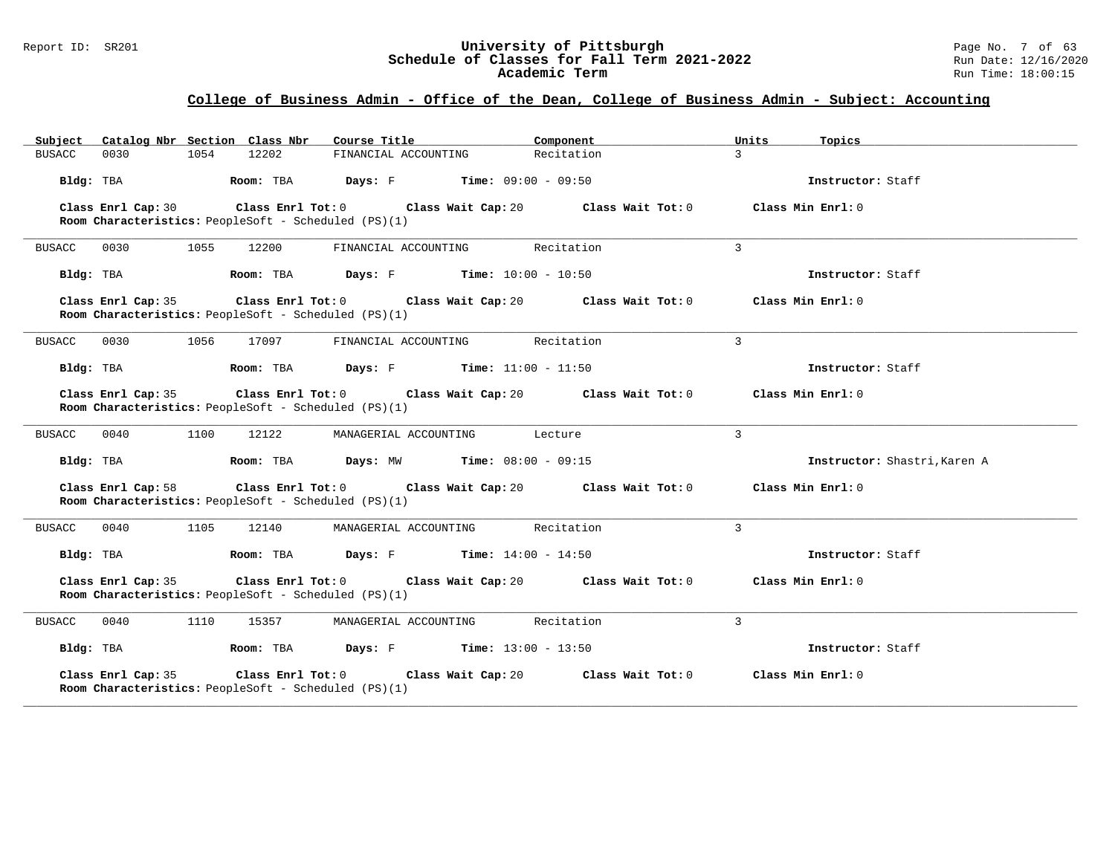#### Report ID: SR201 **1988 Constrained Subset Constrained Bully Constrained Bully Constrained Bully Constrained Bully Constrained Page No. 7 of 63<br><b>Schedule of Classes for Fall Term 2021-2022** 1999 Run Date: 12/16/2020 **Schedule of Classes for Fall Term 2021-2022** Run Date: 12/16/2020 **Academic Term** Run Time: 18:00:15

| Subject Catalog Nbr Section Class Nbr                                      | Course Title <b>Source Search</b>             | Component<br>Units           | Topics                       |
|----------------------------------------------------------------------------|-----------------------------------------------|------------------------------|------------------------------|
| 0030<br>1054<br>12202<br><b>BUSACC</b>                                     | FINANCIAL ACCOUNTING                          | Recitation<br>$\mathcal{L}$  |                              |
| Bldg: TBA<br>Room: TBA                                                     | <b>Days:</b> $F$ <b>Time:</b> $09:00 - 09:50$ |                              | Instructor: Staff            |
| Class Enrl Cap: 30<br>Room Characteristics: PeopleSoft - Scheduled (PS)(1) | Class Enrl Tot: $0$ Class Wait Cap: $20$      | Class Wait Tot: 0            | Class Min Enrl: 0            |
| 0030<br>1055<br>12200<br><b>BUSACC</b>                                     | FINANCIAL ACCOUNTING                          | 3<br>Recitation              |                              |
| Bldg: TBA                                                                  | Room: TBA $Days: F$ Time: $10:00 - 10:50$     |                              | Instructor: Staff            |
| Class Enrl Cap: 35<br>Room Characteristics: PeopleSoft - Scheduled (PS)(1) | Class Enrl Tot: 0 Class Wait Cap: 20          | Class Wait Tot: 0            | Class Min Enrl: 0            |
| 1056<br><b>BUSACC</b><br>0030<br>17097                                     | FINANCIAL ACCOUNTING                          | $\mathcal{L}$<br>Recitation  |                              |
| Bldg: TBA<br>Room: TBA                                                     | <b>Days:</b> $F$ <b>Time:</b> $11:00 - 11:50$ |                              | Instructor: Staff            |
| Class Enrl Cap: 35<br>Room Characteristics: PeopleSoft - Scheduled (PS)(1) | Class Enrl Tot: 0 Class Wait Cap: 20          | Class Wait Tot: 0            | Class Min Enrl: 0            |
| 0040<br>1100<br>12122<br><b>BUSACC</b>                                     | MANAGERIAL ACCOUNTING                         | $\mathcal{L}$<br>Lecture     |                              |
| Bldg: TBA<br>Room: TBA                                                     | <b>Days:</b> MW <b>Time:</b> $08:00 - 09:15$  |                              | Instructor: Shastri, Karen A |
| Class Enrl Cap: 58<br>Room Characteristics: PeopleSoft - Scheduled (PS)(1) | Class Enrl Tot: $0$ Class Wait Cap: $20$      | Class Wait Tot: 0            | Class Min Enrl: 0            |
| 0040<br>1105<br><b>BUSACC</b><br>12140                                     | MANAGERIAL ACCOUNTING                         | 3<br>Recitation              |                              |
| Bldg: TBA<br>Room: TBA                                                     | <b>Days:</b> F Time: $14:00 - 14:50$          |                              | Instructor: Staff            |
| Class Enrl Cap: 35<br>Room Characteristics: PeopleSoft - Scheduled (PS)(1) | Class Enrl Tot: 0 Class Wait Cap: 20          | Class Wait Tot: 0            | Class Min Enrl: 0            |
| 0040<br>1110<br>15357<br>BUSACC                                            | MANAGERIAL ACCOUNTING                         | $\overline{3}$<br>Recitation |                              |
| Bldg: TBA<br>Room: TBA                                                     | <b>Days:</b> F Time: $13:00 - 13:50$          |                              | Instructor: Staff            |
| Class Enrl Cap: 35<br>Room Characteristics: PeopleSoft - Scheduled (PS)(1) | Class Enrl Tot: 0 Class Wait Cap: 20          | Class Wait Tot: 0            | Class Min Enrl: 0            |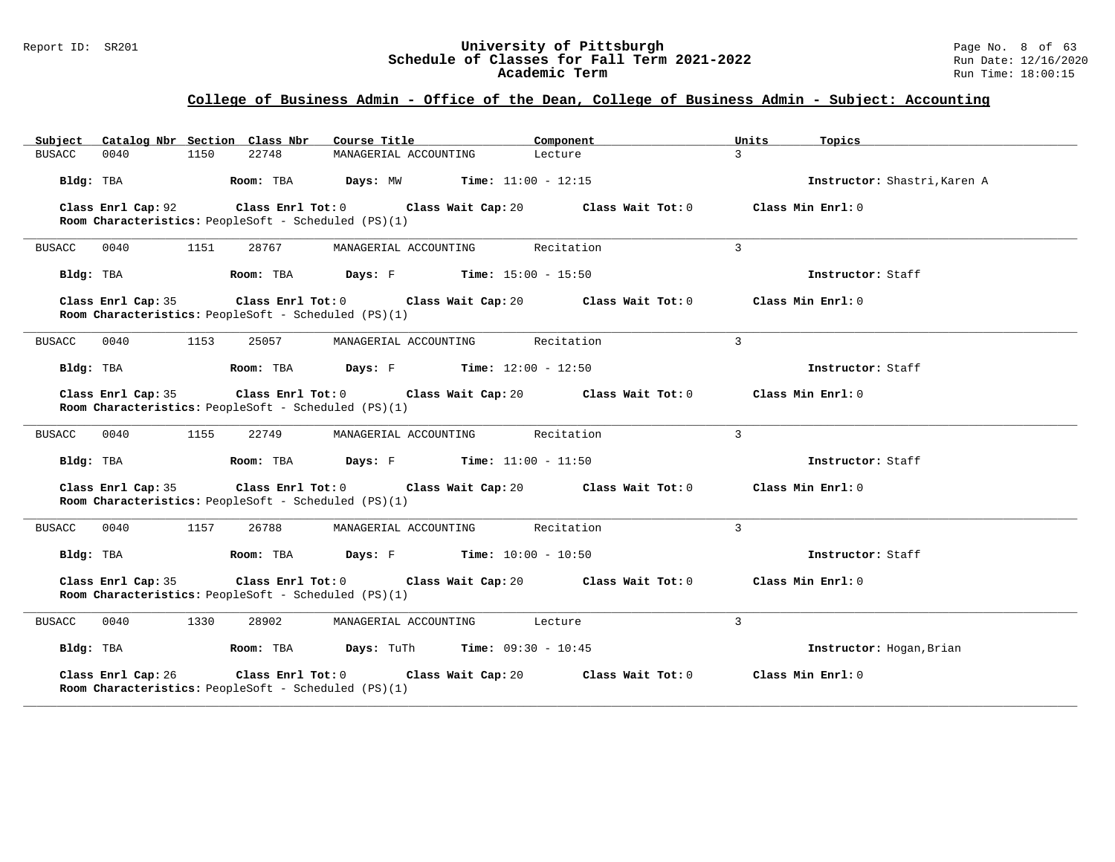#### Report ID: SR201 **1988 Constrained Supervisity of Pittsburgh** Page No. 8 of 63<br>**Schedule of Classes for Fall Term 2021-2022** 2011 Page No. 8 of 63 **Schedule of Classes for Fall Term 2021-2022** Run Date: 12/16/2020 **Academic Term** Run Time: 18:00:15

| Subject Catalog Nbr Section Class Nbr                                      | Course Title                                   | Component<br>Units         | Topics                       |
|----------------------------------------------------------------------------|------------------------------------------------|----------------------------|------------------------------|
| 0040<br>1150<br>22748<br><b>BUSACC</b>                                     | MANAGERIAL ACCOUNTING                          | $\mathcal{L}$<br>Lecture   |                              |
| Bldg: TBA<br>Room: TBA                                                     | <b>Days:</b> MW <b>Time:</b> $11:00 - 12:15$   |                            | Instructor: Shastri, Karen A |
| Class Enrl Cap: 92<br>Room Characteristics: PeopleSoft - Scheduled (PS)(1) | Class Enrl Tot: 0 Class Wait Cap: 20           | Class Wait Tot: 0          | Class Min Enrl: 0            |
| 0040<br>1151<br><b>BUSACC</b>                                              | 28767<br>MANAGERIAL ACCOUNTING                 | 3<br>Recitation            |                              |
| Bldg: TBA<br>Room: TBA                                                     | <b>Days:</b> $F$ <b>Time:</b> $15:00 - 15:50$  |                            | Instructor: Staff            |
| Class Enrl Cap: 35<br>Room Characteristics: PeopleSoft - Scheduled (PS)(1) | Class Enrl Tot: 0 Class Wait Cap: 20           | Class Wait Tot: 0          | Class Min Enrl: 0            |
| <b>BUSACC</b><br>0040<br>1153<br>25057                                     | MANAGERIAL ACCOUNTING                          | $\mathbf{3}$<br>Recitation |                              |
| Bldg: TBA                                                                  | Room: TBA $Days: F$ Time: $12:00 - 12:50$      |                            | Instructor: Staff            |
| Class Enrl Cap: 35<br>Room Characteristics: PeopleSoft - Scheduled (PS)(1) | Class Enrl Tot: 0 Class Wait Cap: 20           | Class Wait Tot: 0          | Class Min Enrl: 0            |
| 0040<br>1155<br><b>BUSACC</b>                                              | 22749<br>MANAGERIAL ACCOUNTING                 | 3<br>Recitation            |                              |
| Bldg: TBA<br>Room: TBA                                                     | <b>Days:</b> $F$ <b>Time:</b> $11:00 - 11:50$  |                            | Instructor: Staff            |
| Class Enrl Cap: 35<br>Room Characteristics: PeopleSoft - Scheduled (PS)(1) | Class Enrl Tot: 0 Class Wait Cap: 20           | Class Wait Tot: 0          | Class Min Enrl: 0            |
| <b>BUSACC</b><br>0040<br>1157<br>26788                                     | MANAGERIAL ACCOUNTING                          | Recitation<br>3            |                              |
| Bldg: TBA<br>Room: TBA                                                     | <b>Days:</b> $F$ <b>Time:</b> $10:00 - 10:50$  |                            | Instructor: Staff            |
| Class Enrl Cap: 35<br>Room Characteristics: PeopleSoft - Scheduled (PS)(1) | Class Enrl Tot: 0 Class Wait Cap: 20           | Class Wait Tot: 0          | Class Min $Enr1: 0$          |
| 0040<br>1330<br>BUSACC                                                     | 28902<br>MANAGERIAL ACCOUNTING                 | 3<br>Lecture               |                              |
| Room: TBA<br>Bldg: TBA                                                     | <b>Days:</b> TuTh <b>Time:</b> $09:30 - 10:45$ |                            | Instructor: Hogan, Brian     |
| Class Enrl Cap: 26<br>Room Characteristics: PeopleSoft - Scheduled (PS)(1) | Class Enrl Tot: 0 Class Wait Cap: 20           | Class Wait Tot: 0          | Class Min Enrl: 0            |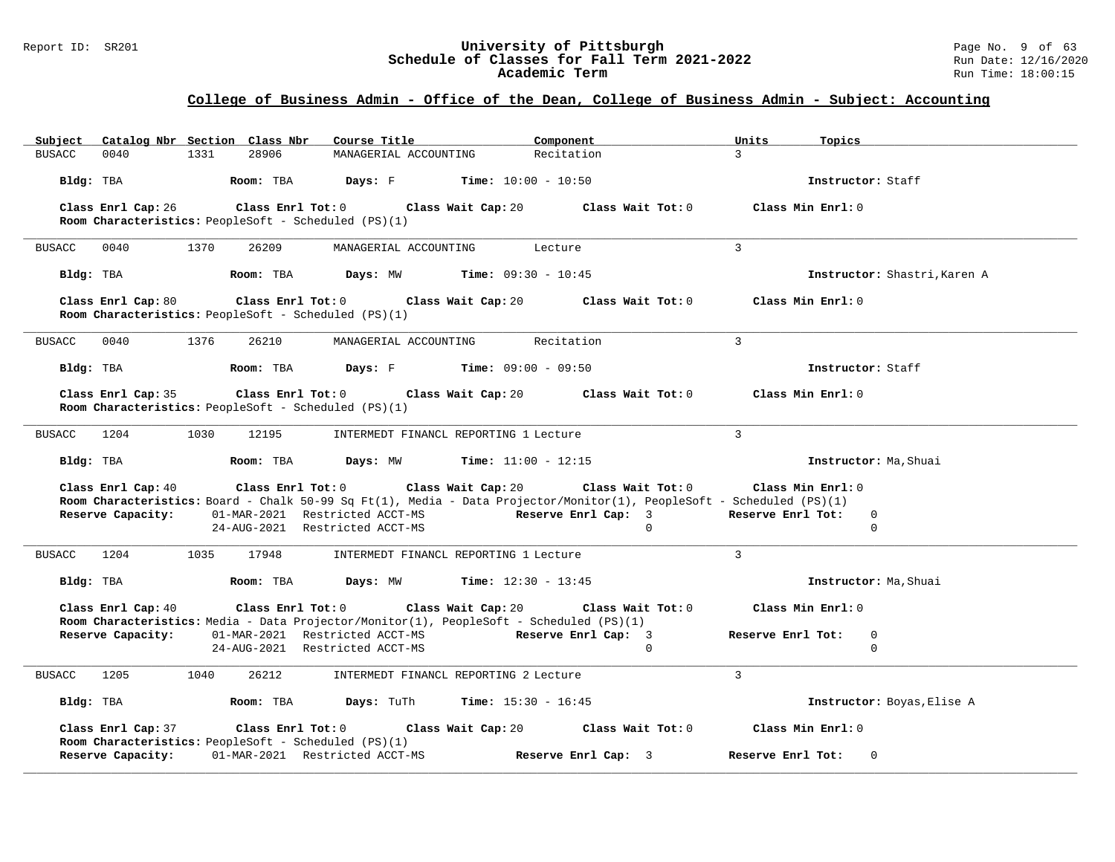#### Report ID: SR201 **1988 Construment Superversity of Pittsburgh** Page No. 9 of 63<br>**Schedule of Classes for Fall Term 2021-2022** 1988 Pun Date: 12/16/2020 **Schedule of Classes for Fall Term 2021-2022** Run Date: 12/16/2020 **Academic Term** Run Time: 18:00:15

|             | Subject Catalog Nbr Section Class Nbr |      |       | Course Title <b>Course In the Course I</b>                                                                                                                 | Component           |          | Units             | Topics                       |
|-------------|---------------------------------------|------|-------|------------------------------------------------------------------------------------------------------------------------------------------------------------|---------------------|----------|-------------------|------------------------------|
| BUSACC      | 0040                                  | 1331 | 28906 | MANAGERIAL ACCOUNTING                                                                                                                                      | Recitation          |          | $\mathcal{R}$     |                              |
|             |                                       |      |       | Bldg: TBA <b>Room:</b> TBA <b>Days:</b> F <b>Time:</b> 10:00 - 10:50                                                                                       |                     |          |                   | Instructor: Staff            |
|             | Class Enrl Cap: 26                    |      |       | Class Enrl Tot: $0$ Class Wait Cap: $20$ Class Wait Tot: $0$ Class Min Enrl: $0$                                                                           |                     |          |                   |                              |
|             |                                       |      |       | Room Characteristics: PeopleSoft - Scheduled (PS)(1)                                                                                                       |                     |          |                   |                              |
| BUSACC 0040 |                                       | 1370 | 26209 | MANAGERIAL ACCOUNTING Lecture                                                                                                                              |                     |          | $\mathcal{L}$     |                              |
|             | Bldg: TBA                             |      |       | <b>ROOM:</b> TBA <b>Days:</b> MW <b>Time:</b> $09:30 - 10:45$                                                                                              |                     |          |                   | Instructor: Shastri, Karen A |
|             |                                       |      |       | Class Enrl Cap: 80 Class Enrl Tot: 0 Class Wait Cap: 20 Class Wait Tot: 0 Class Min Enrl: 0<br><b>Room Characteristics:</b> PeopleSoft - Scheduled (PS)(1) |                     |          |                   |                              |
| BUSACC 0040 |                                       | 1376 | 26210 | MANAGERIAL ACCOUNTING                                                                                                                                      | Recitation          |          | $\overline{3}$    |                              |
|             | Bldg: TBA                             |      |       | <b>Room:</b> TBA <b>Days:</b> F <b>Time:</b> 09:00 - 09:50                                                                                                 |                     |          |                   | Instructor: Staff            |
|             | Class Enrl Cap: 35                    |      |       | Class Enrl Tot: $0$ Class Wait Cap: $20$ Class Wait Tot: $0$ Class Min Enrl: $0$<br>Room Characteristics: PeopleSoft - Scheduled (PS)(1)                   |                     |          |                   |                              |
| BUSACC 1204 |                                       | 1030 | 12195 | INTERMEDT FINANCL REPORTING 1 Lecture                                                                                                                      |                     |          | $\mathcal{E}$     |                              |
| Bldg: TBA   |                                       |      |       | <b>Room:</b> TBA <b>Days:</b> MW <b>Time:</b> $11:00 - 12:15$                                                                                              |                     |          |                   | Instructor: Ma, Shuai        |
|             | Class Enrl Cap: 40                    |      |       | Class Enrl Tot: $0$ Class Wait Cap: $20$ Class Wait Tot: $0$ Class Min Enrl: $0$                                                                           |                     |          |                   |                              |
|             | Reserve Capacity:                     |      |       | Room Characteristics: Board - Chalk 50-99 Sq Ft(1), Media - Data Projector/Monitor(1), PeopleSoft - Scheduled (PS)(1)<br>01-MAR-2021 Restricted ACCT-MS    | Reserve Enrl Cap: 3 |          | Reserve Enrl Tot: | $\mathbf{0}$                 |
|             |                                       |      |       | 24-AUG-2021 Restricted ACCT-MS                                                                                                                             |                     | $\Omega$ |                   | $\Omega$                     |
|             | BUSACC 1204 1035 17948                |      |       | INTERMEDT FINANCL REPORTING 1 Lecture                                                                                                                      |                     |          | $\mathcal{L}$     |                              |
|             | Bldg: TBA                             |      |       | <b>ROOM:</b> TBA <b>Days:</b> MW <b>Time:</b> 12:30 - 13:45                                                                                                |                     |          |                   | Instructor: Ma, Shuai        |
|             | Class Enrl Cap: 40                    |      |       | Class Enrl Tot: $0$ Class Wait Cap: $20$ Class Wait Tot: $0$                                                                                               |                     |          | Class Min Enrl: 0 |                              |
|             |                                       |      |       | <b>Room Characteristics:</b> Media - Data Projector/Monitor(1), PeopleSoft - Scheduled (PS)(1)                                                             |                     |          |                   |                              |
|             | Reserve Capacity:                     |      |       | 01-MAR-2021 Restricted ACCT-MS<br>24-AUG-2021 Restricted ACCT-MS                                                                                           | Reserve Enrl Cap: 3 | $\Omega$ | Reserve Enrl Tot: | $\mathbf{0}$<br>$\mathbf 0$  |
|             |                                       |      |       |                                                                                                                                                            |                     |          |                   |                              |
|             | BUSACC 1205 1040                      |      | 26212 | INTERMEDT FINANCL REPORTING 2 Lecture                                                                                                                      |                     |          | $\mathcal{L}$     |                              |
|             |                                       |      |       | Bldg: TBA <b>Room: TBA Days: TuTh Time:</b> 15:30 - 16:45                                                                                                  |                     |          |                   | Instructor: Boyas, Elise A   |
|             | Class Enrl Cap: 37                    |      |       | Class Enrl Tot: $0$ Class Wait Cap: $20$ Class Wait Tot: $0$<br><b>Room Characteristics:</b> PeopleSoft - Scheduled (PS)(1)                                |                     |          | Class Min Enrl: 0 |                              |
|             | Reserve Capacity:                     |      |       | 01-MAR-2021 Restricted ACCT-MS                                                                                                                             | Reserve Enrl Cap: 3 |          | Reserve Enrl Tot: | $\mathbf{0}$                 |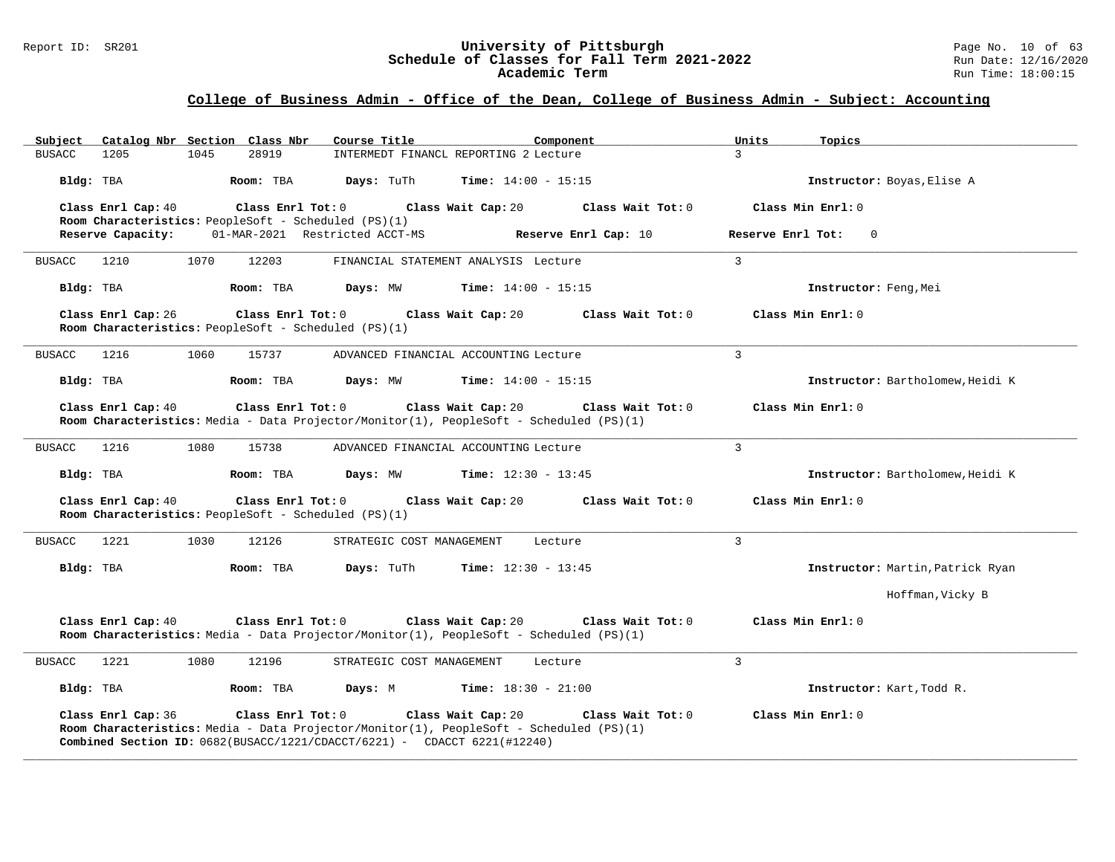#### Report ID: SR201 **University of Pittsburgh** Page No. 10 of 63 **Schedule of Classes for Fall Term 2021-2022** Run Date: 12/16/2020 **Academic Term** Run Time: 18:00:15

| Subject               |      | Catalog Nbr Section Class Nbr                                             | Course Title                                                             | Component                                                                                                                          | Units             | Topics                           |
|-----------------------|------|---------------------------------------------------------------------------|--------------------------------------------------------------------------|------------------------------------------------------------------------------------------------------------------------------------|-------------------|----------------------------------|
| 1205<br><b>BUSACC</b> | 1045 | 28919                                                                     |                                                                          | INTERMEDT FINANCL REPORTING 2 Lecture                                                                                              | $\mathcal{E}$     |                                  |
| Bldg: TBA             |      | Room: TBA                                                                 | Days: TuTh                                                               | <b>Time:</b> $14:00 - 15:15$                                                                                                       |                   | Instructor: Boyas, Elise A       |
| Class Enrl Cap: 40    |      | Class Enrl Tot: 0<br>Room Characteristics: PeopleSoft - Scheduled (PS)(1) |                                                                          | Class Wait Cap: 20<br>Class Wait Tot: 0                                                                                            |                   | Class Min Enrl: 0                |
| Reserve Capacity:     |      |                                                                           | 01-MAR-2021 Restricted ACCT-MS                                           | Reserve Enrl Cap: 10                                                                                                               | Reserve Enrl Tot: | $\overline{0}$                   |
| <b>BUSACC</b><br>1210 | 1070 | 12203                                                                     |                                                                          | FINANCIAL STATEMENT ANALYSIS Lecture                                                                                               | $\mathbf{3}$      |                                  |
| Bldg: TBA             |      | Room: TBA                                                                 | Days: MW                                                                 | <b>Time:</b> $14:00 - 15:15$                                                                                                       |                   | Instructor: Feng, Mei            |
| Class Enrl Cap: 26    |      | Class Enrl Tot: 0<br>Room Characteristics: PeopleSoft - Scheduled (PS)(1) |                                                                          | Class Wait Cap: 20<br>Class Wait Tot: 0                                                                                            |                   | Class Min Enrl: 0                |
| <b>BUSACC</b><br>1216 | 1060 | 15737                                                                     |                                                                          | ADVANCED FINANCIAL ACCOUNTING Lecture                                                                                              | 3                 |                                  |
| Bldg: TBA             |      | Room: TBA                                                                 | Days: MW                                                                 | <b>Time:</b> $14:00 - 15:15$                                                                                                       |                   | Instructor: Bartholomew, Heidi K |
| Class Enrl Cap: 40    |      | Class Enrl Tot: 0                                                         |                                                                          | Class Wait Tot: 0<br>Class Wait Cap: 20<br>Room Characteristics: Media - Data Projector/Monitor(1), PeopleSoft - Scheduled (PS)(1) |                   | Class Min Enrl: 0                |
| 1216<br><b>BUSACC</b> | 1080 | 15738                                                                     |                                                                          | ADVANCED FINANCIAL ACCOUNTING Lecture                                                                                              | 3                 |                                  |
| Bldg: TBA             |      | Room: TBA                                                                 | Days: MW                                                                 | <b>Time:</b> $12:30 - 13:45$                                                                                                       |                   | Instructor: Bartholomew, Heidi K |
| Class Enrl Cap: 40    |      | Class Enrl Tot: 0<br>Room Characteristics: PeopleSoft - Scheduled (PS)(1) |                                                                          | Class Wait Cap: 20<br>Class Wait Tot: 0                                                                                            | Class Min Enrl: 0 |                                  |
| 1221<br><b>BUSACC</b> | 1030 | 12126                                                                     | STRATEGIC COST MANAGEMENT                                                | Lecture                                                                                                                            | 3                 |                                  |
| Bldg: TBA             |      | Room: TBA                                                                 | Days: TuTh                                                               | <b>Time:</b> $12:30 - 13:45$                                                                                                       |                   | Instructor: Martin, Patrick Ryan |
|                       |      |                                                                           |                                                                          |                                                                                                                                    |                   | Hoffman, Vicky B                 |
| Class Enrl Cap: 40    |      |                                                                           | Class Enrl Tot: 0 Class Wait Cap: 20                                     | Class Wait Tot: 0<br>Room Characteristics: Media - Data Projector/Monitor(1), PeopleSoft - Scheduled (PS)(1)                       |                   | Class Min Enrl: 0                |
| 1221<br><b>BUSACC</b> | 1080 | 12196                                                                     | STRATEGIC COST MANAGEMENT                                                | Lecture                                                                                                                            | $\mathcal{L}$     |                                  |
| Bldg: TBA             |      | Room: TBA                                                                 | Days: M                                                                  | <b>Time:</b> $18:30 - 21:00$                                                                                                       |                   | Instructor: Kart, Todd R.        |
| Class Enrl Cap: 36    |      | Class Enrl Tot: 0                                                         | Combined Section ID: 0682(BUSACC/1221/CDACCT/6221) - CDACCT 6221(#12240) | Class Wait Cap: 20<br>Class Wait Tot: 0<br>Room Characteristics: Media - Data Projector/Monitor(1), PeopleSoft - Scheduled (PS)(1) |                   | Class Min Enrl: 0                |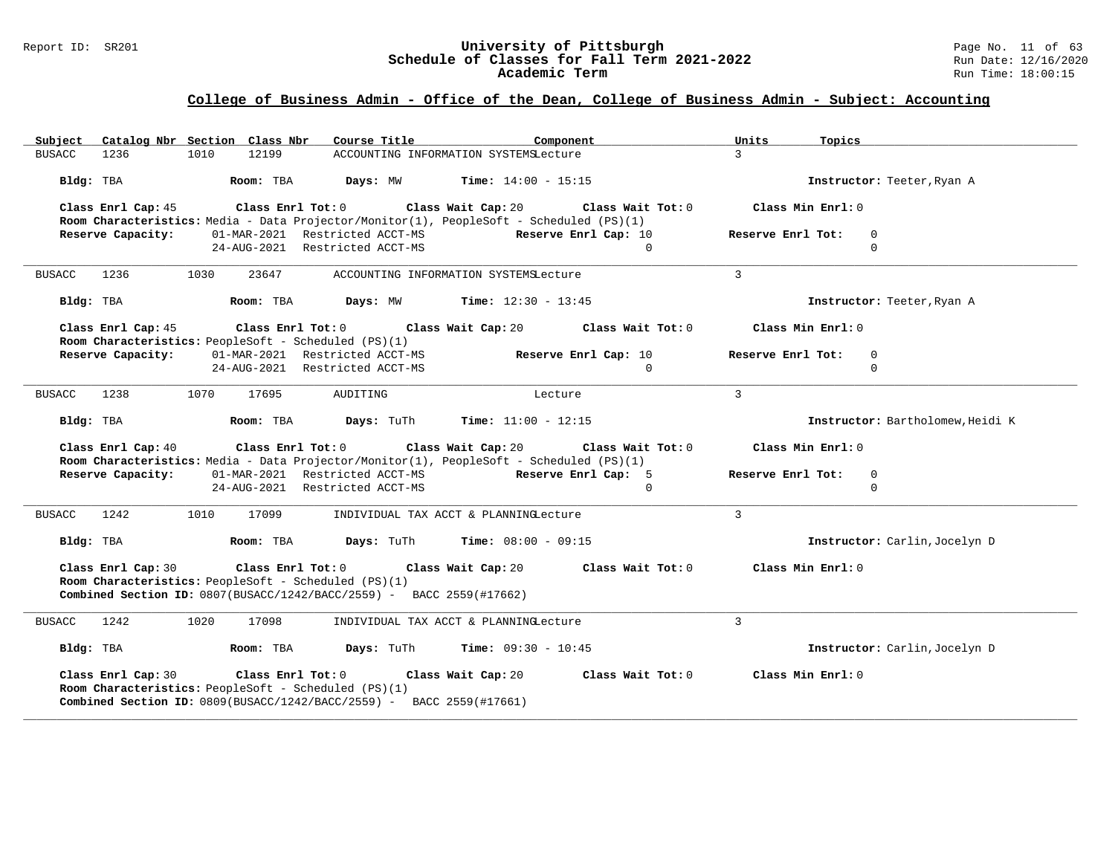#### Report ID: SR201 **University of Pittsburgh University of Pittsburgh** Page No. 11 of 63<br>**Schedule of Classes for Fall Term 2021-2022** Run Date: 12/16/2020 **Schedule of Classes for Fall Term 2021-2022** Run Date: 12/16/2020 **Academic Term** Run Time: 18:00:15

| Subject Catalog Nbr Section Class Nbr                                                                                                                                            | Course Title<br>Component                                                                                                                               | Units<br>Topics                   |
|----------------------------------------------------------------------------------------------------------------------------------------------------------------------------------|---------------------------------------------------------------------------------------------------------------------------------------------------------|-----------------------------------|
| 1236<br>12199<br>BUSACC<br>1010                                                                                                                                                  | ACCOUNTING INFORMATION SYSTEMSLecture                                                                                                                   | $\overline{3}$                    |
| Bldg: TBA<br>Room: TBA                                                                                                                                                           | Time: $14:00 - 15:15$<br>Days: MW                                                                                                                       | Instructor: Teeter, Ryan A        |
| Class Enrl Cap: 45                                                                                                                                                               | Class Enrl Tot: $0$ Class Wait Cap: $20$ Class Wait Tot: $0$<br>Room Characteristics: Media - Data Projector/Monitor(1), PeopleSoft - Scheduled (PS)(1) | Class Min Enrl: 0                 |
| 01-MAR-2021 Restricted ACCT-MS<br>Reserve Capacity:                                                                                                                              | Reserve Enrl Cap: 10                                                                                                                                    | Reserve Enrl Tot:<br>0            |
| 24-AUG-2021 Restricted ACCT-MS                                                                                                                                                   | $\Omega$                                                                                                                                                | $\Omega$                          |
| <b>BUSACC</b><br>1236<br>1030<br>23647                                                                                                                                           | ACCOUNTING INFORMATION SYSTEMSLecture                                                                                                                   | $\overline{3}$                    |
| Bldg: TBA<br>Room: TBA                                                                                                                                                           | Days: MW<br><b>Time:</b> $12:30 - 13:45$                                                                                                                | Instructor: Teeter, Ryan A        |
| Class Enrl Cap: 45<br>Room Characteristics: PeopleSoft - Scheduled (PS)(1)                                                                                                       | Class Enrl Tot: $0$ Class Wait Cap: $20$ Class Wait Tot: $0$                                                                                            | Class Min Enrl: 0                 |
| 01-MAR-2021 Restricted ACCT-MS<br>Reserve Capacity:                                                                                                                              | Reserve Enrl Cap: 10                                                                                                                                    | Reserve Enrl Tot:<br>$\Omega$     |
| 24-AUG-2021 Restricted ACCT-MS                                                                                                                                                   | $\Omega$                                                                                                                                                | $\Omega$                          |
| 1238<br>1070<br>17695<br><b>BUSACC</b>                                                                                                                                           | AUDITING<br>Lecture                                                                                                                                     | $\mathcal{L}$                     |
| Bldg: TBA<br>Room: TBA                                                                                                                                                           | Days: TuTh<br>$Time: 11:00 - 12:15$                                                                                                                     | Instructor: Bartholomew, Heidi K  |
| Class Enrl Cap: 40                                                                                                                                                               | Class Enrl Tot: $0$ Class Wait Cap: $20$ Class Wait Tot: $0$<br>Room Characteristics: Media - Data Projector/Monitor(1), PeopleSoft - Scheduled (PS)(1) | Class Min Enrl: 0                 |
| Reserve Capacity:                                                                                                                                                                | 01-MAR-2021 Restricted ACCT-MS<br>Reserve Enrl Cap: 5                                                                                                   | Reserve Enrl Tot:<br>$\mathbf{0}$ |
| 24-AUG-2021 Restricted ACCT-MS                                                                                                                                                   | $\Omega$                                                                                                                                                | $\Omega$                          |
| 1010<br>1242<br>17099<br><b>BUSACC</b>                                                                                                                                           | INDIVIDUAL TAX ACCT & PLANNINGLecture                                                                                                                   | 3                                 |
| Room: TBA<br>Bldg: TBA                                                                                                                                                           | Days: TuTh<br><b>Time:</b> $08:00 - 09:15$                                                                                                              | Instructor: Carlin, Jocelyn D     |
| Class Enrl Cap: 30<br>Class Enrl Tot: 0<br>Room Characteristics: PeopleSoft - Scheduled (PS)(1)<br><b>Combined Section ID:</b> $0807(BUSACC/1242/BACC/2559)$ - BACC 2559(#17662) | Class Wait Cap: 20<br>Class Wait Tot: 0                                                                                                                 | Class Min Enrl: 0                 |
| 1242<br>1020<br>17098<br>BUSACC                                                                                                                                                  | INDIVIDUAL TAX ACCT & PLANNINGLecture                                                                                                                   | $\mathbf{3}$                      |
| Bldg: TBA<br>Room: TBA                                                                                                                                                           | Days: TuTh<br><b>Time:</b> $09:30 - 10:45$                                                                                                              | Instructor: Carlin, Jocelyn D     |
| Class Enrl Cap: 30<br>Class Enrl Tot: 0<br>Room Characteristics: PeopleSoft - Scheduled (PS)(1)<br><b>Combined Section ID:</b> $0809(BUSACC/1242/BACC/2559)$ - BACC 2559(#17661) | Class Wait Cap: 20<br>Class Wait Tot: 0                                                                                                                 | Class Min Enrl: 0                 |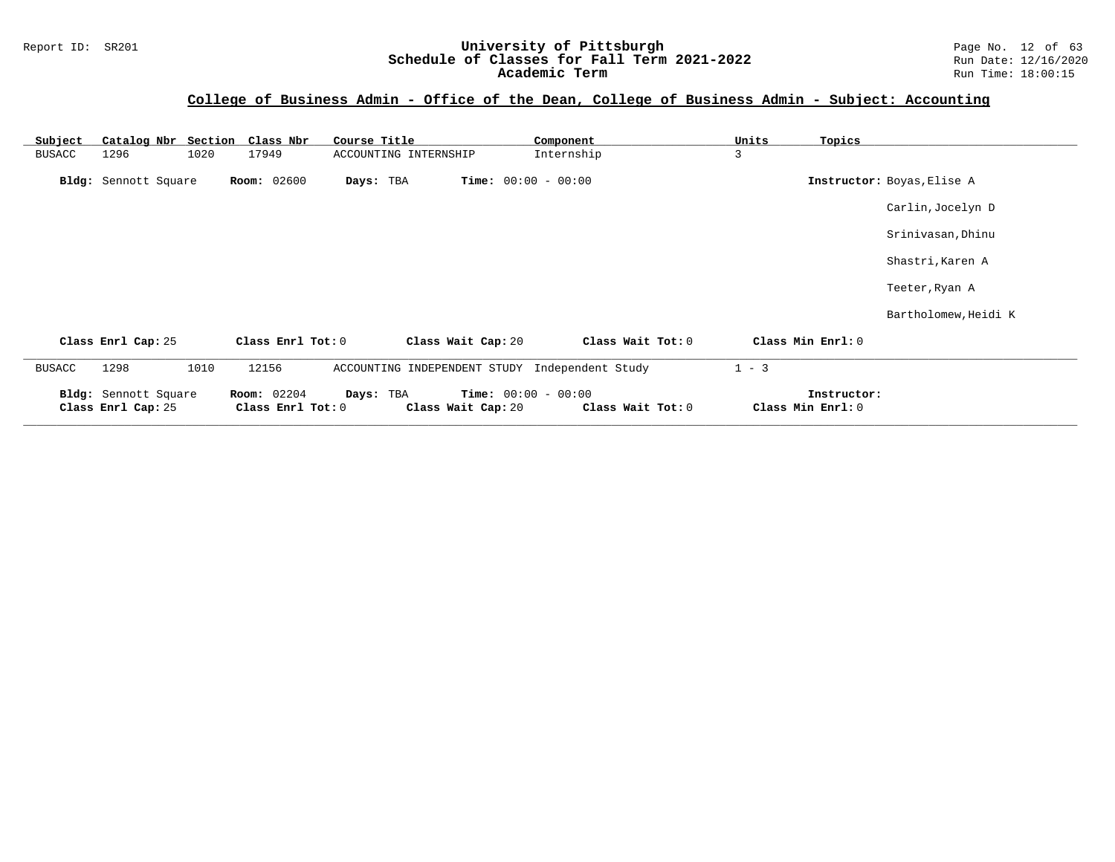#### Report ID: SR201 **1988 Construment Superversity of Pittsburgh** Page No. 12 of 63<br>**Schedule of Classes for Fall Term 2021-2022** 2011 Page No. 12 of 63 **Schedule of Classes for Fall Term 2021-2022** Run Date: 12/16/2020 **Academic Term** Run Time: 18:00:15

| Subject       | Catalog Nbr Section                        | Class Nbr                               | Course Title                                   |                                                    | Component         | Units<br>Topics                  |                            |
|---------------|--------------------------------------------|-----------------------------------------|------------------------------------------------|----------------------------------------------------|-------------------|----------------------------------|----------------------------|
| <b>BUSACC</b> | 1020<br>1296                               | 17949                                   | ACCOUNTING INTERNSHIP                          |                                                    | Internship        | 3                                |                            |
|               | Bldg: Sennott Square                       | <b>Room: 02600</b>                      | Days: TBA                                      | <b>Time:</b> $00:00 - 00:00$                       |                   |                                  | Instructor: Boyas, Elise A |
|               |                                            |                                         |                                                |                                                    |                   |                                  | Carlin, Jocelyn D          |
|               |                                            |                                         |                                                |                                                    |                   |                                  | Srinivasan, Dhinu          |
|               |                                            |                                         |                                                |                                                    |                   |                                  | Shastri, Karen A           |
|               |                                            |                                         |                                                |                                                    |                   |                                  | Teeter, Ryan A             |
|               |                                            |                                         |                                                |                                                    |                   |                                  | Bartholomew, Heidi K       |
|               | Class Enrl Cap: 25                         | Class Enrl Tot: 0                       |                                                | Class Wait Cap: 20                                 | Class Wait Tot: 0 | Class Min Enrl: 0                |                            |
| BUSACC        | 1010<br>1298                               | 12156                                   | ACCOUNTING INDEPENDENT STUDY Independent Study |                                                    |                   | $1 - 3$                          |                            |
|               | Bldg: Sennott Square<br>Class Enrl Cap: 25 | <b>Room:</b> 02204<br>Class Enrl Tot: 0 | Days: TBA                                      | <b>Time:</b> $00:00 - 00:00$<br>Class Wait Cap: 20 | Class Wait Tot: 0 | Instructor:<br>Class Min Enrl: 0 |                            |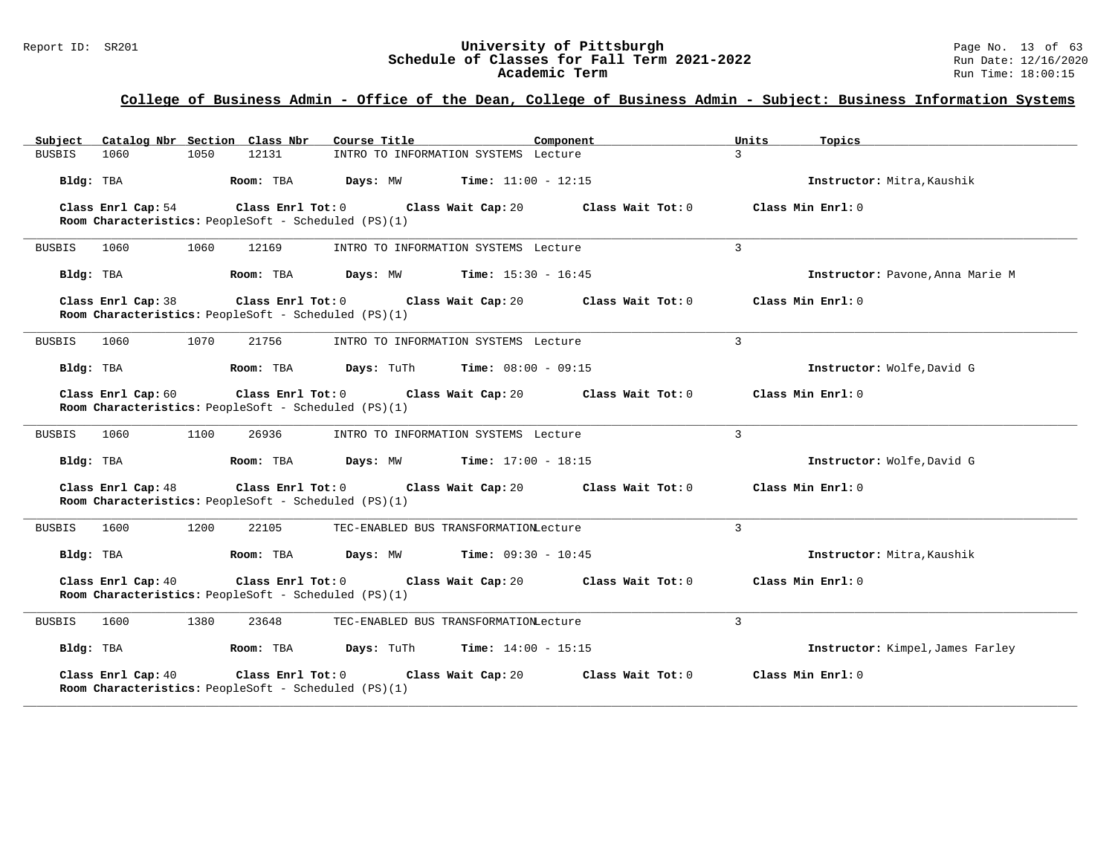# Report ID: SR201 **1988 Mage 10: SR201 University of Pittsburgh** Page No. 13 of 63<br>**Schedule of Classes for Fall Term 2021-2022** 2011 Page No. 13 of 63 Schedule of Classes for Fall Term 2021-2022<br>Academic Term

### **College of Business Admin - Office of the Dean, College of Business Admin - Subject: Business Information Systems**

| Subject Catalog Nbr Section Class Nbr                                                           | Course Title<br>Component                                          | Units<br>Topics                  |
|-------------------------------------------------------------------------------------------------|--------------------------------------------------------------------|----------------------------------|
| 1060<br>1050<br>12131<br><b>BUSBIS</b>                                                          | INTRO TO INFORMATION SYSTEMS Lecture                               | $\mathbf{3}$                     |
| Room: TBA<br>Bldg: TBA                                                                          | Days: MW<br><b>Time:</b> $11:00 - 12:15$                           | Instructor: Mitra, Kaushik       |
| Class Enrl Cap: 54<br>Class Enrl Tot: 0<br>Room Characteristics: PeopleSoft - Scheduled (PS)(1) | Class Wait Cap: 20<br>Class Wait Tot: 0                            | Class Min Enrl: 0                |
| 1060<br>1060<br>12169<br><b>BUSBIS</b>                                                          | INTRO TO INFORMATION SYSTEMS Lecture                               | 3                                |
| Bldg: TBA<br>Room: TBA                                                                          | Days: MW<br><b>Time:</b> $15:30 - 16:45$                           | Instructor: Pavone, Anna Marie M |
| Class Enrl Cap: 38<br>Room Characteristics: PeopleSoft - Scheduled (PS)(1)                      | $Class$ $Enr1$ $Tot: 0$<br>Class Wait Cap: 20<br>Class Wait Tot: 0 | Class Min Enrl: 0                |
| 1070<br><b>BUSBIS</b><br>1060<br>21756                                                          | INTRO TO INFORMATION SYSTEMS Lecture                               | 3                                |
| Bldg: TBA<br>Room: TBA                                                                          | Days: TuTh<br><b>Time:</b> $08:00 - 09:15$                         | Instructor: Wolfe, David G       |
| Class Enrl Cap: 60<br>Room Characteristics: PeopleSoft - Scheduled (PS)(1)                      | $Class$ $Enrl$ $Tot: 0$<br>Class Wait Cap: 20<br>Class Wait Tot: 0 | Class Min Enrl: 0                |
| <b>BUSBIS</b><br>1060<br>1100<br>26936                                                          | INTRO TO INFORMATION SYSTEMS Lecture                               | 3                                |
| Bldg: TBA<br>Room: TBA                                                                          | <b>Time:</b> $17:00 - 18:15$<br>Days: MW                           | Instructor: Wolfe, David G       |
| Class Enrl Cap: 48<br>Room Characteristics: PeopleSoft - Scheduled (PS)(1)                      | Class Enrl Tot: 0 Class Wait Cap: 20<br>Class Wait $Tot: 0$        | Class Min Enrl: 0                |
| 1200<br><b>BUSBIS</b><br>1600<br>22105                                                          | TEC-ENABLED BUS TRANSFORMATIONLecture                              | 3                                |
| Bldg: TBA<br>Room: TBA                                                                          | Days: MW<br><b>Time:</b> $09:30 - 10:45$                           | Instructor: Mitra, Kaushik       |
| Class Enrl Cap: 40<br>Class Enrl Tot: 0<br>Room Characteristics: PeopleSoft - Scheduled (PS)(1) | Class Wait Cap: 20<br>Class Wait $Tot: 0$                          | Class Min Enrl: 0                |
| 1600<br>1380<br>23648<br>BUSBIS                                                                 | TEC-ENABLED BUS TRANSFORMATIONLecture                              | 3                                |
| Bldg: TBA<br>Room: TBA                                                                          | Days: TuTh<br><b>Time:</b> $14:00 - 15:15$                         | Instructor: Kimpel, James Farley |
| Class Enrl Cap: 40<br>Class Enrl Tot: 0<br>Room Characteristics: PeopleSoft - Scheduled (PS)(1) | Class Wait Cap: 20<br>Class Wait Tot: 0                            | Class Min Enrl: 0                |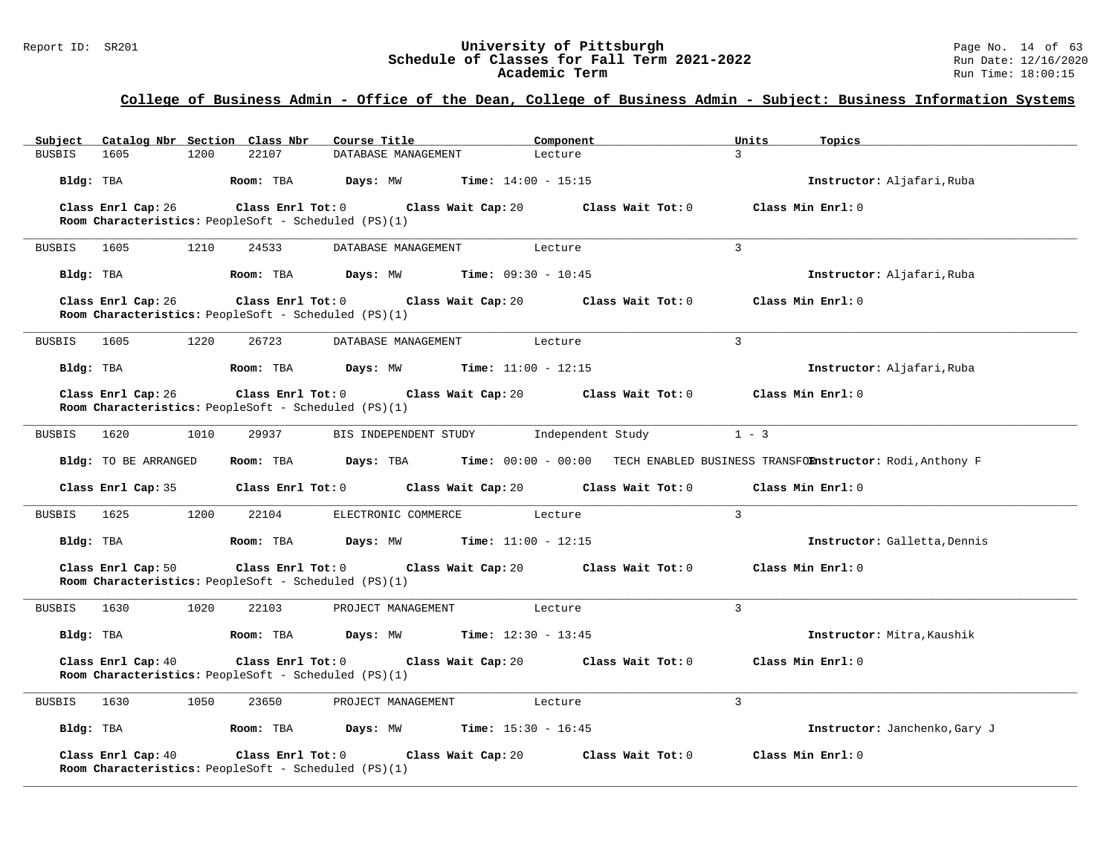# Report ID: SR201 **University of Pittsburgh University of Pittsburgh** Page No. 14 of 63<br>**Schedule of Classes for Fall Term 2021-2022** Run Date: 12/16/2020 Schedule of Classes for Fall Term 2021-2022<br>Academic Term

### **College of Business Admin - Office of the Dean, College of Business Admin - Subject: Business Information Systems**

| Subject       |                      |      | Catalog Nbr Section Class Nbr                        | Course Title                                                  |                              | Component                                              | Units             | Topics                                                                       |
|---------------|----------------------|------|------------------------------------------------------|---------------------------------------------------------------|------------------------------|--------------------------------------------------------|-------------------|------------------------------------------------------------------------------|
| <b>BUSBIS</b> | 1605                 | 1200 | 22107                                                | DATABASE MANAGEMENT                                           |                              | Lecture                                                | $\mathcal{L}$     |                                                                              |
| Bldg: TBA     |                      |      | Room: TBA                                            | Days: MW                                                      | <b>Time:</b> $14:00 - 15:15$ |                                                        |                   | Instructor: Aljafari, Ruba                                                   |
|               | Class Enrl Cap: 26   |      |                                                      | Class Enrl Tot: 0 Class Wait Cap: 20                          |                              | Class Wait Tot: 0                                      |                   | Class Min Enrl: 0                                                            |
|               |                      |      | Room Characteristics: PeopleSoft - Scheduled (PS)(1) |                                                               |                              |                                                        |                   |                                                                              |
| BUSBIS 1605   |                      | 1210 | 24533                                                | DATABASE MANAGEMENT                                           |                              | Lecture                                                | 3                 |                                                                              |
| Bldg: TBA     |                      |      |                                                      | <b>Room:</b> TBA <b>Days:</b> MW <b>Time:</b> 09:30 - 10:45   |                              |                                                        |                   | Instructor: Aljafari, Ruba                                                   |
|               | Class Enrl Cap: 26   |      | Room Characteristics: PeopleSoft - Scheduled (PS)(1) | Class Enrl Tot: 0 Class Wait Cap: 20                          |                              | Class Wait Tot: 0                                      | Class Min Enrl: 0 |                                                                              |
| <b>BUSBIS</b> | 1605                 | 1220 | 26723                                                | DATABASE MANAGEMENT                                           |                              | Lecture                                                | 3                 |                                                                              |
| Bldg: TBA     |                      |      |                                                      | Room: TBA $Days: MW$ Time: $11:00 - 12:15$                    |                              |                                                        |                   | Instructor: Aljafari, Ruba                                                   |
|               | Class Enrl Cap: 26   |      | Room Characteristics: PeopleSoft - Scheduled (PS)(1) | Class Enrl Tot: 0 Class Wait Cap: 20                          |                              | Class Wait Tot: 0                                      |                   | Class Min Enrl: 0                                                            |
| <b>BUSBIS</b> | 1620                 | 1010 | 29937                                                | BIS INDEPENDENT STUDY                                         |                              | Independent Study                                      | $1 - 3$           |                                                                              |
|               | Bldg: TO BE ARRANGED |      | Room: TBA                                            | Days: TBA                                                     |                              |                                                        |                   | Time: 00:00 - 00:00 TECH ENABLED BUSINESS TRANSFORnstructor: Rodi, Anthony F |
|               | Class Enrl Cap: 35   |      |                                                      |                                                               |                              | Class Enrl Tot: 0 Class Wait Cap: 20 Class Wait Tot: 0 |                   | Class Min Enrl: 0                                                            |
| <b>BUSBIS</b> | 1625                 | 1200 | 22104                                                | ELECTRONIC COMMERCE                                           |                              | Lecture                                                | $\overline{3}$    |                                                                              |
| Bldg: TBA     |                      |      | Room: TBA                                            | <b>Days:</b> MW <b>Time:</b> $11:00 - 12:15$                  |                              |                                                        |                   | Instructor: Galletta, Dennis                                                 |
|               | Class Enrl Cap: 50   |      | Room Characteristics: PeopleSoft - Scheduled (PS)(1) | Class Enrl Tot: 0 Class Wait Cap: 20                          |                              | Class Wait Tot: 0                                      |                   | Class Min Enrl: 0                                                            |
| <b>BUSBIS</b> | 1630                 | 1020 | 22103                                                | PROJECT MANAGEMENT Lecture                                    |                              |                                                        | $\mathbf{3}$      |                                                                              |
| Bldg: TBA     |                      |      | Room: TBA                                            | <b>Days:</b> MW <b>Time:</b> $12:30 - 13:45$                  |                              |                                                        |                   | Instructor: Mitra, Kaushik                                                   |
|               | Class Enrl Cap: 40   |      | Room Characteristics: PeopleSoft - Scheduled (PS)(1) |                                                               |                              | Class Enrl Tot: 0 Class Wait Cap: 20 Class Wait Tot: 0 | Class Min Enrl: 0 |                                                                              |
| BUSBIS        | 1630                 | 1050 | 23650                                                | PROJECT MANAGEMENT                                            |                              | Lecture                                                | 3                 |                                                                              |
| Bldg: TBA     |                      |      |                                                      | <b>Room:</b> TBA <b>Days:</b> MW <b>Time:</b> $15:30 - 16:45$ |                              |                                                        |                   | Instructor: Janchenko, Gary J                                                |
|               | Class Enrl Cap: 40   |      | Room Characteristics: PeopleSoft - Scheduled (PS)(1) | Class Enrl Tot: 0 Class Wait Cap: 20                          |                              | Class Wait Tot: 0                                      |                   | Class Min Enrl: 0                                                            |

**\_\_\_\_\_\_\_\_\_\_\_\_\_\_\_\_\_\_\_\_\_\_\_\_\_\_\_\_\_\_\_\_\_\_\_\_\_\_\_\_\_\_\_\_\_\_\_\_\_\_\_\_\_\_\_\_\_\_\_\_\_\_\_\_\_\_\_\_\_\_\_\_\_\_\_\_\_\_\_\_\_\_\_\_\_\_\_\_\_\_\_\_\_\_\_\_\_\_\_\_\_\_\_\_\_\_\_\_\_\_\_\_\_\_\_\_\_\_\_\_\_\_\_\_\_\_\_\_\_\_\_\_\_\_\_\_\_\_\_\_\_\_\_\_\_\_\_\_\_\_\_\_\_\_\_\_**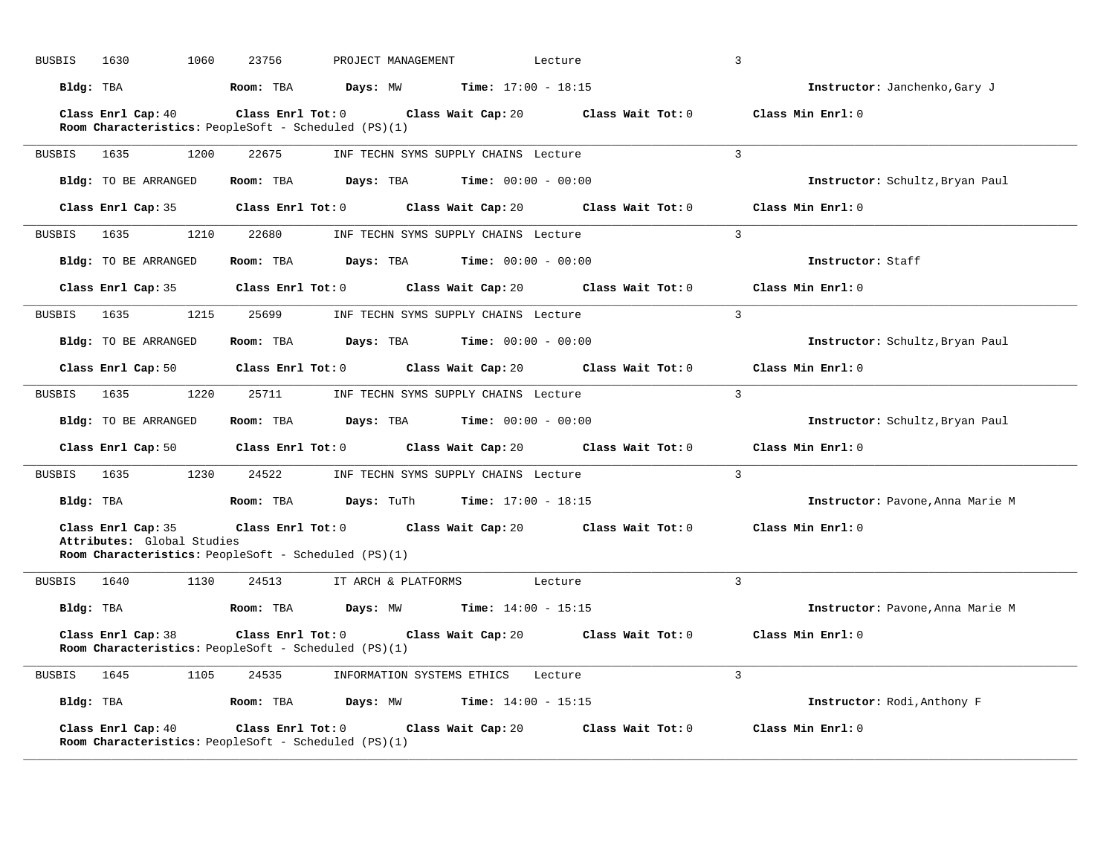| <b>BUSBIS</b> | 1630<br>1060                                                                                                    | 23756                   | PROJECT MANAGEMENT  |                                      | Lecture                                                | 3                                |
|---------------|-----------------------------------------------------------------------------------------------------------------|-------------------------|---------------------|--------------------------------------|--------------------------------------------------------|----------------------------------|
| Bldg: TBA     |                                                                                                                 | Room: TBA               | Days: MW            | <b>Time:</b> $17:00 - 18:15$         |                                                        | Instructor: Janchenko, Gary J    |
|               | Class Enrl Cap: 40<br>Room Characteristics: PeopleSoft - Scheduled (PS)(1)                                      | $Class$ $Enr1$ $Tot: 0$ |                     | Class Wait Cap: 20                   | Class Wait Tot: 0                                      | Class Min Enrl: 0                |
| <b>BUSBIS</b> | 1635<br>1200                                                                                                    | 22675                   |                     | INF TECHN SYMS SUPPLY CHAINS Lecture |                                                        | $\overline{3}$                   |
|               | Bldg: TO BE ARRANGED                                                                                            | Room: TBA               | Days: TBA           | <b>Time:</b> $00:00 - 00:00$         |                                                        | Instructor: Schultz, Bryan Paul  |
|               | Class Enrl Cap: 35                                                                                              | $Class$ $Enr1$ $Tot: 0$ |                     | Class Wait Cap: 20                   | Class Wait Tot: 0                                      | Class Min Enrl: 0                |
| BUSBIS        | 1635<br>1210                                                                                                    | 22680                   |                     | INF TECHN SYMS SUPPLY CHAINS Lecture |                                                        | $\mathcal{L}$                    |
|               | <b>Bldg:</b> TO BE ARRANGED                                                                                     | Room: TBA               | Days: TBA           | <b>Time:</b> $00:00 - 00:00$         |                                                        | Instructor: Staff                |
|               | Class Enrl Cap: 35                                                                                              | Class Enrl Tot: 0       |                     | Class Wait Cap: 20                   | Class Wait Tot: 0                                      | Class Min Enrl: 0                |
| BUSBIS        | 1635<br>1215                                                                                                    | 25699                   |                     | INF TECHN SYMS SUPPLY CHAINS Lecture |                                                        | $\overline{3}$                   |
|               | Bldg: TO BE ARRANGED                                                                                            | Room: TBA               | Days: TBA           | <b>Time:</b> $00:00 - 00:00$         |                                                        | Instructor: Schultz, Bryan Paul  |
|               | Class Enrl Cap: 50                                                                                              | Class Enrl Tot: 0       |                     | Class Wait Cap: 20                   | Class Wait Tot: 0                                      | Class Min Enrl: 0                |
| <b>BUSBIS</b> | 1635<br>1220                                                                                                    | 25711                   |                     | INF TECHN SYMS SUPPLY CHAINS Lecture |                                                        | $\overline{3}$                   |
|               | Bldg: TO BE ARRANGED                                                                                            | Room: TBA               | Days: TBA           | <b>Time:</b> $00:00 - 00:00$         |                                                        | Instructor: Schultz, Bryan Paul  |
|               | Class Enrl Cap: 50                                                                                              | Class Enrl Tot: 0       |                     | Class Wait Cap: 20                   | Class Wait Tot: 0                                      | Class Min Enrl: 0                |
| BUSBIS        | 1230<br>1635                                                                                                    | 24522                   |                     | INF TECHN SYMS SUPPLY CHAINS Lecture |                                                        | $\overline{3}$                   |
| Bldg: TBA     |                                                                                                                 | Room: TBA               | Days: TuTh          | <b>Time:</b> $17:00 - 18:15$         |                                                        | Instructor: Pavone, Anna Marie M |
|               | Class Enrl Cap: 35<br>Attributes: Global Studies<br><b>Room Characteristics:</b> PeopleSoft - Scheduled (PS)(1) |                         |                     |                                      | Class Enrl Tot: 0 Class Wait Cap: 20 Class Wait Tot: 0 | Class Min Enrl: 0                |
| <b>BUSBIS</b> | 1640<br>1130                                                                                                    | 24513                   | IT ARCH & PLATFORMS |                                      | Lecture                                                | $\overline{3}$                   |
| Bldg: TBA     |                                                                                                                 | Room: TBA               | Days: MW            | <b>Time:</b> $14:00 - 15:15$         |                                                        | Instructor: Pavone, Anna Marie M |
|               | Class Enrl Cap: 38<br>Room Characteristics: PeopleSoft - Scheduled (PS)(1)                                      | Class Enrl Tot: 0       |                     | Class Wait Cap: 20                   | Class Wait Tot: 0                                      | Class Min Enrl: 0                |
| BUSBIS        | 1645<br>1105                                                                                                    | 24535                   |                     | INFORMATION SYSTEMS ETHICS Lecture   |                                                        | $\overline{3}$                   |
| Bldg: TBA     |                                                                                                                 | Room: TBA               | Days: MW            | <b>Time:</b> $14:00 - 15:15$         |                                                        | Instructor: Rodi, Anthony F      |
|               | Class Enrl Cap: 40<br>Room Characteristics: PeopleSoft - Scheduled (PS)(1)                                      | $Class$ $Enr1$ $Tot: 0$ |                     | Class Wait Cap: 20                   | Class Wait Tot: 0                                      | Class Min Enrl: 0                |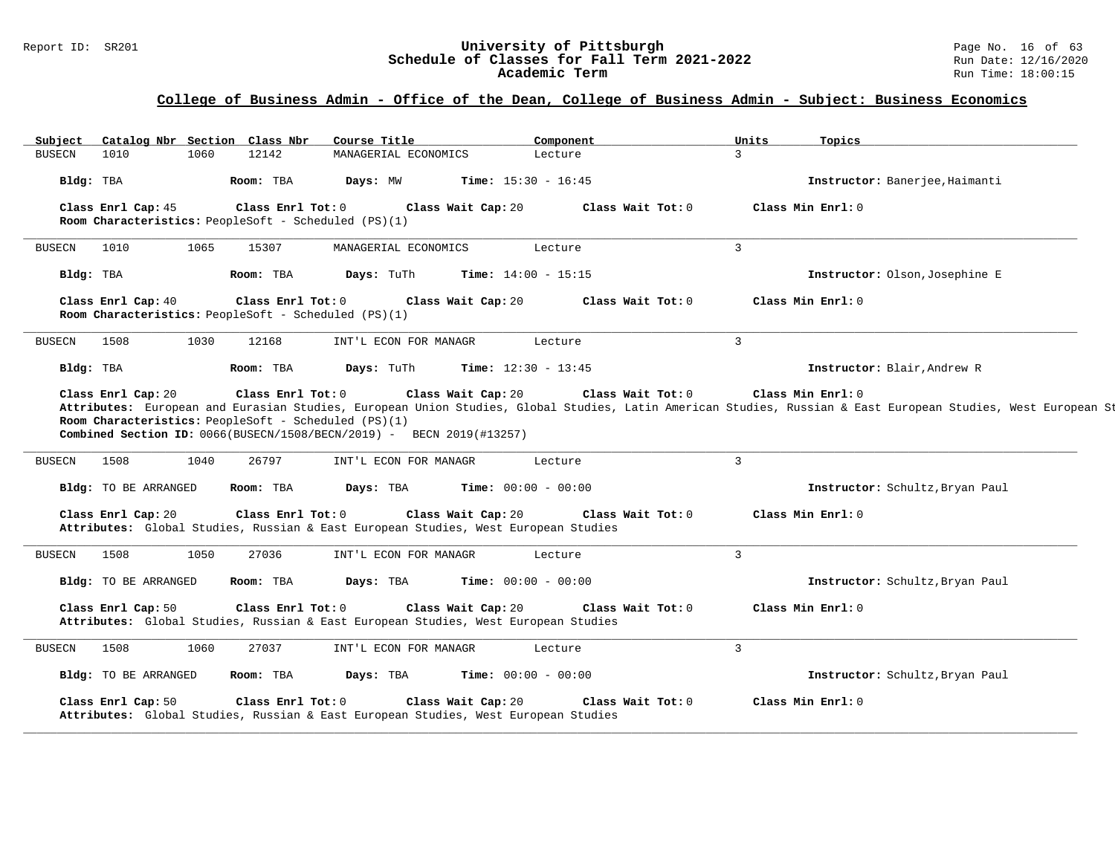# Report ID: SR201 **University of Pittsburgh University of Pittsburgh** Page No. 16 of 63<br>**Schedule of Classes for Fall Term 2021-2022** Run Date: 12/16/2020 Schedule of Classes for Fall Term 2021-2022<br>Academic Term

| <b>BUSECN</b> |                      | Catalog Nbr Section Class Nbr | Course Title                                                                                                                  | Component                               | Units<br>Topics                 |
|---------------|----------------------|-------------------------------|-------------------------------------------------------------------------------------------------------------------------------|-----------------------------------------|---------------------------------|
|               | 1010                 | 12142<br>1060                 | MANAGERIAL ECONOMICS                                                                                                          | Lecture                                 | $\mathcal{L}$                   |
|               | Bldg: TBA            | Room: TBA                     | Days: MW                                                                                                                      | <b>Time:</b> $15:30 - 16:45$            | Instructor: Banerjee, Haimanti  |
|               | Class Enrl Cap: 45   |                               | Class Enrl Tot: 0<br>Class Wait Cap: 20<br>Room Characteristics: PeopleSoft - Scheduled $(PS)(1)$                             | Class Wait Tot: 0                       | Class Min Enrl: 0               |
| <b>BUSECN</b> | 1010                 | 15307<br>1065                 | MANAGERIAL ECONOMICS                                                                                                          | Lecture                                 | $\mathbf{3}$                    |
|               | Bldg: TBA            | Room: TBA                     | Days: TuTh                                                                                                                    | <b>Time:</b> $14:00 - 15:15$            | Instructor: Olson, Josephine E  |
|               | Class Enrl Cap: 40   |                               | Class Enrl Tot: 0<br>Room Characteristics: PeopleSoft - Scheduled (PS)(1)                                                     | Class Wait Cap: 20<br>Class Wait Tot: 0 | Class Min Enrl: 0               |
| <b>BUSECN</b> | 1508                 | 1030<br>12168                 | INT'L ECON FOR MANAGR                                                                                                         | Lecture                                 | $\overline{3}$                  |
|               | Bldg: TBA            | Room: TBA                     | Days: TuTh                                                                                                                    | <b>Time:</b> $12:30 - 13:45$            | Instructor: Blair, Andrew R     |
| <b>BUSECN</b> | 1508                 | 26797<br>1040                 | INT'L ECON FOR MANAGR                                                                                                         | Lecture                                 | $\mathbf{3}$                    |
|               | Bldg: TO BE ARRANGED | Room: TBA                     | Days: TBA                                                                                                                     | Time: $00:00 - 00:00$                   | Instructor: Schultz, Bryan Paul |
|               | Class Enrl Cap: 20   |                               | Class Wait Cap: 20<br>Class Enrl Tot: 0<br>Attributes: Global Studies, Russian & East European Studies, West European Studies | Class Wait Tot: 0                       | Class Min Enrl: 0               |
|               |                      |                               |                                                                                                                               |                                         |                                 |
| <b>BUSECN</b> | 1508                 | 1050<br>27036                 | INT'L ECON FOR MANAGR                                                                                                         | Lecture                                 | $\overline{3}$                  |
|               | Bldg: TO BE ARRANGED | Room: TBA                     | Days: TBA                                                                                                                     | <b>Time:</b> $00:00 - 00:00$            | Instructor: Schultz, Bryan Paul |
|               | Class Enrl Cap: 50   |                               | Class Enrl Tot: 0<br>Class Wait Cap: 20<br>Attributes: Global Studies, Russian & East European Studies, West European Studies | Class Wait Tot: 0                       | Class Min Enrl: 0               |
| <b>BUSECN</b> | 1508                 | 27037<br>1060                 | INT'L ECON FOR MANAGR                                                                                                         | Lecture                                 | $\overline{3}$                  |
|               | Bldg: TO BE ARRANGED | Room: TBA                     | Days: TBA                                                                                                                     | <b>Time:</b> $00:00 - 00:00$            | Instructor: Schultz, Bryan Paul |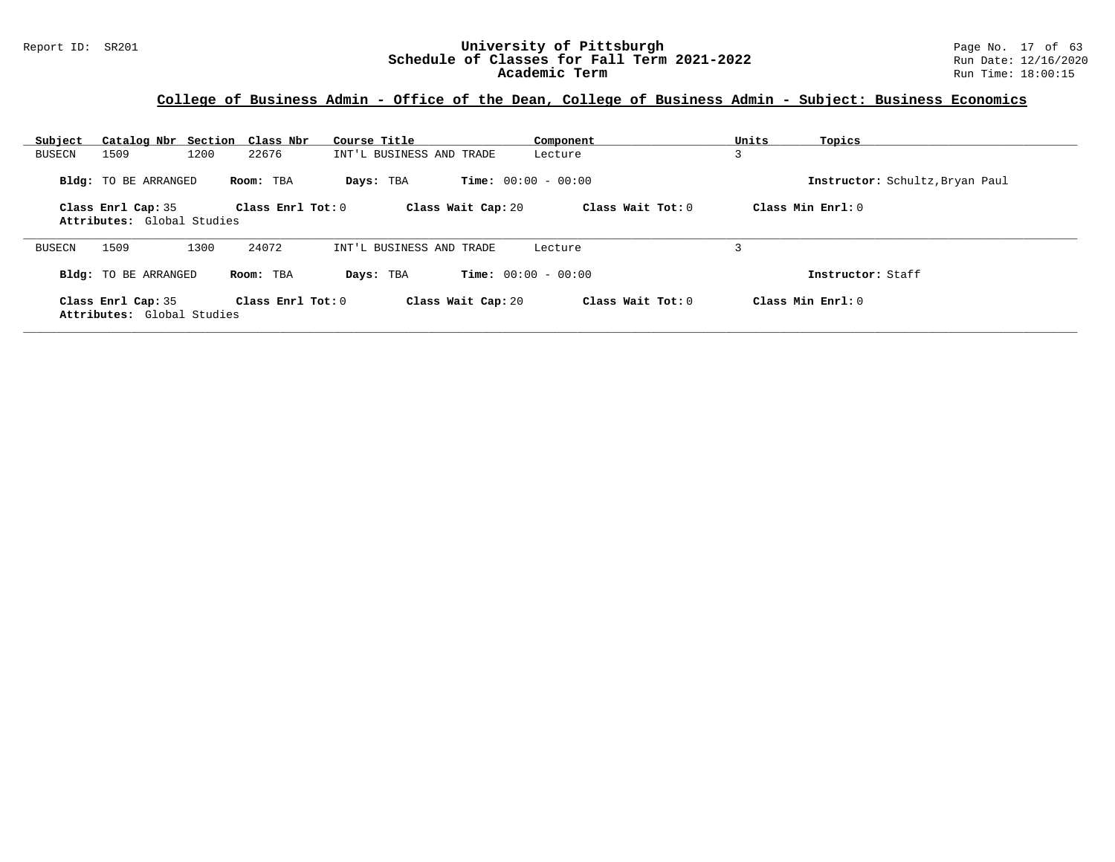| Subject                                          | Catalog Nbr Section<br>Class Nbr | Course Title             | Component                    | Units<br>Topics                 |  |
|--------------------------------------------------|----------------------------------|--------------------------|------------------------------|---------------------------------|--|
| 1509<br><b>BUSECN</b>                            | 1200<br>22676                    | INT'L BUSINESS AND TRADE | Lecture                      | 3                               |  |
| <b>Bldg:</b> TO BE ARRANGED                      | Room: TBA                        | Days: TBA                | <b>Time:</b> $00:00 - 00:00$ | Instructor: Schultz, Bryan Paul |  |
| Class Enrl Cap: 35<br>Attributes: Global Studies | Class Enrl Tot: 0                | Class Wait Cap: 20       | Class Wait Tot: 0            | Class Min $Enrl: 0$             |  |
| 1509<br><b>BUSECN</b>                            | 24072<br>1300                    | INT'L BUSINESS AND TRADE | Lecture                      |                                 |  |
| <b>Bldg:</b> TO BE ARRANGED                      | Room: TBA                        | Days: TBA                | <b>Time:</b> $00:00 - 00:00$ | Instructor: Staff               |  |
| Class Enrl Cap: 35<br>Attributes: Global Studies | Class Enrl Tot: $0$              | Class Wait Cap: 20       | Class Wait Tot: 0            | Class Min Enrl: 0               |  |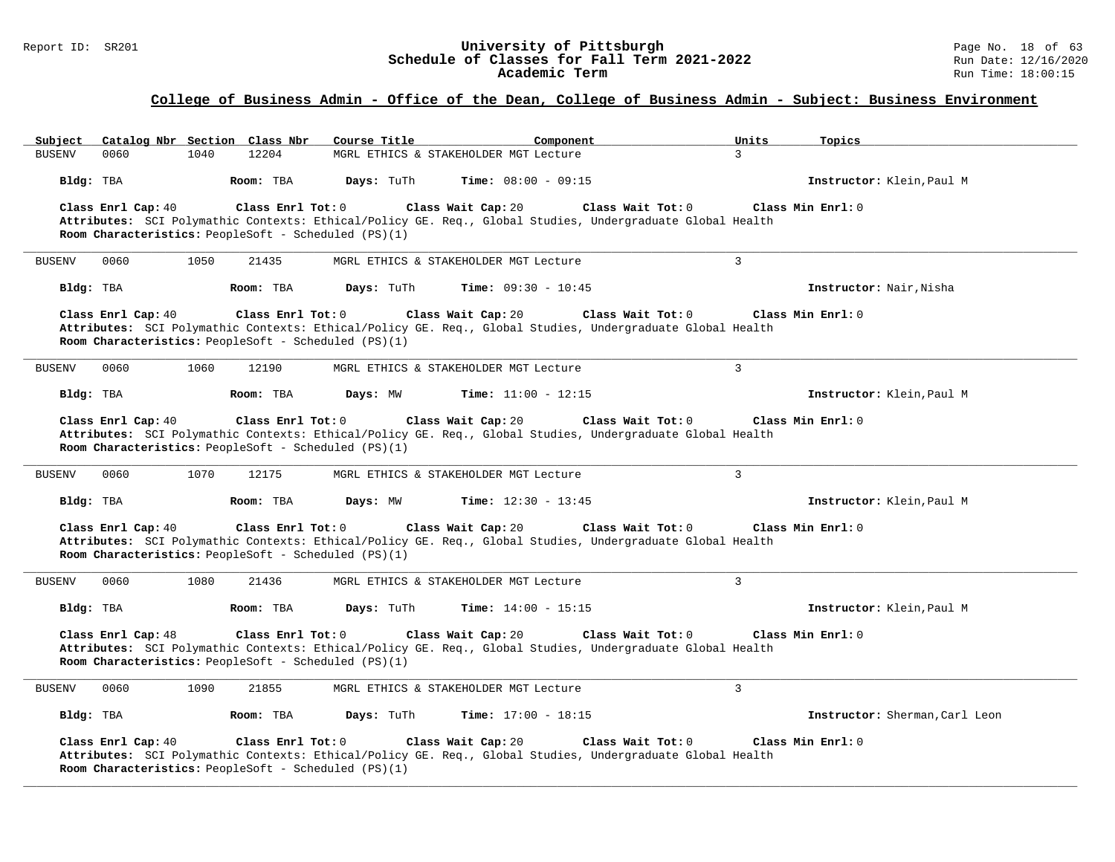#### Report ID: SR201 **University of Pittsburgh University of Pittsburgh** Page No. 18 of 63<br>**Schedule of Classes for Fall Term 2021-2022** Run Date: 12/16/2020 **Schedule of Classes for Fall Term 2021-2022** Run Date: 12/16/2020 **Academic Term** Run Time: 18:00:15

# **College of Business Admin - Office of the Dean, College of Business Admin - Subject: Business Environment**

| Catalog Nbr Section Class Nbr<br>Subject                                                        | Course Title<br>Component                                                                                                                            | Units<br>Topics                |
|-------------------------------------------------------------------------------------------------|------------------------------------------------------------------------------------------------------------------------------------------------------|--------------------------------|
| 0060<br>1040<br>12204<br><b>BUSENV</b>                                                          | MGRL ETHICS & STAKEHOLDER MGT Lecture                                                                                                                | 3                              |
| Bldg: TBA<br>Room: TBA                                                                          | Days: TuTh<br><b>Time:</b> $08:00 - 09:15$                                                                                                           | Instructor: Klein, Paul M      |
| Class Enrl Cap: 40<br>Class Enrl Tot: 0<br>Room Characteristics: PeopleSoft - Scheduled (PS)(1) | Class Wait Tot: 0<br>Class Wait Cap: 20<br>Attributes: SCI Polymathic Contexts: Ethical/Policy GE. Req., Global Studies, Undergraduate Global Health | Class Min Enrl: 0              |
| 0060<br>1050<br>21435<br><b>BUSENV</b>                                                          | MGRL ETHICS & STAKEHOLDER MGT Lecture                                                                                                                | 3                              |
| Room: TBA<br>Bldg: TBA                                                                          | Days: TuTh<br><b>Time:</b> $09:30 - 10:45$                                                                                                           | Instructor: Nair, Nisha        |
| Class Enrl Cap: 40<br>Class Enrl Tot: 0<br>Room Characteristics: PeopleSoft - Scheduled (PS)(1) | Class Wait Cap: 20<br>Class Wait Tot: 0<br>Attributes: SCI Polymathic Contexts: Ethical/Policy GE. Req., Global Studies, Undergraduate Global Health | Class Min Enrl: 0              |
| <b>BUSENV</b><br>0060<br>1060<br>12190                                                          | MGRL ETHICS & STAKEHOLDER MGT Lecture                                                                                                                | $\overline{3}$                 |
| Bldg: TBA<br>Room: TBA                                                                          | <b>Time:</b> $11:00 - 12:15$<br>Days: MW                                                                                                             | Instructor: Klein, Paul M      |
| Class Enrl Cap: 40<br>Class Enrl Tot: 0<br>Room Characteristics: PeopleSoft - Scheduled (PS)(1) | Class Wait Cap: 20<br>Class Wait Tot: 0<br>Attributes: SCI Polymathic Contexts: Ethical/Policy GE. Req., Global Studies, Undergraduate Global Health | Class Min Enrl: 0              |
| <b>BUSENV</b><br>0060<br>1070<br>12175                                                          | MGRL ETHICS & STAKEHOLDER MGT Lecture                                                                                                                | 3                              |
| Bldg: TBA<br>Room: TBA                                                                          | Days: MW<br><b>Time:</b> $12:30 - 13:45$                                                                                                             | Instructor: Klein, Paul M      |
| Class Enrl Cap: 40<br>Class Enrl Tot: 0<br>Room Characteristics: PeopleSoft - Scheduled (PS)(1) | Class Wait Cap: 20<br>Class Wait Tot: 0<br>Attributes: SCI Polymathic Contexts: Ethical/Policy GE. Req., Global Studies, Undergraduate Global Health | Class Min Enrl: 0              |
| <b>BUSENV</b><br>0060<br>1080<br>21436                                                          | MGRL ETHICS & STAKEHOLDER MGT Lecture                                                                                                                | 3                              |
| Bldg: TBA<br>Room: TBA                                                                          | Days: TuTh<br>Time: $14:00 - 15:15$                                                                                                                  | Instructor: Klein, Paul M      |
| Class Enrl Tot: 0<br>Class Enrl Cap: 48<br>Room Characteristics: PeopleSoft - Scheduled (PS)(1) | Class Wait Cap: 20<br>Class Wait Tot: 0<br>Attributes: SCI Polymathic Contexts: Ethical/Policy GE. Req., Global Studies, Undergraduate Global Health | Class Min Enrl: 0              |
| 1090<br>21855<br><b>BUSENV</b><br>0060                                                          | MGRL ETHICS & STAKEHOLDER MGT Lecture                                                                                                                | 3                              |
| Bldg: TBA<br>Room: TBA                                                                          | Days: TuTh<br><b>Time:</b> $17:00 - 18:15$                                                                                                           | Instructor: Sherman, Carl Leon |
| Class Enrl Cap: 40<br>Class Enrl Tot: 0<br>Room Characteristics: PeopleSoft - Scheduled (PS)(1) | Class Wait Tot: 0<br>Class Wait Cap: 20<br>Attributes: SCI Polymathic Contexts: Ethical/Policy GE. Req., Global Studies, Undergraduate Global Health | Class Min Enrl: 0              |

**\_\_\_\_\_\_\_\_\_\_\_\_\_\_\_\_\_\_\_\_\_\_\_\_\_\_\_\_\_\_\_\_\_\_\_\_\_\_\_\_\_\_\_\_\_\_\_\_\_\_\_\_\_\_\_\_\_\_\_\_\_\_\_\_\_\_\_\_\_\_\_\_\_\_\_\_\_\_\_\_\_\_\_\_\_\_\_\_\_\_\_\_\_\_\_\_\_\_\_\_\_\_\_\_\_\_\_\_\_\_\_\_\_\_\_\_\_\_\_\_\_\_\_\_\_\_\_\_\_\_\_\_\_\_\_\_\_\_\_\_\_\_\_\_\_\_\_\_\_\_\_\_\_\_\_\_**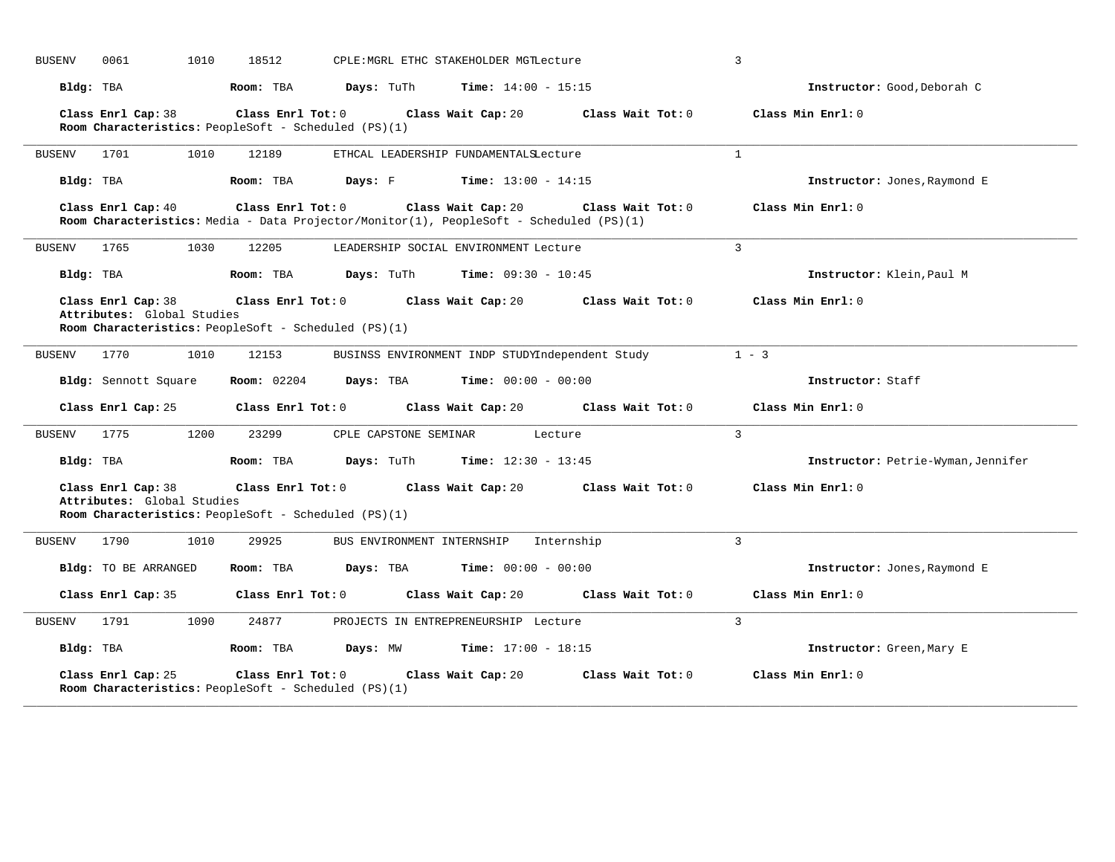| <b>BUSENV</b> | 1010<br>0061                                                                                                  | 18512              |                                      | CPLE: MGRL ETHC STAKEHOLDER MGTLecture          |                   | $\overline{3}$                     |
|---------------|---------------------------------------------------------------------------------------------------------------|--------------------|--------------------------------------|-------------------------------------------------|-------------------|------------------------------------|
| Bldg: TBA     |                                                                                                               | Room: TBA          | <b>Days:</b> TuTh                    | <b>Time:</b> $14:00 - 15:15$                    |                   | Instructor: Good, Deborah C        |
|               | Class Enrl Cap: 38<br>Room Characteristics: PeopleSoft - Scheduled (PS)(1)                                    | Class Enrl Tot: 0  |                                      | Class Wait Cap: 20                              | Class Wait Tot: 0 | Class Min Enrl: 0                  |
| BUSENV        | 1701<br>1010                                                                                                  | 12189              |                                      | ETHCAL LEADERSHIP FUNDAMENTALSLecture           |                   | $\mathbf{1}$                       |
| Bldg: TBA     |                                                                                                               | Room: TBA          | Days: F                              | <b>Time:</b> $13:00 - 14:15$                    |                   | Instructor: Jones, Raymond E       |
|               | Class Enrl Cap: 40<br>Room Characteristics: Media - Data Projector/Monitor(1), PeopleSoft - Scheduled (PS)(1) | Class Enrl Tot: 0  |                                      | Class Wait Cap: 20                              | Class Wait Tot: 0 | Class Min Enrl: 0                  |
| <b>BUSENV</b> | 1765<br>1030                                                                                                  | 12205              |                                      | LEADERSHIP SOCIAL ENVIRONMENT Lecture           |                   | 3                                  |
| Bldg: TBA     |                                                                                                               | Room: TBA          | <b>Days:</b> TuTh                    | <b>Time:</b> $09:30 - 10:45$                    |                   | Instructor: Klein, Paul M          |
|               | Class Enrl Cap: 38<br>Attributes: Global Studies<br>Room Characteristics: PeopleSoft - Scheduled (PS)(1)      |                    | Class Enrl Tot: 0 Class Wait Cap: 20 |                                                 | Class Wait Tot: 0 | Class Min Enrl: 0                  |
| <b>BUSENV</b> | 1770<br>1010                                                                                                  | 12153              |                                      | BUSINSS ENVIRONMENT INDP STUDYIndependent Study |                   | $1 - 3$                            |
|               | Bldg: Sennott Square                                                                                          | <b>Room:</b> 02204 | Days: TBA                            | <b>Time:</b> $00:00 - 00:00$                    |                   | Instructor: Staff                  |
|               | Class Enrl Cap: 25                                                                                            | Class Enrl Tot: 0  |                                      | Class Wait Cap: 20                              | Class Wait Tot: 0 | Class Min Enrl: 0                  |
| BUSENV        | 1200<br>1775                                                                                                  | 23299              | CPLE CAPSTONE SEMINAR                | Lecture                                         |                   | 3                                  |
| Bldg: TBA     |                                                                                                               | Room: TBA          | Days: TuTh                           | <b>Time:</b> $12:30 - 13:45$                    |                   | Instructor: Petrie-Wyman, Jennifer |
|               | Class Enrl Cap: 38<br>Attributes: Global Studies<br>Room Characteristics: PeopleSoft - Scheduled (PS)(1)      | Class Enrl Tot: 0  | Class Wait Cap: 20                   |                                                 | Class Wait Tot: 0 | Class Min Enrl: 0                  |
| <b>BUSENV</b> | 1790<br>1010                                                                                                  | 29925              | BUS ENVIRONMENT INTERNSHIP           | Internship                                      |                   | 3                                  |
|               | Bldg: TO BE ARRANGED                                                                                          | Room: TBA          | Days: TBA                            | <b>Time:</b> $00:00 - 00:00$                    |                   | Instructor: Jones, Raymond E       |
|               | Class Enrl Cap: 35                                                                                            | Class Enrl Tot: 0  |                                      | Class Wait Cap: 20                              | Class Wait Tot: 0 | Class Min Enrl: 0                  |
| <b>BUSENV</b> | 1791<br>1090                                                                                                  | 24877              |                                      | PROJECTS IN ENTREPRENEURSHIP Lecture            |                   | $\mathbf{R}$                       |
| Bldg: TBA     |                                                                                                               | Room: TBA          | Days: MW                             | $Time: 17:00 - 18:15$                           |                   | Instructor: Green, Mary E          |
|               | Class Enrl Cap: 25<br>Room Characteristics: PeopleSoft - Scheduled (PS)(1)                                    | Class Enrl Tot: 0  |                                      | Class Wait Cap: 20                              | Class Wait Tot: 0 | Class Min Enrl: 0                  |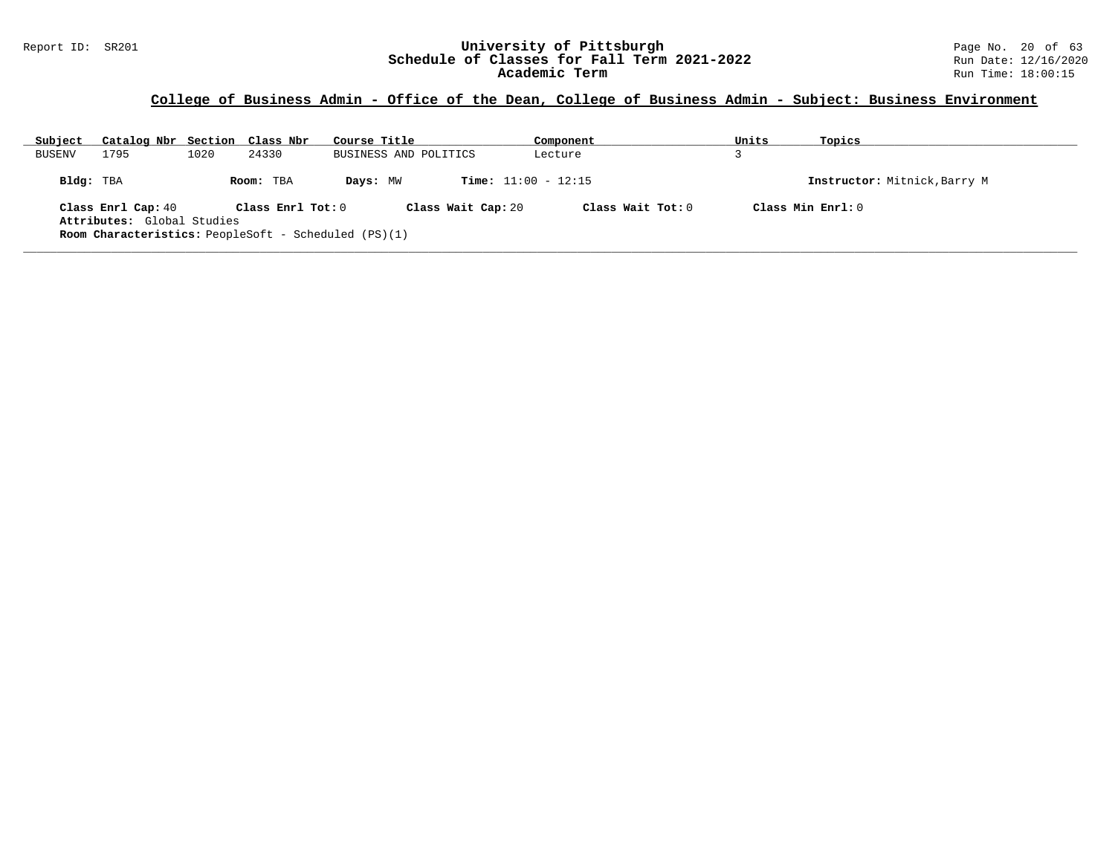| Subject       | Catalog Nbr Section Class Nbr                               |      |                   | Course Title |                              | Component           | Units | Topics                       |
|---------------|-------------------------------------------------------------|------|-------------------|--------------|------------------------------|---------------------|-------|------------------------------|
| <b>BUSENV</b> | 1795                                                        | 1020 | 24330             |              | BUSINESS AND POLITICS        | Lecture             |       |                              |
| Bldg: TBA     |                                                             |      | Room: TBA         | Days: MW     | <b>Time:</b> $11:00 - 12:15$ |                     |       | Instructor: Mitnick, Barry M |
|               | Class Enrl Cap: 40                                          |      | Class Enrl Tot: 0 |              | Class Wait Cap: 20           | Class Wait $Tot: 0$ |       | Class Min Enrl: 0            |
|               | Attributes: Global Studies                                  |      |                   |              |                              |                     |       |                              |
|               | <b>Room Characteristics:</b> PeopleSoft - Scheduled (PS)(1) |      |                   |              |                              |                     |       |                              |
|               |                                                             |      |                   |              |                              |                     |       |                              |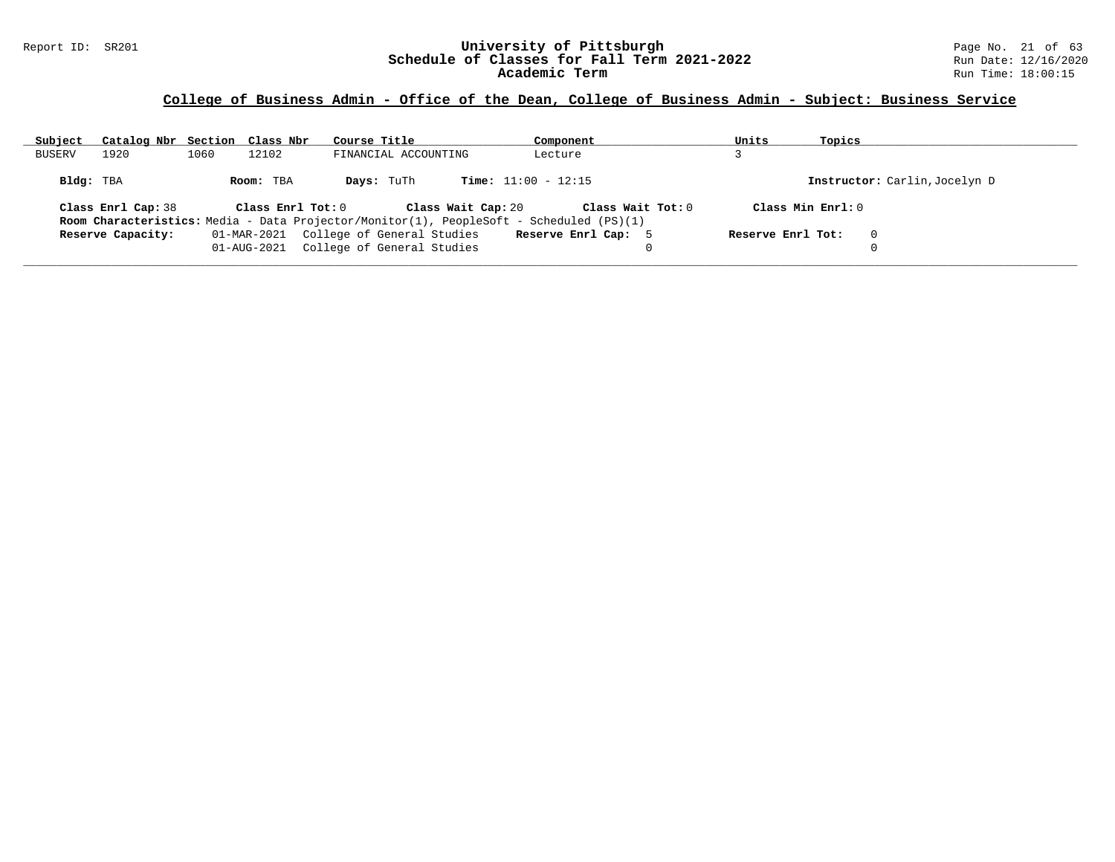| Subject   | Catalog Nbr Section Class Nbr |      |                   | Course Title                                                                                                  | Component                    | Units             | Topics            |                               |
|-----------|-------------------------------|------|-------------------|---------------------------------------------------------------------------------------------------------------|------------------------------|-------------------|-------------------|-------------------------------|
| BUSERV    | 1920                          | 1060 | 12102             | FINANCIAL ACCOUNTING                                                                                          | Lecture                      |                   |                   |                               |
| Bldg: TBA |                               |      | Room: TBA         | Days: TuTh                                                                                                    | <b>Time:</b> $11:00 - 12:15$ |                   |                   | Instructor: Carlin, Jocelyn D |
|           | Class Enrl Cap: 38            |      | Class Enrl Tot: 0 | Class Wait Cap: 20<br>Room Characteristics: Media - Data Projector/Monitor(1), PeopleSoft - Scheduled (PS)(1) | Class Wait Tot: 0            |                   | Class Min Enrl: 0 |                               |
|           | Reserve Capacity:             |      | 01-MAR-2021       | College of General Studies                                                                                    | Reserve Enrl Cap: 5          | Reserve Enrl Tot: |                   | $\Omega$                      |
|           |                               |      | 01-AUG-2021       | College of General Studies                                                                                    | 0                            |                   |                   | 0                             |
|           |                               |      |                   |                                                                                                               |                              |                   |                   |                               |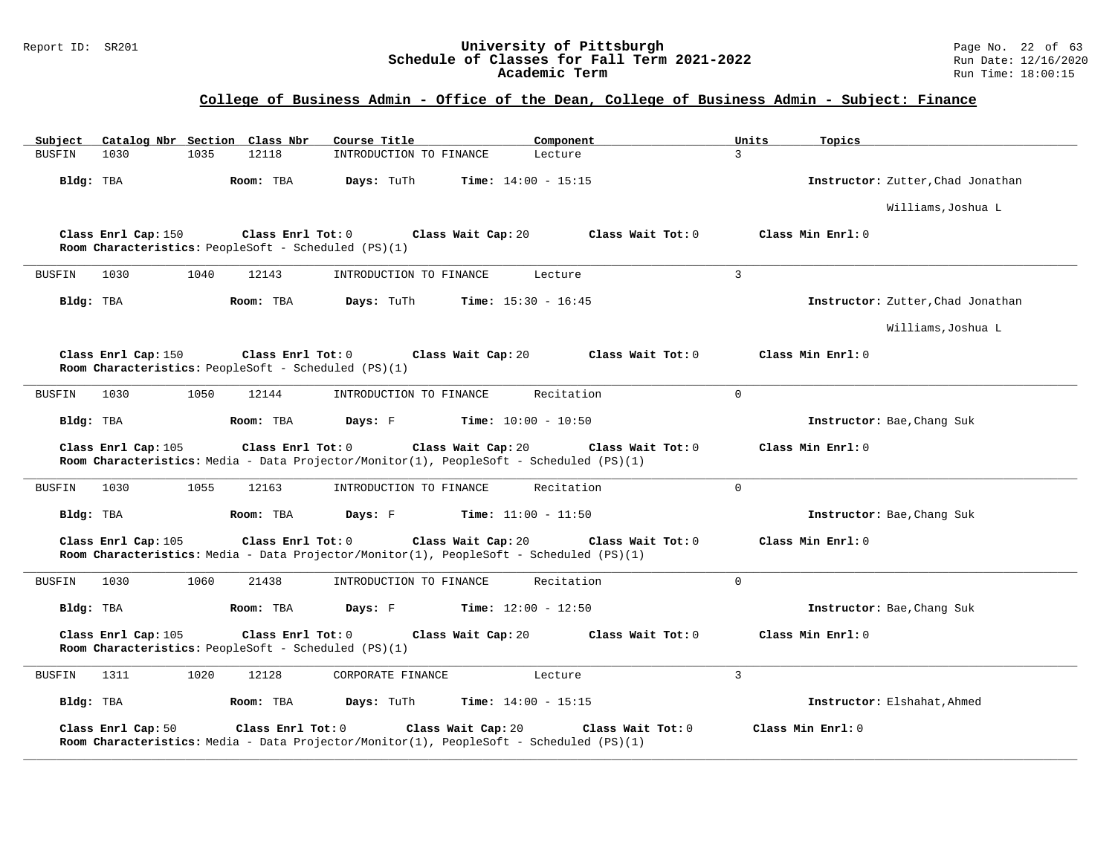#### Report ID: SR201 **University of Pittsburgh** Page No. 22 of 63 **Schedule of Classes for Fall Term 2021-2022** Run Date: 12/16/2020 **Academic Term** Run Time: 18:00:15

| Subject       | Catalog Nbr Section Class Nbr |      |                                                                           | Course Title            | Component                                                                                                                          | Units<br>Topics                   |
|---------------|-------------------------------|------|---------------------------------------------------------------------------|-------------------------|------------------------------------------------------------------------------------------------------------------------------------|-----------------------------------|
| <b>BUSFIN</b> | 1030                          | 1035 | 12118                                                                     | INTRODUCTION TO FINANCE | Lecture                                                                                                                            | 3                                 |
| Bldg: TBA     |                               |      | Room: TBA                                                                 | Days: TuTh              | <b>Time:</b> $14:00 - 15:15$                                                                                                       | Instructor: Zutter, Chad Jonathan |
|               |                               |      |                                                                           |                         |                                                                                                                                    | Williams, Joshua L                |
|               | Class Enrl Cap: 150           |      | Class Enrl Tot: 0<br>Room Characteristics: PeopleSoft - Scheduled (PS)(1) |                         | Class Wait Cap: 20<br>Class Wait Tot: 0                                                                                            | Class Min Enrl: 0                 |
| <b>BUSFIN</b> | 1030                          | 1040 | 12143                                                                     | INTRODUCTION TO FINANCE | Lecture                                                                                                                            | 3                                 |
| Bldg: TBA     |                               |      | Room: TBA                                                                 | Days: TuTh              | <b>Time:</b> $15:30 - 16:45$                                                                                                       | Instructor: Zutter, Chad Jonathan |
|               |                               |      |                                                                           |                         |                                                                                                                                    | Williams, Joshua L                |
|               | Class Enrl Cap: 150           |      | Class Enrl Tot: 0<br>Room Characteristics: PeopleSoft - Scheduled (PS)(1) |                         | Class Wait Cap: 20<br>Class Wait Tot: 0                                                                                            | Class Min Enrl: 0                 |
| <b>BUSFIN</b> | 1030                          | 1050 | 12144                                                                     | INTRODUCTION TO FINANCE | Recitation                                                                                                                         | $\Omega$                          |
| Bldg: TBA     |                               |      | Room: TBA                                                                 | Days: F                 | <b>Time:</b> $10:00 - 10:50$                                                                                                       | Instructor: Bae, Chang Suk        |
|               | Class Enrl Cap: 105           |      | Class Enrl Tot: 0                                                         |                         | Class Wait Cap: 20<br>Class Wait Tot: 0<br>Room Characteristics: Media - Data Projector/Monitor(1), PeopleSoft - Scheduled (PS)(1) | Class Min Enrl: 0                 |
| <b>BUSFIN</b> | 1030                          | 1055 | 12163                                                                     | INTRODUCTION TO FINANCE | Recitation                                                                                                                         | $\Omega$                          |
| Bldg: TBA     |                               |      | Room: TBA                                                                 | Days: F                 | <b>Time:</b> $11:00 - 11:50$                                                                                                       | Instructor: Bae, Chang Suk        |
|               | Class Enrl Cap: 105           |      | Class Enrl Tot: 0                                                         |                         | Class Wait Cap: 20<br>Class Wait Tot: 0<br>Room Characteristics: Media - Data Projector/Monitor(1), PeopleSoft - Scheduled (PS)(1) | Class Min Enrl: 0                 |
| BUSFIN        | 1030                          | 1060 | 21438                                                                     | INTRODUCTION TO FINANCE | Recitation                                                                                                                         | $\Omega$                          |
| Bldg: TBA     |                               |      | Room: TBA                                                                 | Days: F                 | <b>Time:</b> $12:00 - 12:50$                                                                                                       | Instructor: Bae, Chang Suk        |
|               | Class Enrl Cap: 105           |      | Class Enrl Tot: 0<br>Room Characteristics: PeopleSoft - Scheduled (PS)(1) |                         | Class Wait Cap: 20<br>Class Wait Tot: 0                                                                                            | Class Min Enrl: 0                 |
| <b>BUSFIN</b> | 1311                          | 1020 | 12128                                                                     | CORPORATE FINANCE       | Lecture                                                                                                                            | 3                                 |
| Bldg: TBA     |                               |      | Room: TBA                                                                 | Days: TuTh              | Time: $14:00 - 15:15$                                                                                                              | Instructor: Elshahat, Ahmed       |
|               | Class Enrl Cap: 50            |      | Class Enrl Tot: 0                                                         |                         | Class Wait Cap: 20<br>Class Wait Tot: 0<br>Room Characteristics: Media - Data Projector/Monitor(1), PeopleSoft - Scheduled (PS)(1) | Class Min Enrl: 0                 |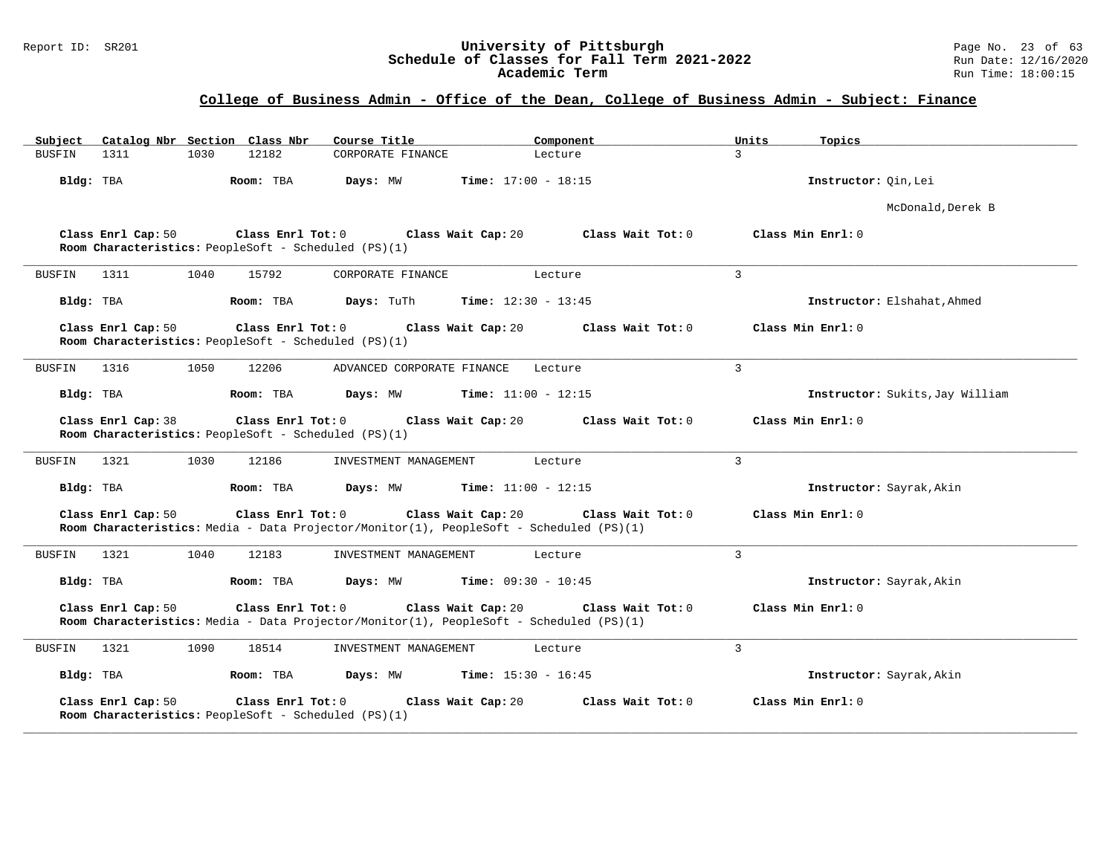#### Report ID: SR201 **University of Pittsburgh** Page No. 23 of 63 **Schedule of Classes for Fall Term 2021-2022** Run Date: 12/16/2020 **Academic Term** Run Time: 18:00:15

| Catalog Nbr Section Class Nbr<br>Subject                                                                                           | Course Title                         | Component                    | Units<br>Topics                 |
|------------------------------------------------------------------------------------------------------------------------------------|--------------------------------------|------------------------------|---------------------------------|
| 12182<br><b>BUSFIN</b><br>1311<br>1030                                                                                             | CORPORATE FINANCE                    | Lecture                      | $\mathcal{L}$                   |
| Bldg: TBA<br>Room: TBA                                                                                                             | Days: MW                             | <b>Time:</b> $17:00 - 18:15$ | Instructor: Qin, Lei            |
|                                                                                                                                    |                                      |                              | McDonald, Derek B               |
| Class Enrl Cap: 50<br>Room Characteristics: PeopleSoft - Scheduled (PS)(1)                                                         | Class Enrl Tot: 0 Class Wait Cap: 20 | Class Wait Tot: 0            | Class Min Enrl: 0               |
| 1040<br>15792<br>BUSFIN<br>1311                                                                                                    | CORPORATE FINANCE                    | Lecture                      | 3                               |
| Bldg: TBA<br>Room: TBA                                                                                                             | Days: TuTh                           | <b>Time:</b> $12:30 - 13:45$ | Instructor: Elshahat, Ahmed     |
| Class Enrl Cap: 50<br>$Class$ $Enrl$ $Tot: 0$<br>Room Characteristics: PeopleSoft - Scheduled (PS)(1)                              | Class Wait Cap: 20                   | Class Wait Tot: 0            | Class Min Enrl: 0               |
| <b>BUSFIN</b><br>1316<br>1050<br>12206                                                                                             | ADVANCED CORPORATE FINANCE           | Lecture                      | 3                               |
| Bldg: TBA<br>Room: TBA                                                                                                             | Days: MW                             | <b>Time:</b> $11:00 - 12:15$ | Instructor: Sukits, Jay William |
| Class Enrl Cap: 38<br>Class Enrl Tot: 0<br>Room Characteristics: PeopleSoft - Scheduled (PS)(1)                                    | Class Wait Cap: 20                   | Class Wait Tot: 0            | Class Min Enrl: 0               |
| 1321<br>1030<br>12186<br>BUSFIN                                                                                                    | INVESTMENT MANAGEMENT                | Lecture                      | 3                               |
| Room: TBA<br>Bldg: TBA                                                                                                             | Days: MW                             | <b>Time:</b> $11:00 - 12:15$ | Instructor: Sayrak, Akin        |
| Class Enrl Cap: 50<br>Class Enrl Tot: 0<br>Room Characteristics: Media - Data Projector/Monitor(1), PeopleSoft - Scheduled (PS)(1) | Class Wait Cap: 20                   | Class Wait Tot: 0            | Class Min Enrl: 0               |
| 1321<br>1040<br>12183<br>BUSFIN                                                                                                    | INVESTMENT MANAGEMENT                | Lecture                      | 3                               |
| Bldg: TBA<br>Room: TBA                                                                                                             | Days: MW                             | <b>Time:</b> $09:30 - 10:45$ | Instructor: Sayrak, Akin        |
| Class Enrl Cap: 50<br>Class Enrl Tot: 0<br>Room Characteristics: Media - Data Projector/Monitor(1), PeopleSoft - Scheduled (PS)(1) | Class Wait Cap: 20                   | Class Wait Tot: 0            | Class Min Enrl: 0               |
| 1321<br>1090<br>18514<br>BUSFIN                                                                                                    | INVESTMENT MANAGEMENT                | Lecture                      | $\overline{3}$                  |
| Room: TBA<br>Bldg: TBA                                                                                                             | Days: MW                             | <b>Time:</b> $15:30 - 16:45$ | Instructor: Sayrak, Akin        |
| Class Enrl Cap: 50<br>Class Enrl Tot: 0<br>Room Characteristics: PeopleSoft - Scheduled (PS)(1)                                    | Class Wait Cap: 20                   | Class Wait Tot: 0            | Class Min Enrl: 0               |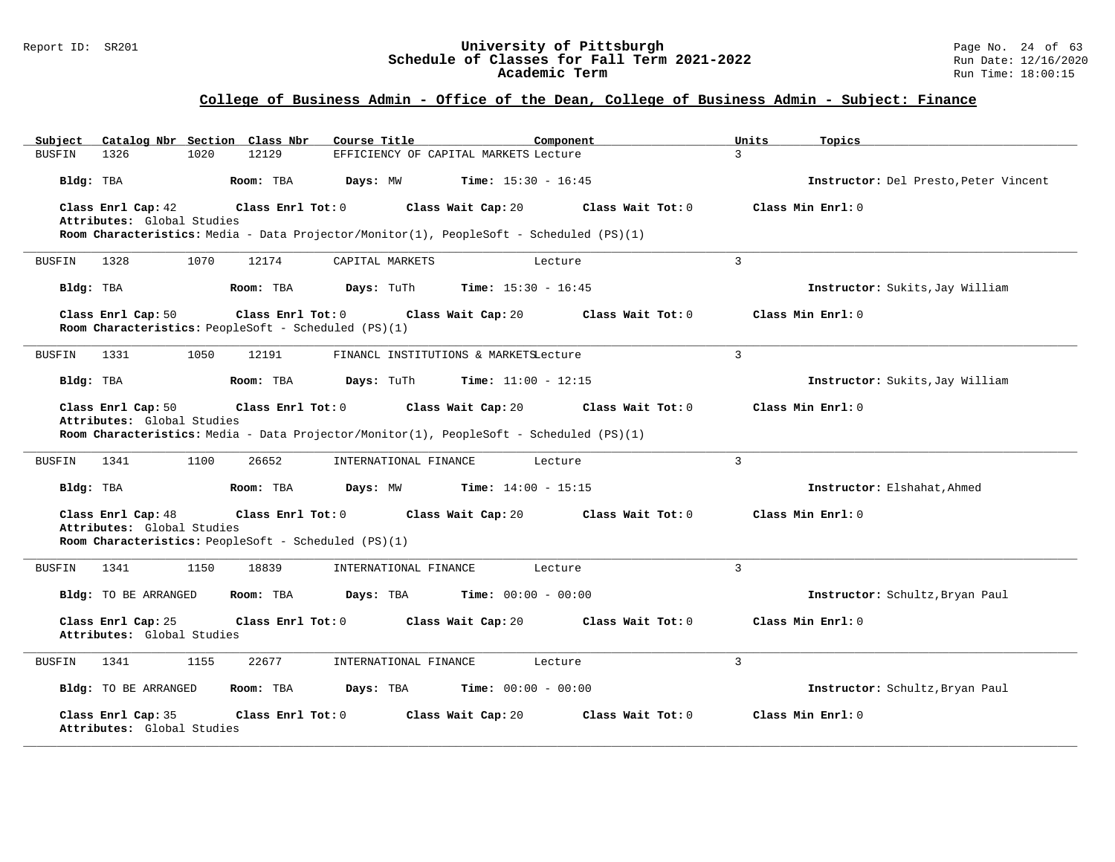#### Report ID: SR201 **University of Pittsburgh University of Pittsburgh** Page No. 24 of 63<br>**Schedule of Classes for Fall Term 2021-2022** Run Date: 12/16/2020 **Schedule of Classes for Fall Term 2021-2022** Run Date: 12/16/2020 **Academic Term** Run Time: 18:00:15

| Catalog Nbr Section Class Nbr<br>Subject                                                        | Course Title                               | Component         | Units<br>Topics                       |
|-------------------------------------------------------------------------------------------------|--------------------------------------------|-------------------|---------------------------------------|
| <b>BUSFIN</b><br>1326<br>1020<br>12129                                                          | EFFICIENCY OF CAPITAL MARKETS Lecture      |                   | $\mathcal{R}$                         |
| Bldg: TBA<br>Room: TBA                                                                          | Days: MW<br><b>Time:</b> $15:30 - 16:45$   |                   | Instructor: Del Presto, Peter Vincent |
| Class Enrl Cap: 42<br>Class Enrl Tot: 0                                                         | Class Wait Cap: 20                         | Class Wait Tot: 0 | Class Min Enrl: 0                     |
| Attributes: Global Studies                                                                      |                                            |                   |                                       |
| Room Characteristics: Media - Data Projector/Monitor(1), PeopleSoft - Scheduled (PS)(1)         |                                            |                   |                                       |
| 1328<br>1070<br>12174<br>BUSFIN                                                                 | CAPITAL MARKETS                            | Lecture           | 3                                     |
| Bldg: TBA<br>Room: TBA                                                                          | Days: TuTh<br><b>Time:</b> $15:30 - 16:45$ |                   | Instructor: Sukits, Jay William       |
| Class Enrl Cap: 50<br>Class Enrl Tot: 0<br>Room Characteristics: PeopleSoft - Scheduled (PS)(1) | Class Wait Cap: 20                         | Class Wait Tot: 0 | Class Min Enrl: 0                     |
|                                                                                                 |                                            |                   |                                       |
| 1331<br>1050<br>12191<br>BUSFIN                                                                 | FINANCL INSTITUTIONS & MARKETSLecture      |                   | 3                                     |
| Bldg: TBA<br>Room: TBA                                                                          | Days: TuTh<br><b>Time:</b> $11:00 - 12:15$ |                   | Instructor: Sukits, Jay William       |
| Class Enrl Cap: 50<br>Class Enrl Tot: 0                                                         | Class Wait Cap: 20                         | Class Wait Tot: 0 | Class Min Enrl: 0                     |
| Attributes: Global Studies                                                                      |                                            |                   |                                       |
| Room Characteristics: Media - Data Projector/Monitor(1), PeopleSoft - Scheduled (PS)(1)         |                                            |                   |                                       |
| 1341<br>1100<br>26652<br>BUSFIN                                                                 | INTERNATIONAL FINANCE                      | Lecture           | $\overline{3}$                        |
| Room: TBA<br>Bldg: TBA                                                                          | <b>Time:</b> $14:00 - 15:15$<br>Days: MW   |                   | Instructor: Elshahat, Ahmed           |
| Class Enrl Cap: 48<br>Class Enrl Tot: 0                                                         | Class Wait Cap: 20                         | Class Wait Tot: 0 | Class Min Enrl: 0                     |
| Attributes: Global Studies                                                                      |                                            |                   |                                       |
| Room Characteristics: PeopleSoft - Scheduled (PS)(1)                                            |                                            |                   |                                       |
| 1341<br>1150<br>18839<br><b>BUSFIN</b>                                                          | INTERNATIONAL FINANCE                      | Lecture           | 3                                     |
| Bldg: TO BE ARRANGED<br>Room: TBA                                                               | Days: TBA<br><b>Time:</b> $00:00 - 00:00$  |                   | Instructor: Schultz, Bryan Paul       |
| Class Enrl Cap: 25<br>Class Enrl Tot: 0<br>Attributes: Global Studies                           | Class Wait Cap: 20                         | Class Wait Tot: 0 | Class Min Enrl: 0                     |
|                                                                                                 |                                            |                   |                                       |
| 1341<br>1155<br>22677<br><b>BUSFIN</b>                                                          | INTERNATIONAL FINANCE                      | Lecture           | 3                                     |
| Bldg: TO BE ARRANGED<br>Room: TBA                                                               | <b>Time:</b> $00:00 - 00:00$<br>Days: TBA  |                   | Instructor: Schultz, Bryan Paul       |
| Class Enrl Cap: 35<br>Class Enrl Tot: 0<br>Attributes: Global Studies                           | Class Wait Cap: 20                         | Class Wait Tot: 0 | Class Min Enrl: 0                     |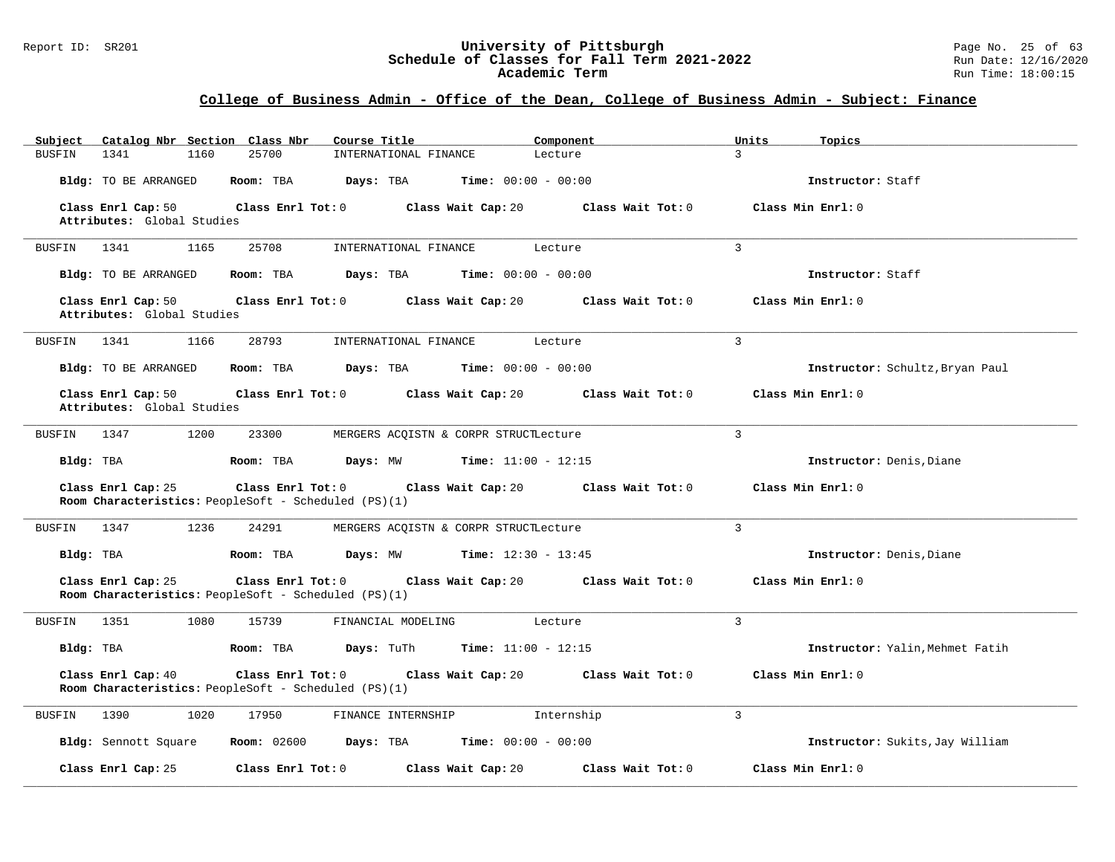#### Report ID: SR201 **University of Pittsburgh** Page No. 25 of 63 **Schedule of Classes for Fall Term 2021-2022** Run Date: 12/16/2020 **Academic Term** Run Time: 18:00:15

| Catalog Nbr Section Class Nbr<br>Subject                                                        | Course Title<br>Component                                 | Units<br>Topics                 |
|-------------------------------------------------------------------------------------------------|-----------------------------------------------------------|---------------------------------|
| 1341<br>25700<br><b>BUSFIN</b><br>1160                                                          | INTERNATIONAL FINANCE<br>Lecture                          | $\mathcal{L}$                   |
| Bldg: TO BE ARRANGED<br>Room: TBA                                                               | Days: TBA<br><b>Time:</b> $00:00 - 00:00$                 | Instructor: Staff               |
| Class Enrl Cap: 50<br>$Class$ $Enr1$ $Tot: 0$<br>Attributes: Global Studies                     | Class Wait Tot: 0<br>Class Wait Cap: 20                   | Class Min Enrl: 0               |
| 25708<br>BUSFIN 1341<br>1165                                                                    | INTERNATIONAL FINANCE<br>Lecture                          | $\overline{3}$                  |
|                                                                                                 |                                                           |                                 |
| <b>Bldg:</b> TO BE ARRANGED<br>Room: TBA                                                        | Days: TBA<br><b>Time:</b> $00:00 - 00:00$                 | Instructor: Staff               |
| Class Enrl Cap: 50<br>Attributes: Global Studies                                                | Class Enrl Tot: 0 Class Wait Cap: 20<br>Class Wait Tot: 0 | Class Min Enrl: 0               |
| 1341<br>1166<br>28793<br>BUSFIN                                                                 | INTERNATIONAL FINANCE<br>Lecture                          | $\overline{3}$                  |
| Room: TBA<br>Bldg: TO BE ARRANGED                                                               | <b>Time:</b> $00:00 - 00:00$<br>Days: TBA                 | Instructor: Schultz, Bryan Paul |
| Class Enrl Cap: 50<br>Attributes: Global Studies                                                | Class Enrl Tot: 0 Class Wait Cap: 20<br>Class Wait Tot: 0 | Class Min Enrl: 0               |
| 1200<br>23300<br>BUSFIN<br>1347                                                                 | MERGERS ACQISTN & CORPR STRUCTLecture                     | 3                               |
| Bldg: TBA<br>Room: TBA                                                                          | <b>Days:</b> MW <b>Time:</b> $11:00 - 12:15$              | Instructor: Denis, Diane        |
| Class Enrl Cap: 25<br>Room Characteristics: PeopleSoft - Scheduled (PS)(1)                      | Class Enrl Tot: 0 Class Wait Cap: 20<br>Class Wait Tot: 0 | Class Min Enrl: 0               |
| BUSFIN<br>1347<br>1236<br>24291                                                                 | MERGERS ACQISTN & CORPR STRUCTLecture                     | 3                               |
| Bldg: TBA<br>Room: TBA                                                                          | Days: MW<br><b>Time:</b> $12:30 - 13:45$                  | Instructor: Denis, Diane        |
| Class Enrl Cap: 25<br>Class Enrl Tot: 0<br>Room Characteristics: PeopleSoft - Scheduled (PS)(1) | Class Wait Cap: 20<br>Class Wait Tot: 0                   | Class Min Enrl: 0               |
| 1351<br>1080<br>15739<br>BUSFIN                                                                 | FINANCIAL MODELING<br>Lecture                             | $\overline{3}$                  |
| Bldg: TBA<br>Room: TBA                                                                          | <b>Days:</b> TuTh <b>Time:</b> $11:00 - 12:15$            | Instructor: Yalin, Mehmet Fatih |
| Class Enrl Cap: 40<br>Class Enrl Tot: 0<br>Room Characteristics: PeopleSoft - Scheduled (PS)(1) | Class Wait Cap: 20 Class Wait Tot: 0                      | Class Min Enrl: 0               |
| <b>BUSFIN</b><br>1390<br>1020<br>17950                                                          | FINANCE INTERNSHIP<br>Internship                          | $\overline{3}$                  |
| Bldg: Sennott Square<br><b>Room:</b> 02600                                                      | Days: TBA<br><b>Time:</b> $00:00 - 00:00$                 | Instructor: Sukits, Jay William |
| Class Enrl Cap: 25<br>Class Enrl Tot: 0                                                         | Class Wait Cap: 20<br>Class Wait Tot: 0                   | Class Min Enrl: 0               |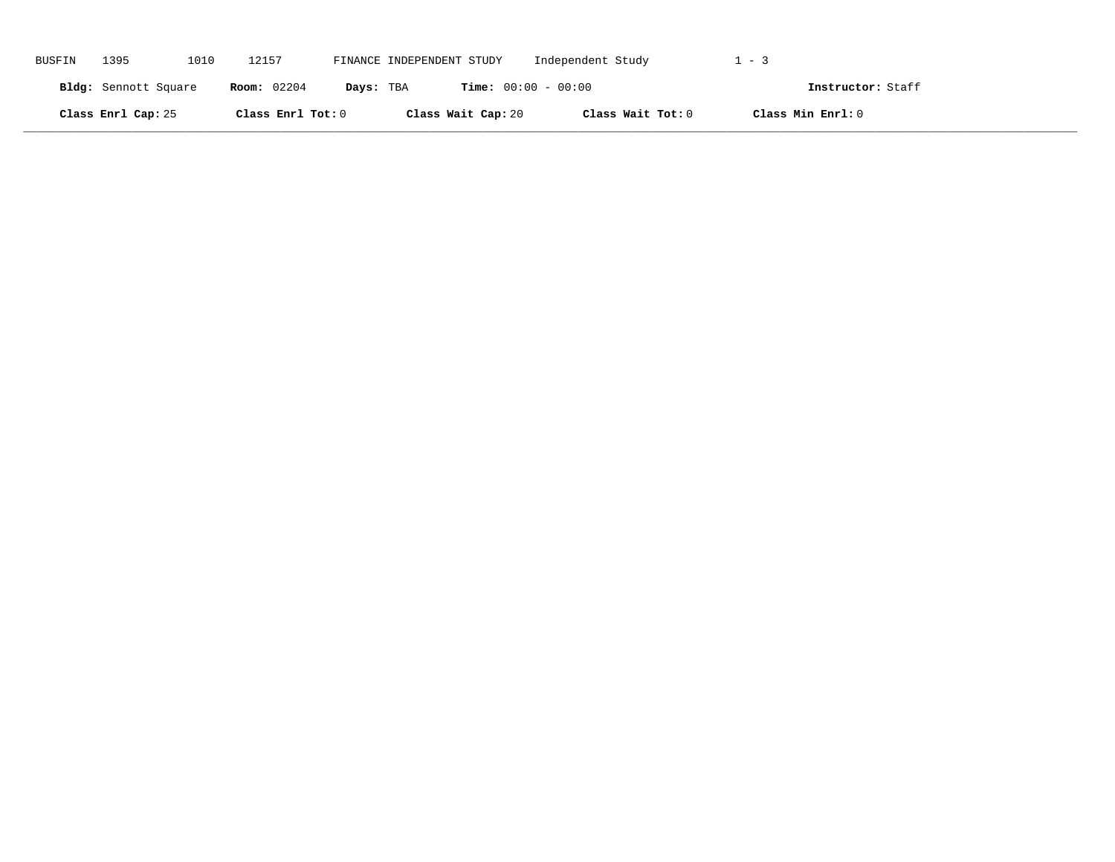| <b>BUSFIN</b> | 1395                 | 1010 | 12157              | FINANCE INDEPENDENT STUDY |                              | Independent Study | $-2$              |  |
|---------------|----------------------|------|--------------------|---------------------------|------------------------------|-------------------|-------------------|--|
|               | Bldg: Sennott Square |      | <b>Room:</b> 02204 | Days: TBA                 | <b>Time:</b> $00:00 - 00:00$ |                   | Instructor: Staff |  |
|               | Class Enrl Cap: 25   |      | Class Enrl Tot: 0  |                           | Class Wait Cap: 20           | Class Wait Tot: 0 | Class Min Enrl: 0 |  |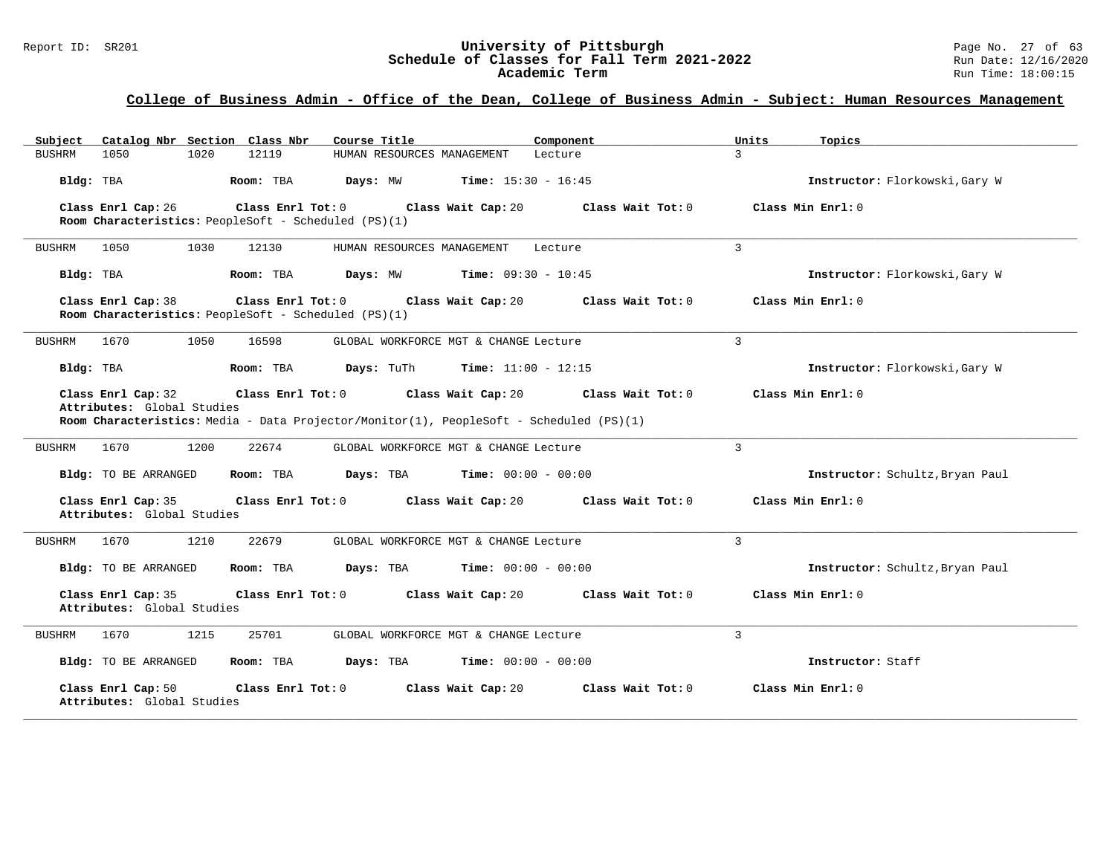# **College of Business Admin - Office of the Dean, College of Business Admin - Subject: Human Resources Management**

| Catalog Nbr Section Class Nbr<br>Subject                                                              | Course Title<br>Component                                                                                                          | Units<br>Topics                 |
|-------------------------------------------------------------------------------------------------------|------------------------------------------------------------------------------------------------------------------------------------|---------------------------------|
| 1050<br>1020<br>12119<br><b>BUSHRM</b>                                                                | HUMAN RESOURCES MANAGEMENT<br>Lecture                                                                                              | $\mathcal{L}$                   |
| Bldg: TBA<br>Room: TBA                                                                                | <b>Time:</b> $15:30 - 16:45$<br>Days: MW                                                                                           | Instructor: Florkowski, Gary W  |
| Class Enrl Cap: 26<br>Class Enrl Tot: 0<br>Room Characteristics: PeopleSoft - Scheduled (PS)(1)       | Class Wait Cap: 20<br>Class Wait Tot: 0                                                                                            | Class Min Enrl: 0               |
| 1050<br>1030<br>12130<br><b>BUSHRM</b>                                                                | HUMAN RESOURCES MANAGEMENT<br>Lecture                                                                                              | $\overline{3}$                  |
| Bldg: TBA<br>Room: TBA                                                                                | Days: MW<br><b>Time:</b> $09:30 - 10:45$                                                                                           | Instructor: Florkowski, Gary W  |
| Class Enrl Cap: 38<br>$Class$ $Enrl$ $Tot: 0$<br>Room Characteristics: PeopleSoft - Scheduled (PS)(1) | Class Wait Cap: 20<br>Class Wait Tot: 0                                                                                            | Class Min Enrl: 0               |
| 1670<br>1050<br>16598<br>BUSHRM                                                                       | GLOBAL WORKFORCE MGT & CHANGE Lecture                                                                                              | 3                               |
| Bldg: TBA<br>Room: TBA                                                                                | <b>Time:</b> $11:00 - 12:15$<br>Days: TuTh                                                                                         | Instructor: Florkowski, Gary W  |
| Class Enrl Cap: 32<br>Class Enrl Tot: 0<br>Attributes: Global Studies                                 | Class Wait Cap: 20<br>Class Wait Tot: 0<br>Room Characteristics: Media - Data Projector/Monitor(1), PeopleSoft - Scheduled (PS)(1) | Class Min Enrl: 0               |
| 22674<br>1670<br>1200<br><b>BUSHRM</b>                                                                | GLOBAL WORKFORCE MGT & CHANGE Lecture                                                                                              | 3                               |
| Room: TBA<br>Bldg: TO BE ARRANGED                                                                     | Days: TBA<br><b>Time:</b> $00:00 - 00:00$                                                                                          | Instructor: Schultz, Bryan Paul |
| Class Enrl Cap: 35<br>Class Enrl Tot: 0<br>Attributes: Global Studies                                 | Class Wait Tot: 0<br>Class Wait Cap: 20                                                                                            | Class Min Enrl: 0               |
| 1210<br>22679<br><b>BUSHRM</b><br>1670                                                                | GLOBAL WORKFORCE MGT & CHANGE Lecture                                                                                              | $\overline{3}$                  |
| Bldg: TO BE ARRANGED<br>Room: TBA                                                                     | Days: TBA<br><b>Time:</b> $00:00 - 00:00$                                                                                          | Instructor: Schultz, Bryan Paul |
| Class Enrl Cap: 35<br>Class Enrl Tot: 0<br>Attributes: Global Studies                                 | Class Wait Cap: 20<br>Class Wait Tot: 0                                                                                            | Class Min Enrl: 0               |
| 1215<br>25701<br><b>BUSHRM</b><br>1670                                                                | GLOBAL WORKFORCE MGT & CHANGE Lecture                                                                                              | 3                               |
| Bldg: TO BE ARRANGED<br>Room: TBA                                                                     | <b>Time:</b> $00:00 - 00:00$<br>Days: TBA                                                                                          | Instructor: Staff               |
| Class Enrl Cap: 50<br>Class Enrl Tot: 0<br>Attributes: Global Studies                                 | Class Wait Cap: 20<br>Class Wait Tot: 0                                                                                            | Class Min Enrl: 0               |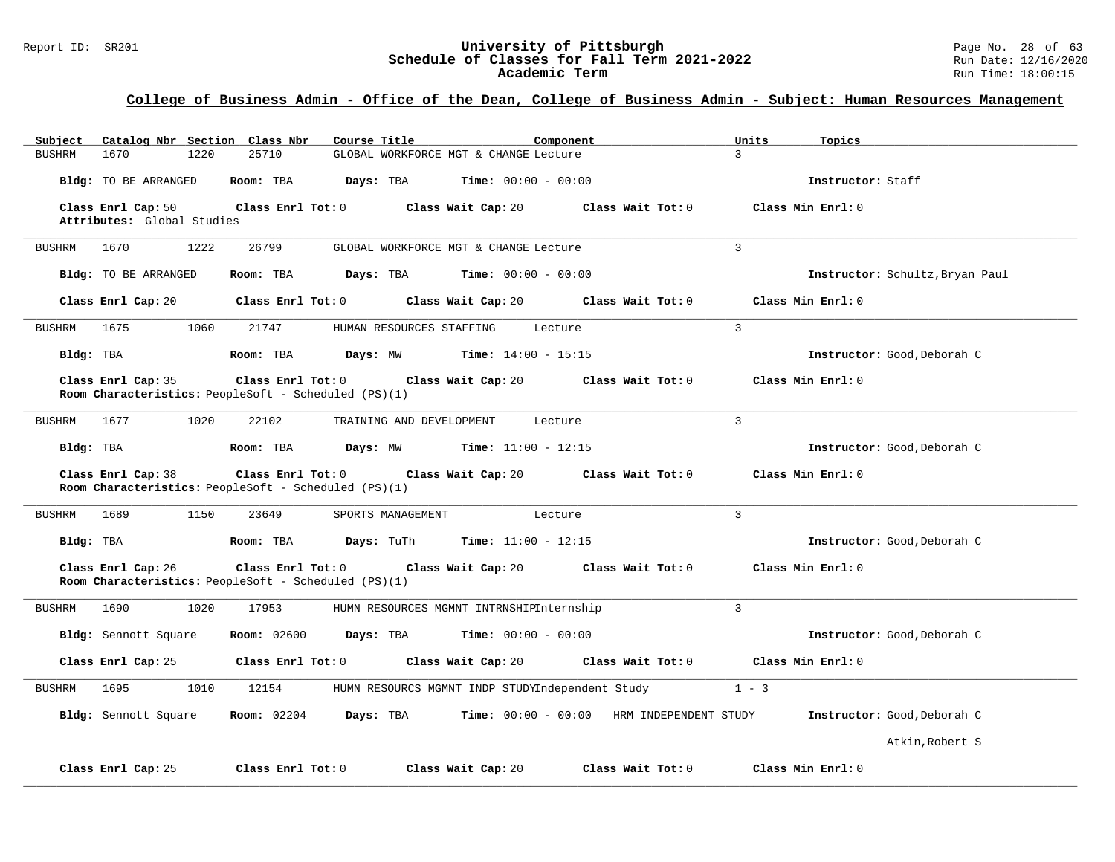# Report ID: SR201 **1988 Mage 10: SR201 University of Pittsburgh** Page No. 28 of 63<br>**Schedule of Classes for Fall Term 2021-2022** 2011 Page No. 28 of 63<br>Run Date: 12/16/2020 Schedule of Classes for Fall Term 2021-2022<br>Academic Term

### **College of Business Admin - Office of the Dean, College of Business Admin - Subject: Human Resources Management**

| Catalog Nbr Section Class Nbr<br>Subject         | Course Title<br>Component                                                                                            | Units<br>Topics                 |
|--------------------------------------------------|----------------------------------------------------------------------------------------------------------------------|---------------------------------|
| 1670<br><b>BUSHRM</b><br>1220                    | 25710<br>GLOBAL WORKFORCE MGT & CHANGE Lecture                                                                       | $\mathcal{L}$                   |
| Bldg: TO BE ARRANGED                             | <b>Time:</b> $00:00 - 00:00$<br>Room: TBA<br>Days: TBA                                                               | Instructor: Staff               |
| Class Enrl Cap: 50<br>Attributes: Global Studies | Class Enrl Tot: 0 Class Wait Cap: 20<br>Class Wait Tot: 0                                                            | Class Min Enrl: 0               |
| BUSHRM 1670<br>1222                              | 26799<br>GLOBAL WORKFORCE MGT & CHANGE Lecture                                                                       | $\overline{3}$                  |
|                                                  |                                                                                                                      |                                 |
| Bldg: TO BE ARRANGED                             | Room: TBA<br>Days: TBA<br><b>Time:</b> $00:00 - 00:00$                                                               | Instructor: Schultz, Bryan Paul |
| Class Enrl Cap: 20                               | Class Enrl Tot: 0<br>Class Wait Cap: 20<br>Class Wait Tot: 0                                                         | Class Min Enrl: 0               |
| 1675<br>1060<br>BUSHRM                           | 21747<br>HUMAN RESOURCES STAFFING<br>Lecture                                                                         | $\overline{3}$                  |
| Bldg: TBA                                        | <b>Days:</b> MW <b>Time:</b> $14:00 - 15:15$<br>Room: TBA                                                            | Instructor: Good, Deborah C     |
| Class Enrl Cap: 35                               | Class Enrl Tot: 0 Class Wait Cap: 20<br>Class Wait Tot: 0                                                            | Class Min Enrl: 0               |
|                                                  | Room Characteristics: PeopleSoft - Scheduled (PS)(1)                                                                 |                                 |
| BUSHRM 1677<br>1020                              | 22102<br>TRAINING AND DEVELOPMENT<br>Lecture                                                                         | $\mathbf{3}$                    |
| Bldg: TBA                                        | Room: TBA<br><b>Days:</b> MW <b>Time:</b> $11:00 - 12:15$                                                            | Instructor: Good, Deborah C     |
| Class Enrl Cap: 38                               | Class Enrl Tot: 0<br>Class Wait Cap: 20<br>Class Wait Tot: 0<br>Room Characteristics: PeopleSoft - Scheduled (PS)(1) | Class Min Enrl: 0               |
| 1150<br>BUSHRM<br>1689                           | 23649<br>SPORTS MANAGEMENT<br>Lecture                                                                                | $\mathbf{3}$                    |
| Bldg: TBA                                        | Room: TBA<br><b>Days:</b> TuTh <b>Time:</b> $11:00 - 12:15$                                                          | Instructor: Good, Deborah C     |
| Class Enrl Cap: 26                               | Class Enrl Tot: $0$ Class Wait Cap: $20$ Class Wait Tot: $0$<br>Room Characteristics: PeopleSoft - Scheduled (PS)(1) | Class Min Enrl: 0               |
| 1020<br>1690<br>BUSHRM                           | 17953<br>HUMN RESOURCES MGMNT INTRNSHIPInternship                                                                    | $\mathbf{3}$                    |
| Bldg: Sennott Square                             | <b>Room:</b> 02600 <b>Days:</b> TBA <b>Time:</b> $00:00 - 00:00$                                                     | Instructor: Good, Deborah C     |
| Class Enrl Cap: 25                               | Class Enrl Tot: 0<br>Class Wait Cap: 20<br>Class Wait Tot: 0                                                         | Class Min Enrl: 0               |
| 1695<br>1010<br><b>BUSHRM</b>                    | 12154<br>HUMN RESOURCS MGMNT INDP STUDYIndependent Study                                                             | $1 - 3$                         |
| Bldg: Sennott Square                             | <b>Room:</b> 02204<br>Days: TBA<br>$Time: 00:00 - 00:00$ HRM INDEPENDENT STUDY                                       | Instructor: Good, Deborah C     |
|                                                  |                                                                                                                      | Atkin, Robert S                 |
| Class Enrl Cap: 25                               | Class Wait Tot: 0<br>Class Enrl Tot: 0<br>Class Wait Cap: 20                                                         | Class Min Enrl: 0               |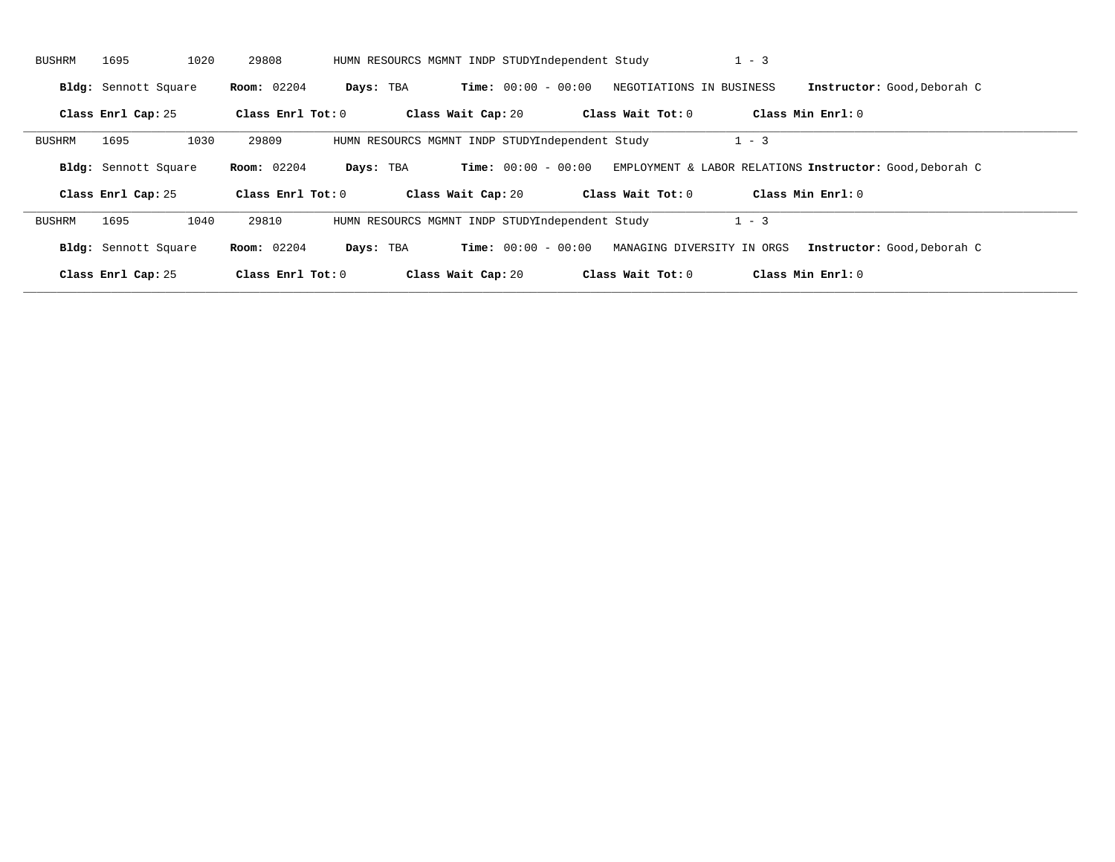| BUSHRM | 1695                 | 1020<br>29808      | HUMN RESOURCS MGMNT INDP STUDYIndependent Study |                              |                          | $1 - 3$                                                  |                             |
|--------|----------------------|--------------------|-------------------------------------------------|------------------------------|--------------------------|----------------------------------------------------------|-----------------------------|
|        | Bldg: Sennott Square | <b>Room:</b> 02204 | Days: TBA                                       | <b>Time:</b> $00:00 - 00:00$ | NEGOTIATIONS IN BUSINESS |                                                          | Instructor: Good, Deborah C |
|        | Class Enrl Cap: 25   | Class Enrl Tot: 0  | Class Wait Cap: 20                              |                              | Class Wait Tot: 0        | Class Min Enrl: 0                                        |                             |
| BUSHRM | 1695                 | 1030<br>29809      | HUMN RESOURCS MGMNT INDP STUDYIndependent Study |                              |                          | $1 - 3$                                                  |                             |
|        | Bldg: Sennott Square | <b>Room:</b> 02204 | Days: TBA                                       | <b>Time:</b> $00:00 - 00:00$ |                          | EMPLOYMENT & LABOR RELATIONS Instructor: Good, Deborah C |                             |
|        | Class Enrl Cap: 25   | Class Enrl Tot: 0  | Class Wait Cap: 20                              |                              | Class Wait Tot: 0        | Class Min $Enrl: 0$                                      |                             |
| BUSHRM | 1695                 | 1040<br>29810      | HUMN RESOURCS MGMNT INDP STUDYIndependent Study |                              |                          | $1 - 3$                                                  |                             |
|        | Bldg: Sennott Square | <b>Room:</b> 02204 | Days: TBA                                       | <b>Time:</b> $00:00 - 00:00$ |                          | MANAGING DIVERSITY IN ORGS                               | Instructor: Good, Deborah C |
|        | Class Enrl Cap: 25   | Class Enrl Tot: 0  | Class Wait Cap: 20                              |                              | Class Wait Tot: 0        | Class Min Enrl: 0                                        |                             |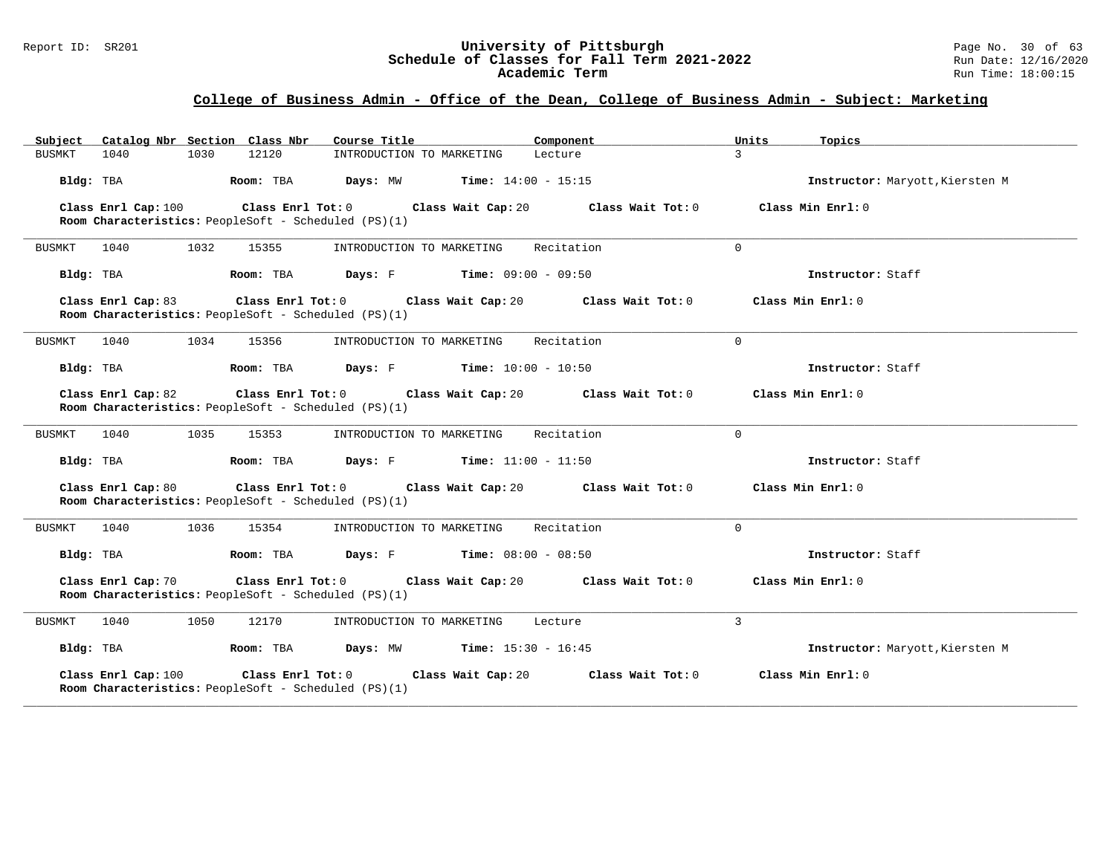#### Report ID: SR201 **University of Pittsburgh University of Pittsburgh** Page No. 30 of 63<br>**Schedule of Classes for Fall Term 2021-2022** Run Date: 12/16/2020 **Schedule of Classes for Fall Term 2021-2022** Run Date: 12/16/2020 **Academic Term** Run Time: 18:00:15

| Subject Catalog Nbr Section Class Nbr                                       | Course Title                             | Component                | Units<br>Topics                 |
|-----------------------------------------------------------------------------|------------------------------------------|--------------------------|---------------------------------|
| BUSMKT<br>1040<br>1030<br>12120                                             | INTRODUCTION TO MARKETING                | $\mathcal{L}$<br>Lecture |                                 |
| Bldg: TBA<br>Room: TBA                                                      | Days: MW<br><b>Time:</b> $14:00 - 15:15$ |                          | Instructor: Maryott, Kiersten M |
| Class Enrl Cap: 100<br>Room Characteristics: PeopleSoft - Scheduled (PS)(1) | Class Enrl Tot: 0<br>Class Wait Cap: 20  | Class Wait Tot: 0        | Class Min $Enrl: 0$             |
| 1032<br>BUSMKT<br>1040<br>15355                                             | INTRODUCTION TO MARKETING                | Recitation<br>$\Omega$   |                                 |
| Bldg: TBA<br>Room: TBA                                                      | <b>Days:</b> F Time: $09:00 - 09:50$     |                          | Instructor: Staff               |
| Class Enrl Cap: 83<br>Room Characteristics: PeopleSoft - Scheduled (PS)(1)  | Class Enrl Tot: 0 Class Wait Cap: 20     | Class Wait Tot: 0        | Class Min Enrl: 0               |
| 1040<br>1034<br>15356<br>BUSMKT                                             | INTRODUCTION TO MARKETING                | Recitation<br>$\Omega$   |                                 |
| Bldg: TBA<br>Room: TBA                                                      | Days: F<br><b>Time:</b> $10:00 - 10:50$  |                          | Instructor: Staff               |
| Class Enrl Cap: 82<br>Room Characteristics: PeopleSoft - Scheduled (PS)(1)  | Class Enrl Tot: 0 Class Wait Cap: 20     | Class Wait Tot: 0        | Class Min Enrl: 0               |
| 1040<br>1035<br>BUSMKT<br>15353                                             | INTRODUCTION TO MARKETING                | Recitation<br>$\Omega$   |                                 |
| Bldg: TBA<br>Room: TBA                                                      | Days: F<br><b>Time:</b> $11:00 - 11:50$  |                          | Instructor: Staff               |
| Class Enrl Cap: 80<br>Room Characteristics: PeopleSoft - Scheduled (PS)(1)  | Class Enrl Tot: 0 Class Wait Cap: 20     | Class Wait Tot: 0        | Class Min Enrl: 0               |
| 1040<br>1036<br>BUSMKT<br>15354                                             | INTRODUCTION TO MARKETING                | Recitation<br>$\Omega$   |                                 |
| Bldg: TBA<br>Room: TBA                                                      | Days: F<br><b>Time:</b> $08:00 - 08:50$  |                          | Instructor: Staff               |
| Class Enrl Cap: 70<br>Room Characteristics: PeopleSoft - Scheduled (PS)(1)  | Class Enrl Tot: 0 Class Wait Cap: 20     | Class Wait Tot: 0        | Class Min Enrl: 0               |
| 1040<br>1050<br>12170<br>BUSMKT                                             | INTRODUCTION TO MARKETING                | 3<br>Lecture             |                                 |
| Bldg: TBA<br>Room: TBA                                                      | Days: MW<br><b>Time:</b> $15:30 - 16:45$ |                          | Instructor: Maryott, Kiersten M |
| Class Enrl Cap: 100<br>Room Characteristics: PeopleSoft - Scheduled (PS)(1) | Class Enrl Tot: 0<br>Class Wait Cap: 20  | Class Wait Tot: 0        | Class Min Enrl: 0               |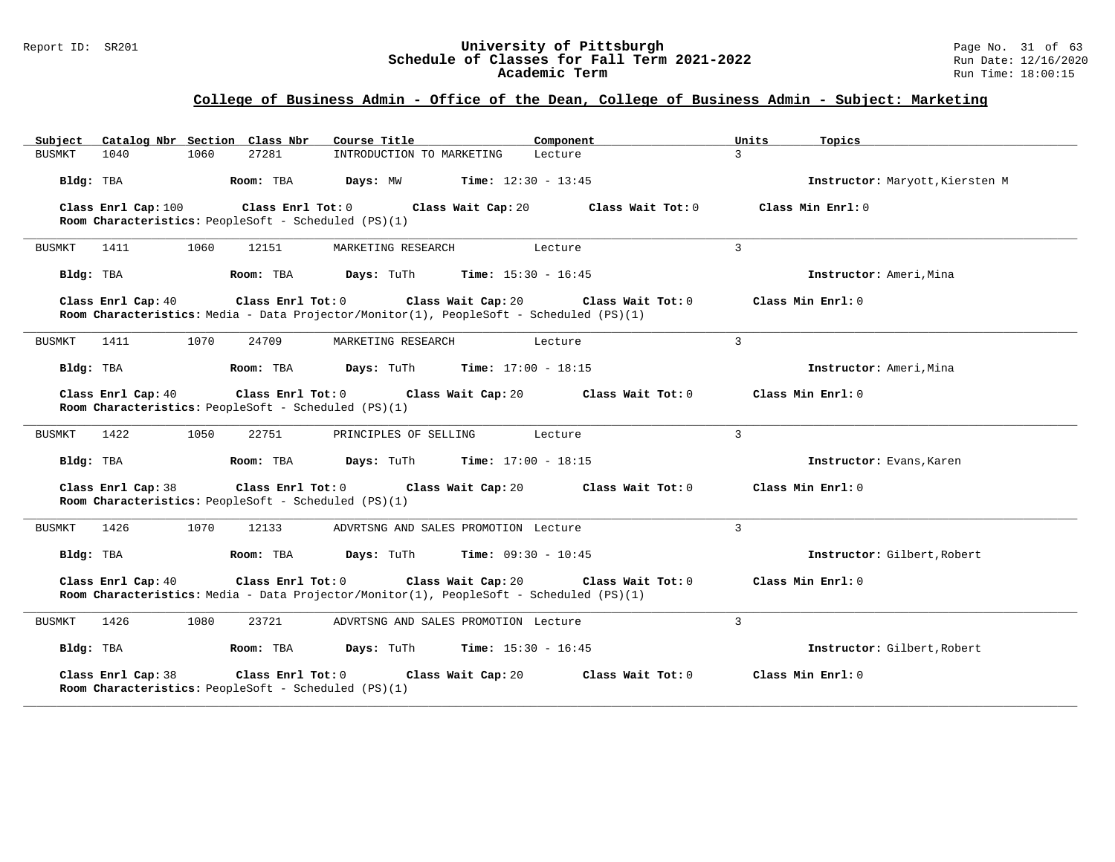#### Report ID: SR201 **University of Pittsburgh University of Pittsburgh** Page No. 31 of 63<br>**Schedule of Classes for Fall Term 2021-2022** Run Date: 12/16/2020 **Schedule of Classes for Fall Term 2021-2022** Run Date: 12/16/2020 **Academic Term** Run Time: 18:00:15

| Subject Catalog Nbr Section Class Nbr                                                                                              | Course Title                                   | Component                    | Units<br>Topics             |                                 |
|------------------------------------------------------------------------------------------------------------------------------------|------------------------------------------------|------------------------------|-----------------------------|---------------------------------|
| 1040<br>1060<br>27281<br>BUSMKT                                                                                                    | INTRODUCTION TO MARKETING                      | Lecture                      | $\mathcal{E}$               |                                 |
| Bldg: TBA<br>Room: TBA                                                                                                             | Days: MW                                       | <b>Time:</b> $12:30 - 13:45$ |                             | Instructor: Maryott, Kiersten M |
| Class Enrl Tot: 0<br>Class Enrl Cap: 100<br>Room Characteristics: PeopleSoft - Scheduled (PS)(1)                                   | Class Wait Cap: 20                             | Class Wait Tot: 0            | Class Min $Enrl: 0$         |                                 |
| 1060<br>BUSMKT<br>1411<br>12151                                                                                                    | MARKETING RESEARCH                             | Lecture                      | 3                           |                                 |
| Bldg: TBA<br>Room: TBA                                                                                                             | Days: TuTh                                     | <b>Time:</b> $15:30 - 16:45$ | Instructor: Ameri, Mina     |                                 |
| Class Enrl Cap: 40<br>Class Enrl Tot: 0<br>Room Characteristics: Media - Data Projector/Monitor(1), PeopleSoft - Scheduled (PS)(1) | Class Wait Cap: 20                             | Class Wait Tot: 0            | Class Min $Enrl: 0$         |                                 |
| 1070<br>BUSMKT<br>1411<br>24709                                                                                                    | MARKETING RESEARCH                             | Lecture                      | 3                           |                                 |
| Bldg: TBA<br>Room: TBA                                                                                                             | <b>Days:</b> TuTh <b>Time:</b> $17:00 - 18:15$ |                              | Instructor: Ameri, Mina     |                                 |
| Class Enrl Cap: 40<br>Room Characteristics: PeopleSoft - Scheduled (PS)(1)                                                         | Class Enrl Tot: 0 Class Wait Cap: 20           | Class Wait Tot: 0            | Class Min Enrl: 0           |                                 |
| 1050<br>BUSMKT<br>1422<br>22751                                                                                                    | PRINCIPLES OF SELLING                          | Lecture                      | $\mathcal{L}$               |                                 |
| Bldg: TBA<br>Room: TBA                                                                                                             | Days: TuTh                                     | Time: $17:00 - 18:15$        | Instructor: Evans, Karen    |                                 |
| Class Enrl Cap: 38<br>Room Characteristics: PeopleSoft - Scheduled (PS)(1)                                                         | Class Enrl Tot: $0$ Class Wait Cap: $20$       | Class Wait Tot: 0            | Class Min Enrl: 0           |                                 |
| 1426<br>1070<br>BUSMKT<br>12133                                                                                                    | ADVRTSNG AND SALES PROMOTION Lecture           |                              | 3                           |                                 |
| Bldg: TBA<br>Room: TBA                                                                                                             | <b>Days:</b> TuTh                              | <b>Time:</b> $09:30 - 10:45$ | Instructor: Gilbert, Robert |                                 |
| Class Enrl Cap: 40<br>Class Enrl Tot: 0<br>Room Characteristics: Media - Data Projector/Monitor(1), PeopleSoft - Scheduled (PS)(1) | Class Wait Cap: 20                             | Class Wait Tot: 0            | Class Min Enrl: 0           |                                 |
| <b>BUSMKT</b><br>1426<br>1080<br>23721                                                                                             | ADVRTSNG AND SALES PROMOTION Lecture           |                              | 3                           |                                 |
| Bldg: TBA<br>Room: TBA                                                                                                             | Days: TuTh                                     | <b>Time:</b> $15:30 - 16:45$ | Instructor: Gilbert, Robert |                                 |
| Class Enrl Cap: 38<br>Class Enrl Tot: 0<br>Room Characteristics: PeopleSoft - Scheduled (PS)(1)                                    | Class Wait Cap: 20                             | Class Wait Tot: 0            | Class Min Enrl: 0           |                                 |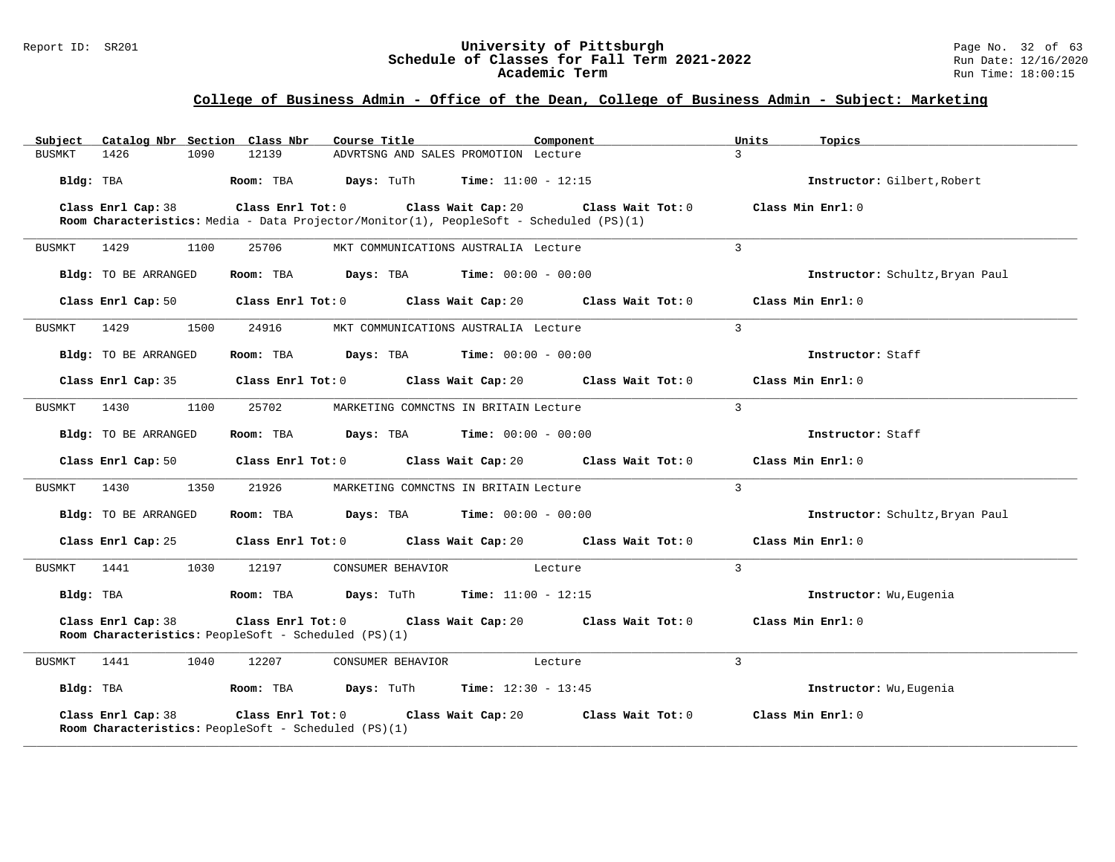#### Report ID: SR201 **University of Pittsburgh University of Pittsburgh** Page No. 32 of 63<br>**Schedule of Classes for Fall Term 2021-2022** Run Date: 12/16/2020 **Schedule of Classes for Fall Term 2021-2022** Run Date: 12/16/2020 **Academic Term** Run Time: 18:00:15

| Subject Catalog Nbr Section Class Nbr | Course Title                                                                                                                                      | Component                                                                                            | Units<br>Topics                 |
|---------------------------------------|---------------------------------------------------------------------------------------------------------------------------------------------------|------------------------------------------------------------------------------------------------------|---------------------------------|
| 1426<br>1090<br>BUSMKT                | 12139<br>ADVRTSNG AND SALES PROMOTION Lecture                                                                                                     |                                                                                                      | $\mathbf{z}$                    |
| Bldg: TBA                             | Room: TBA<br><b>Days:</b> TuTh <b>Time:</b> $11:00 - 12:15$                                                                                       |                                                                                                      | Instructor: Gilbert, Robert     |
| Class Enrl Cap: 38                    | Class Enrl Tot: 0 Class Wait Cap: 20 Class Wait Tot: 0<br>Room Characteristics: Media - Data Projector/Monitor(1), PeopleSoft - Scheduled (PS)(1) |                                                                                                      | Class Min Enrl: 0               |
| 1429<br>1100<br>BUSMKT                | 25706<br>MKT COMMUNICATIONS AUSTRALIA Lecture                                                                                                     |                                                                                                      | $\overline{3}$                  |
| Bldg: TO BE ARRANGED                  | Room: TBA $Days:$ TBA $Time: 00:00 - 00:00$                                                                                                       |                                                                                                      | Instructor: Schultz, Bryan Paul |
|                                       |                                                                                                                                                   | Class Enrl Cap: 50 $\qquad$ Class Enrl Tot: 0 $\qquad$ Class Wait Cap: 20 $\qquad$ Class Wait Tot: 0 | Class Min Enrl: 0               |
| 1429<br>1500<br>BUSMKT                | 24916<br>MKT COMMUNICATIONS AUSTRALIA Lecture                                                                                                     |                                                                                                      | $\mathcal{L}$                   |
| Bldg: TO BE ARRANGED                  | Room: TBA $Days: TBA$ Time: $00:00 - 00:00$                                                                                                       |                                                                                                      | Instructor: Staff               |
|                                       | Class Enrl Cap: 35 Class Enrl Tot: 0 Class Wait Cap: 20                                                                                           | Class Wait Tot: 0                                                                                    | Class Min Enrl: 0               |
| BUSMKT<br>1430<br>1100                | 25702<br>MARKETING COMNCTNS IN BRITAIN Lecture                                                                                                    |                                                                                                      | $\mathbf{3}$                    |
| Bldg: TO BE ARRANGED                  | Room: TBA $Days:$ TBA $Time: 00:00 - 00:00$                                                                                                       |                                                                                                      | Instructor: Staff               |
|                                       |                                                                                                                                                   | Class Enrl Cap: 50 $\qquad$ Class Enrl Tot: 0 $\qquad$ Class Wait Cap: 20 $\qquad$ Class Wait Tot: 0 | Class Min Enrl: 0               |
| 1350<br>BUSMKT<br>1430                | 21926<br>MARKETING COMNCTNS IN BRITAIN Lecture                                                                                                    |                                                                                                      | $\mathbf{3}$                    |
| Bldg: TO BE ARRANGED                  | $\texttt{DayS:}$ TBA $\texttt{Time:}$ 00:00 - 00:00<br>Room: TBA                                                                                  |                                                                                                      | Instructor: Schultz, Bryan Paul |
|                                       |                                                                                                                                                   | Class Enrl Cap: 25 $\qquad$ Class Enrl Tot: 0 $\qquad$ Class Wait Cap: 20 $\qquad$ Class Wait Tot: 0 | Class Min Enrl: 0               |
| BUSMKT 1441 1030 12197                | CONSUMER BEHAVIOR Lecture                                                                                                                         |                                                                                                      | $\mathbf{3}$                    |
|                                       | $Bldq$ : TBA $R$ $Room$ : TBA $Days$ : TuTh $Time$ : 11:00 - 12:15                                                                                |                                                                                                      | Instructor: Wu, Eugenia         |
| Class Enrl Cap: 38                    | Class Enrl Tot: $0$ Class Wait Cap: $20$ Class Wait Tot: $0$<br>Room Characteristics: PeopleSoft - Scheduled (PS)(1)                              |                                                                                                      | Class Min Enrl: 0               |
| 1441<br>1040<br>BUSMKT                | 12207<br>CONSUMER BEHAVIOR                                                                                                                        | Lecture                                                                                              | $\overline{3}$                  |
| Bldg: TBA                             | <b>Room:</b> TBA <b>Days:</b> TuTh <b>Time:</b> 12:30 - 13:45                                                                                     |                                                                                                      | Instructor: Wu, Eugenia         |
| Class Enrl Cap: 38                    | Class Enrl Tot: 0 Class Wait Cap: 20<br>Room Characteristics: PeopleSoft - Scheduled (PS)(1)                                                      | Class Wait Tot: 0                                                                                    | Class Min Enrl: 0               |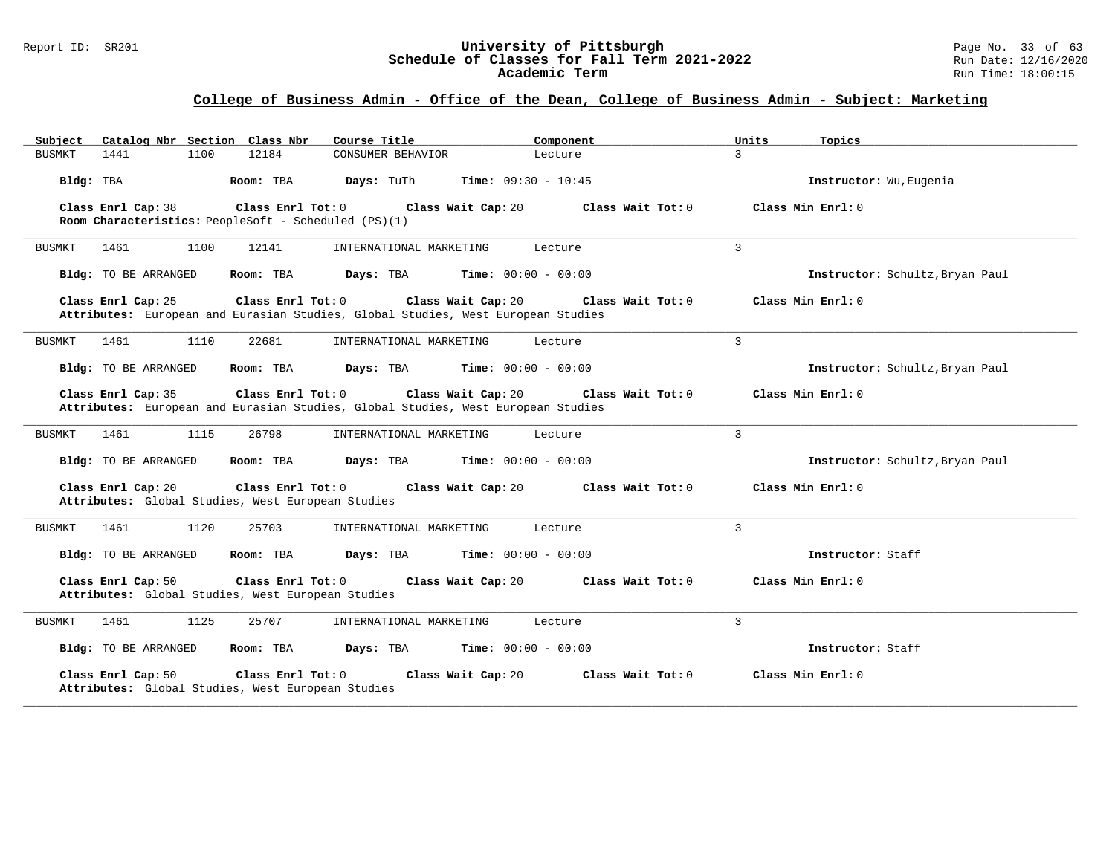#### Report ID: SR201 **1988 Construment Superversity of Pittsburgh** Page No. 33 of 63<br>**Schedule of Classes for Fall Term 2021-2022** 2011 Page No. 33 of 63 **Schedule of Classes for Fall Term 2021-2022** Run Date: 12/16/2020 **Academic Term** Run Time: 18:00:15

| Catalog Nbr Section Class Nbr<br>Subject                                                                                    | Course Title            | Component                    | Units<br>Topics                 |
|-----------------------------------------------------------------------------------------------------------------------------|-------------------------|------------------------------|---------------------------------|
| 12184<br>1441<br>1100<br>BUSMKT                                                                                             | CONSUMER BEHAVIOR       | Lecture                      | $\mathcal{L}$                   |
| Bldg: TBA<br>Room: TBA                                                                                                      | Days: TuTh              | <b>Time:</b> $09:30 - 10:45$ | Instructor: Wu, Eugenia         |
| Class Enrl Cap: 38<br>Class Enrl Tot: 0<br>Room Characteristics: PeopleSoft - Scheduled (PS)(1)                             | Class Wait Cap: 20      | Class Wait Tot: 0            | Class Min Enrl: 0               |
| 1100<br>12141<br>BUSMKT<br>1461                                                                                             | INTERNATIONAL MARKETING | Lecture                      | 3                               |
| Room: TBA<br>Bldg: TO BE ARRANGED                                                                                           | Days: TBA               | <b>Time:</b> $00:00 - 00:00$ | Instructor: Schultz, Bryan Paul |
| Class Enrl Cap: 25<br>Class Enrl Tot: 0<br>Attributes: European and Eurasian Studies, Global Studies, West European Studies | Class Wait Cap: 20      | Class Wait Tot: 0            | Class Min Enrl: 0               |
| 1110<br>BUSMKT<br>1461<br>22681                                                                                             | INTERNATIONAL MARKETING | Lecture                      | 3                               |
| Bldg: TO BE ARRANGED<br>Room: TBA                                                                                           | Days: TBA               | <b>Time:</b> $00:00 - 00:00$ | Instructor: Schultz, Bryan Paul |
| Class Enrl Cap: 35<br>Class Enrl Tot: 0<br>Attributes: European and Eurasian Studies, Global Studies, West European Studies | Class Wait Cap: 20      | Class Wait Tot: 0            | Class Min Enrl: 0               |
| 1115<br>26798<br><b>BUSMKT</b><br>1461                                                                                      | INTERNATIONAL MARKETING | Lecture                      | $\mathcal{L}$                   |
| Bldg: TO BE ARRANGED<br>Room: TBA                                                                                           | Days: TBA               | <b>Time:</b> $00:00 - 00:00$ | Instructor: Schultz, Bryan Paul |
| Class Enrl Cap: 20<br>Class Enrl Tot: 0<br>Attributes: Global Studies, West European Studies                                | Class Wait Cap: 20      | Class Wait Tot: 0            | Class Min Enrl: 0               |
| 1120<br>25703<br>1461<br>BUSMKT                                                                                             | INTERNATIONAL MARKETING | Lecture                      | 3                               |
| Bldg: TO BE ARRANGED<br>Room: TBA                                                                                           | Days: TBA               | <b>Time:</b> $00:00 - 00:00$ | Instructor: Staff               |
| Class Enrl Cap: 50<br>Class Enrl Tot: 0<br>Attributes: Global Studies, West European Studies                                | Class Wait Cap: 20      | Class Wait Tot: 0            | Class Min Enrl: 0               |
| 1125<br><b>BUSMKT</b><br>1461<br>25707                                                                                      | INTERNATIONAL MARKETING | Lecture                      | 3                               |
| Bldg: TO BE ARRANGED<br>Room: TBA                                                                                           | Days: TBA               | <b>Time:</b> $00:00 - 00:00$ | Instructor: Staff               |
| Class Enrl Cap: 50<br>Class Enrl Tot: 0<br>Attributes: Global Studies, West European Studies                                | Class Wait Cap: 20      | Class Wait Tot: 0            | Class Min Enrl: 0               |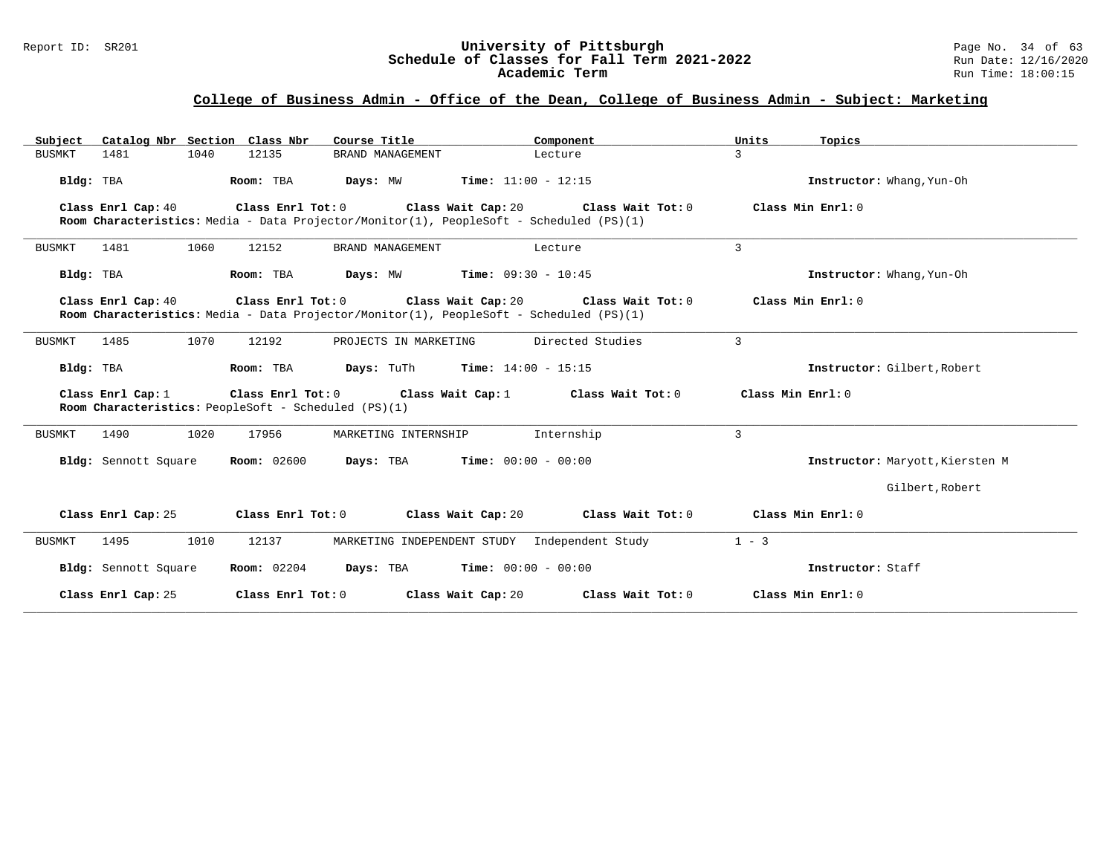#### Report ID: SR201 **1988 Mage 10: SR201 University of Pittsburgh** Page No. 34 of 63<br>**Schedule of Classes for Fall Term 2021-2022** 2011 Page 12/16/2020 **Schedule of Classes for Fall Term 2021-2022** Run Date: 12/16/2020 **Academic Term** Run Time: 18:00:15

| Subject Catalog Nbr Section Class Nbr | Course Title                                                                                                                    | Component                                              | Units<br>Topics                 |
|---------------------------------------|---------------------------------------------------------------------------------------------------------------------------------|--------------------------------------------------------|---------------------------------|
| 1040<br>1481<br><b>BUSMKT</b>         | 12135<br>BRAND MANAGEMENT                                                                                                       | Lecture                                                | 3                               |
| Bldg: TBA                             | Room: TBA<br>Days: MW                                                                                                           | <b>Time:</b> $11:00 - 12:15$                           | Instructor: Whang, Yun-Oh       |
| Class Enrl Cap: 40                    | Class Enrl Tot: 0 Class Wait Cap: 20<br>Room Characteristics: Media - Data Projector/Monitor(1), PeopleSoft - Scheduled (PS)(1) | Class Wait Tot: 0                                      | Class Min Enrl: 0               |
| 1481<br>1060<br><b>BUSMKT</b>         | 12152<br>BRAND MANAGEMENT                                                                                                       | Lecture                                                | 3                               |
| Bldg: TBA                             | Room: TBA                                                                                                                       | <b>Days:</b> $MW$ <b>Time:</b> $09:30 - 10:45$         | Instructor: Whang, Yun-Oh       |
| Class Enrl Cap: 40                    | Room Characteristics: Media - Data Projector/Monitor(1), PeopleSoft - Scheduled (PS)(1)                                         | Class Enrl Tot: 0 Class Wait Cap: 20 Class Wait Tot: 0 | Class Min Enrl: 0               |
| 1070<br><b>BUSMKT</b><br>1485         | 12192<br>PROJECTS IN MARKETING                                                                                                  | Directed Studies                                       | 3                               |
| Bldg: TBA                             | Room: TBA                                                                                                                       | <b>Days:</b> TuTh <b>Time:</b> $14:00 - 15:15$         | Instructor: Gilbert, Robert     |
| Class Enrl Cap: 1                     | Class Enrl Tot: 0 Class Wait Cap: 1<br>Room Characteristics: PeopleSoft - Scheduled (PS)(1)                                     | Class Wait Tot: 0                                      | Class Min $Err1:0$              |
| 1490<br>1020<br><b>BUSMKT</b>         | 17956<br>MARKETING INTERNSHIP                                                                                                   | Internship                                             | 3                               |
| Bldg: Sennott Square                  | <b>Room:</b> 02600                                                                                                              | <b>Days:</b> TBA <b>Time:</b> $00:00 - 00:00$          | Instructor: Maryott, Kiersten M |
|                                       |                                                                                                                                 |                                                        | Gilbert, Robert                 |
| Class Enrl Cap: 25                    | Class Enrl Tot: 0<br>Class Wait Cap: 20                                                                                         | Class Wait Tot: 0                                      | Class Min Enrl: 0               |
| 1495<br>1010<br><b>BUSMKT</b>         | 12137                                                                                                                           | MARKETING INDEPENDENT STUDY Independent Study          | $1 - 3$                         |
| Bldg: Sennott Square                  | <b>Room:</b> 02204                                                                                                              | <b>Days:</b> TBA <b>Time:</b> $00:00 - 00:00$          | Instructor: Staff               |
| Class Enrl Cap: 25                    | Class Enrl Tot: 0                                                                                                               | Class Wait Tot: 0<br>Class Wait Cap: 20                | Class Min Enrl: 0               |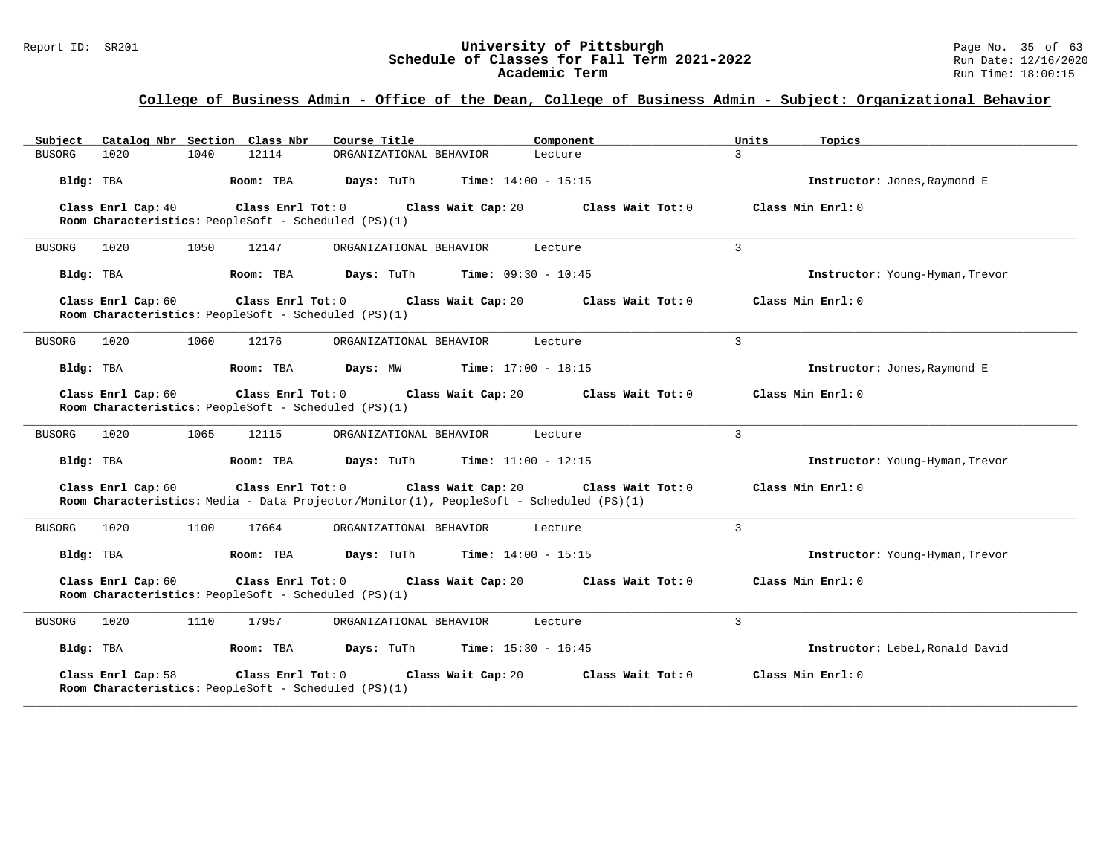#### Report ID: SR201 **1988 Mage 10: SR201 University of Pittsburgh** Page No. 35 of 63<br>**Schedule of Classes for Fall Term 2021-2022** 2011 Page No. 35 of 63 **Schedule of Classes for Fall Term 2021-2022** Run Date: 12/16/2020 **Academic Term** Run Time: 18:00:15

| Catalog Nbr Section Class Nbr<br>Subject                                                                                           | Course Title                         | Component                    | Units<br>Topics                 |  |
|------------------------------------------------------------------------------------------------------------------------------------|--------------------------------------|------------------------------|---------------------------------|--|
| 1020<br>1040<br>12114<br>BUSORG                                                                                                    | ORGANIZATIONAL BEHAVIOR              | Lecture                      | 3                               |  |
| Bldg: TBA<br>Room: TBA                                                                                                             | <b>Days:</b> TuTh                    | <b>Time:</b> $14:00 - 15:15$ | Instructor: Jones, Raymond E    |  |
| Class Enrl Cap: 40<br>Class Enrl Tot: 0<br>Room Characteristics: PeopleSoft - Scheduled (PS)(1)                                    | Class Wait Cap: 20                   | Class Wait Tot: 0            | Class Min Enrl: 0               |  |
| 1020<br>1050<br>12147<br>BUSORG                                                                                                    | ORGANIZATIONAL BEHAVIOR              | Lecture                      | $\overline{3}$                  |  |
| Room: TBA<br>Bldg: TBA                                                                                                             | Days: TuTh                           | <b>Time:</b> $09:30 - 10:45$ | Instructor: Young-Hyman, Trevor |  |
| Class Enrl Cap: 60<br>$Class$ $Enr1$ $Tot: 0$<br>Room Characteristics: PeopleSoft - Scheduled (PS)(1)                              | Class Wait Cap: 20                   | Class Wait Tot: 0            | Class Min Enrl: 0               |  |
| BUSORG<br>1020<br>1060<br>12176                                                                                                    | ORGANIZATIONAL BEHAVIOR              | Lecture                      | 3                               |  |
| Bldg: TBA<br>Room: TBA                                                                                                             | Days: MW                             | <b>Time:</b> $17:00 - 18:15$ | Instructor: Jones, Raymond E    |  |
| Class Enrl Cap: 60<br>Room Characteristics: PeopleSoft - Scheduled (PS)(1)                                                         | Class Enrl Tot: 0 Class Wait Cap: 20 | Class Wait Tot: 0            | Class Min Enrl: 0               |  |
| 1020<br>1065<br><b>BUSORG</b><br>12115                                                                                             | ORGANIZATIONAL BEHAVIOR              | Lecture                      | 3                               |  |
| Bldg: TBA<br>Room: TBA                                                                                                             | Days: TuTh                           | <b>Time:</b> $11:00 - 12:15$ | Instructor: Young-Hyman, Trevor |  |
| Class Enrl Cap: 60<br>Class Enrl Tot: 0<br>Room Characteristics: Media - Data Projector/Monitor(1), PeopleSoft - Scheduled (PS)(1) | Class Wait Cap: 20                   | Class Wait Tot: 0            | Class Min Enrl: 0               |  |
| 1100<br><b>BUSORG</b><br>1020<br>17664                                                                                             | ORGANIZATIONAL BEHAVIOR              | Lecture                      | 3                               |  |
| Bldg: TBA<br>Room: TBA                                                                                                             | Days: TuTh                           | <b>Time:</b> $14:00 - 15:15$ | Instructor: Young-Hyman, Trevor |  |
| Class Enrl Cap: 60<br>Class Enrl Tot: 0<br>Room Characteristics: PeopleSoft - Scheduled (PS)(1)                                    | Class Wait Cap: 20                   | Class Wait Tot: 0            | Class Min Enrl: 0               |  |
| <b>BUSORG</b><br>1020<br>1110<br>17957                                                                                             | ORGANIZATIONAL BEHAVIOR              | Lecture                      | 3                               |  |
| Bldg: TBA<br>Room: TBA                                                                                                             | Days: TuTh                           | <b>Time:</b> $15:30 - 16:45$ | Instructor: Lebel, Ronald David |  |
| Class Enrl Cap: 58<br>Class Enrl Tot: 0<br>Room Characteristics: PeopleSoft - Scheduled (PS)(1)                                    | Class Wait Cap: 20                   | Class Wait Tot: 0            | Class Min Enrl: 0               |  |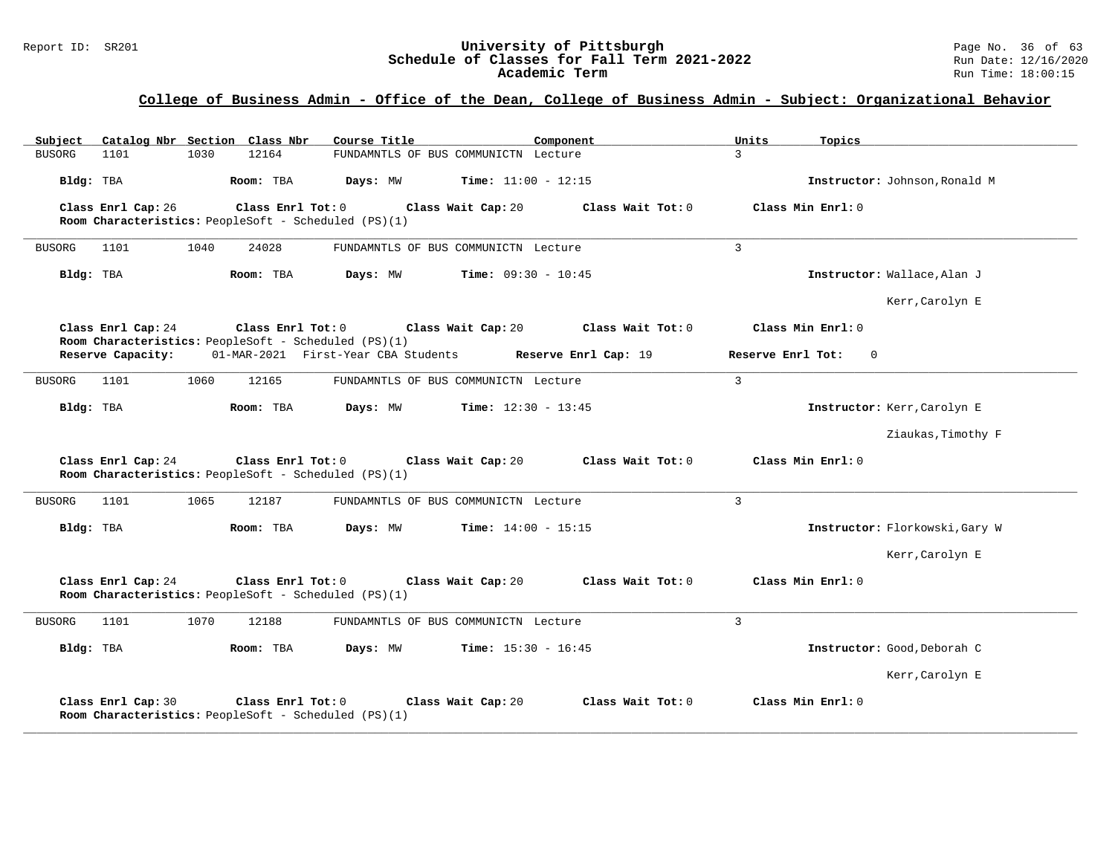| Subject Catalog Nbr Section Class Nbr                                                                 | Course Title<br>Component                                   | Units<br>Topics                |
|-------------------------------------------------------------------------------------------------------|-------------------------------------------------------------|--------------------------------|
| 12164<br><b>BUSORG</b><br>1101<br>1030                                                                | FUNDAMNTLS OF BUS COMMUNICTN Lecture                        | $\mathbf{3}$                   |
| Bldg: TBA<br>Room: TBA                                                                                | <b>Time:</b> $11:00 - 12:15$<br>Days: MW                    | Instructor: Johnson, Ronald M  |
| Class Enrl Cap: 26<br>Class Enrl Tot: 0<br>Room Characteristics: PeopleSoft - Scheduled (PS)(1)       | Class Wait Cap: 20<br>Class Wait Tot: 0                     | Class Min Enrl: 0              |
| 1040<br>24028<br>1101<br>BUSORG                                                                       | FUNDAMNTLS OF BUS COMMUNICTN Lecture                        | $\overline{3}$                 |
| Bldg: TBA<br>Room: TBA                                                                                | <b>Time:</b> $09:30 - 10:45$<br>Days: MW                    | Instructor: Wallace, Alan J    |
|                                                                                                       |                                                             | Kerr, Carolyn E                |
| Class Enrl Cap: 24<br>$Class$ $Enr1$ $Tot: 0$<br>Room Characteristics: PeopleSoft - Scheduled (PS)(1) | Class Wait Tot: 0<br>Class Wait Cap: 20                     | Class Min Enrl: 0              |
| Reserve Capacity:                                                                                     | 01-MAR-2021 First-Year CBA Students<br>Reserve Enrl Cap: 19 | Reserve Enrl Tot:<br>$\Omega$  |
| 1101<br>1060<br>12165<br><b>BUSORG</b>                                                                | FUNDAMNTLS OF BUS COMMUNICTN Lecture                        | $\overline{3}$                 |
| Room: TBA<br>Bldg: TBA                                                                                | <b>Time:</b> $12:30 - 13:45$<br>Days: MW                    | Instructor: Kerr, Carolyn E    |
|                                                                                                       |                                                             | Ziaukas, Timothy F             |
| Class Enrl Cap: 24<br>$Class$ $Enr1$ $Tot: 0$<br>Room Characteristics: PeopleSoft - Scheduled (PS)(1) | Class Wait Cap: 20<br>Class Wait Tot: 0                     | Class Min Enrl: 0              |
| 1101<br>1065<br>12187<br>BUSORG                                                                       | FUNDAMNTLS OF BUS COMMUNICTN Lecture                        | 3                              |
| Bldg: TBA<br>Room: TBA                                                                                | Days: MW<br><b>Time:</b> $14:00 - 15:15$                    | Instructor: Florkowski, Gary W |
|                                                                                                       |                                                             | Kerr, Carolyn E                |
| Class Enrl Cap: 24<br>Class Enrl Tot: 0<br>Room Characteristics: PeopleSoft - Scheduled (PS)(1)       | Class Wait Cap: 20<br>Class Wait Tot: 0                     | Class Min Enrl: 0              |
| 1101<br>1070<br>12188<br>BUSORG                                                                       | FUNDAMNTLS OF BUS COMMUNICTN Lecture                        | 3                              |
| Bldg: TBA<br>Room: TBA                                                                                | <b>Time:</b> $15:30 - 16:45$<br>Days: MW                    | Instructor: Good, Deborah C    |
|                                                                                                       |                                                             | Kerr, Carolyn E                |
| Class Enrl Cap: 30<br>Class Enrl Tot: 0<br>Room Characteristics: PeopleSoft - Scheduled (PS)(1)       | Class Wait Tot: 0<br>Class Wait Cap: 20                     | Class Min Enrl: 0              |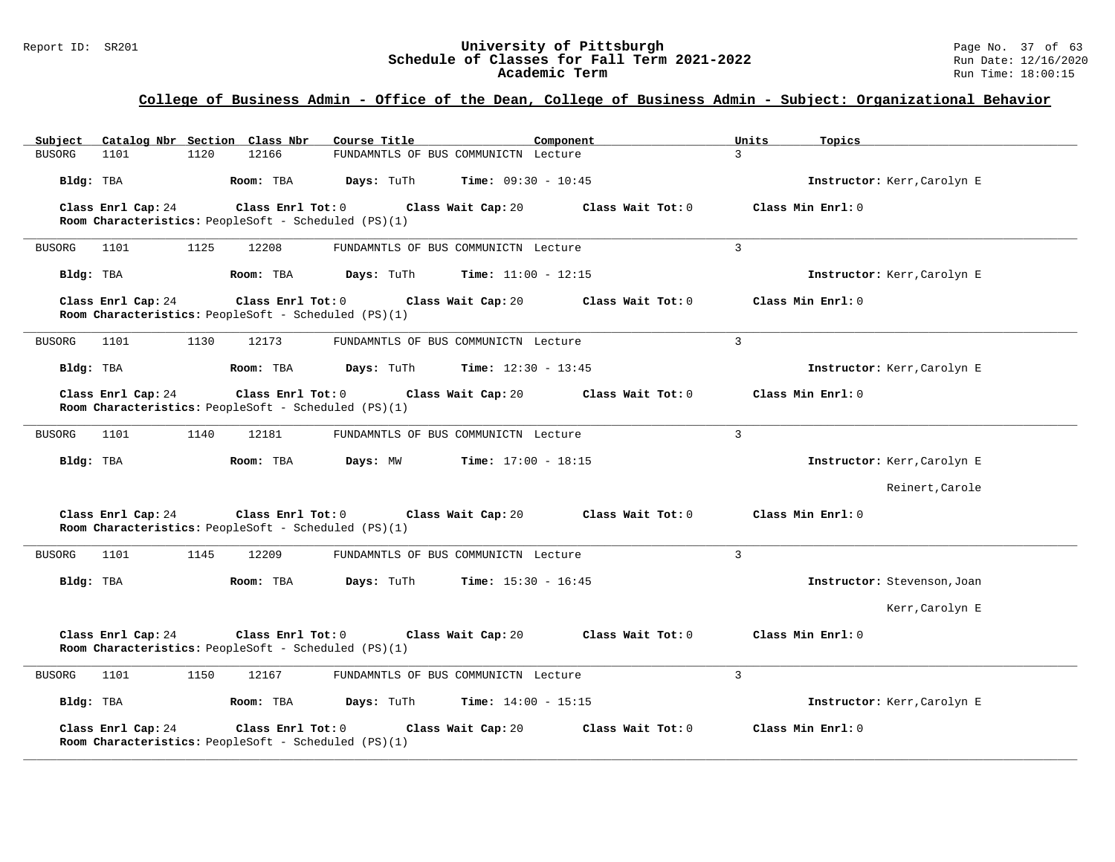| Catalog Nbr Section Class Nbr<br>Subject | Course Title                                                                                    | Component                    | Units<br>Topics             |
|------------------------------------------|-------------------------------------------------------------------------------------------------|------------------------------|-----------------------------|
| 1101<br>1120<br><b>BUSORG</b>            | 12166<br>FUNDAMNTLS OF BUS COMMUNICTN Lecture                                                   | $\mathcal{E}$                |                             |
| Bldg: TBA                                | Room: TBA<br>Days: TuTh                                                                         | <b>Time:</b> $09:30 - 10:45$ | Instructor: Kerr, Carolyn E |
| Class Enrl Cap: 24                       | Class Enrl Tot: 0<br>Class Wait Cap: 20                                                         | Class Wait Tot: 0            | Class Min Enrl: 0           |
|                                          | Room Characteristics: PeopleSoft - Scheduled (PS)(1)                                            |                              |                             |
| 1101<br>1125<br><b>BUSORG</b>            | 12208<br>FUNDAMNTLS OF BUS COMMUNICTN Lecture                                                   | 3                            |                             |
| Bldg: TBA                                | Room: TBA<br>Days: TuTh                                                                         | <b>Time:</b> $11:00 - 12:15$ | Instructor: Kerr, Carolyn E |
| Class Enrl Cap: 24                       | Class Enrl Tot: 0<br>Class Wait Cap: 20<br>Room Characteristics: PeopleSoft - Scheduled (PS)(1) | Class Wait Tot: 0            | Class Min Enrl: 0           |
| <b>BUSORG</b><br>1101<br>1130            | 12173<br>FUNDAMNTLS OF BUS COMMUNICTN Lecture                                                   | $\overline{3}$               |                             |
| Bldg: TBA                                | Room: TBA<br>Days: TuTh                                                                         | <b>Time:</b> $12:30 - 13:45$ | Instructor: Kerr, Carolyn E |
| Class Enrl Cap: 24                       | Class Enrl Tot: 0<br>Class Wait Cap: 20<br>Room Characteristics: PeopleSoft - Scheduled (PS)(1) | Class Wait Tot: 0            | Class Min Enrl: 0           |
| 1101<br>1140<br><b>BUSORG</b>            | 12181<br>FUNDAMNTLS OF BUS COMMUNICTN Lecture                                                   | $\overline{3}$               |                             |
| Bldg: TBA                                | Room: TBA<br>Days: MW                                                                           | <b>Time:</b> $17:00 - 18:15$ | Instructor: Kerr, Carolyn E |
|                                          |                                                                                                 |                              | Reinert, Carole             |
| Class Enrl Cap: 24                       | Class Enrl Tot: 0<br>Class Wait Cap: 20<br>Room Characteristics: PeopleSoft - Scheduled (PS)(1) | Class Wait Tot: 0            | Class Min Enrl: 0           |
| 1145<br><b>BUSORG</b><br>1101            | 12209<br>FUNDAMNTLS OF BUS COMMUNICTN Lecture                                                   | $\overline{3}$               |                             |
| Bldg: TBA                                | Days: TuTh<br>Room: TBA                                                                         | <b>Time:</b> $15:30 - 16:45$ | Instructor: Stevenson, Joan |
|                                          |                                                                                                 |                              | Kerr, Carolyn E             |
| Class Enrl Cap: 24                       | Class Enrl Tot: 0<br>Class Wait Cap: 20<br>Room Characteristics: PeopleSoft - Scheduled (PS)(1) | Class Wait Tot: 0            | Class Min Enrl: 0           |
| 1101<br>1150<br><b>BUSORG</b>            | 12167<br>FUNDAMNTLS OF BUS COMMUNICTN Lecture                                                   | $\overline{3}$               |                             |
| Bldg: TBA                                | Days: TuTh<br>Room: TBA                                                                         | <b>Time:</b> $14:00 - 15:15$ | Instructor: Kerr, Carolyn E |
| Class Enrl Cap: 24                       | Class Enrl Tot: 0<br>Class Wait Cap: 20<br>Room Characteristics: PeopleSoft - Scheduled (PS)(1) | Class Wait Tot: 0            | Class Min Enrl: 0           |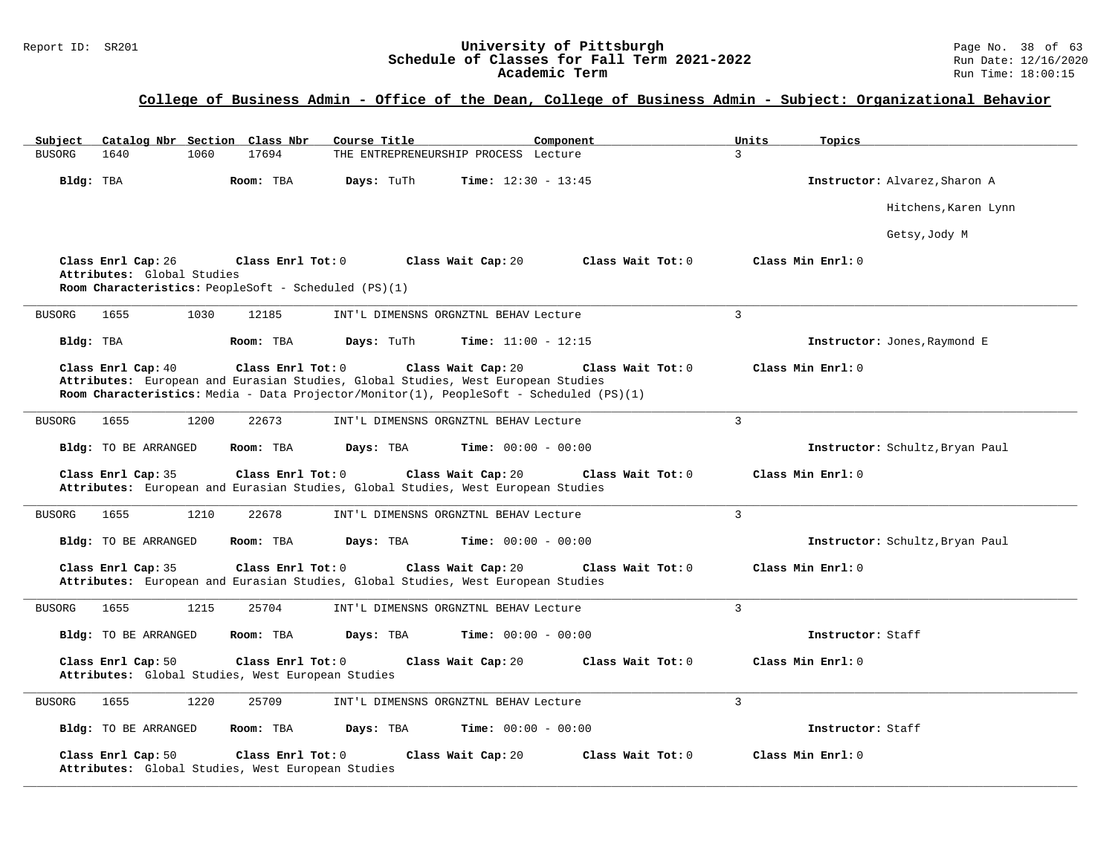#### Report ID: SR201 **University of Pittsburgh University of Pittsburgh** Page No. 38 of 63<br>**Schedule of Classes for Fall Term 2021-2022** Run Date: 12/16/2020 **Schedule of Classes for Fall Term 2021-2022** Run Date: 12/16/2020 **Academic Term** Run Time: 18:00:15

| Catalog Nbr Section Class Nbr<br>Subject                                                                                      | Course Title<br>Component                                                                                                                                                                                              | Units<br>Topics                 |
|-------------------------------------------------------------------------------------------------------------------------------|------------------------------------------------------------------------------------------------------------------------------------------------------------------------------------------------------------------------|---------------------------------|
| 1640<br>17694<br><b>BUSORG</b><br>1060                                                                                        | THE ENTREPRENEURSHIP PROCESS Lecture                                                                                                                                                                                   | 3                               |
| Bldg: TBA<br>Room: TBA                                                                                                        | Days: TuTh<br><b>Time:</b> $12:30 - 13:45$                                                                                                                                                                             | Instructor: Alvarez, Sharon A   |
|                                                                                                                               |                                                                                                                                                                                                                        | Hitchens, Karen Lynn            |
|                                                                                                                               |                                                                                                                                                                                                                        | Getsy, Jody M                   |
| Class Enrl Cap: 26<br>Class Enrl Tot: 0<br>Attributes: Global Studies<br>Room Characteristics: PeopleSoft - Scheduled (PS)(1) | Class Wait Tot: 0<br>Class Wait Cap: 20                                                                                                                                                                                | Class Min Enrl: 0               |
| 1655<br>1030<br>12185<br><b>BUSORG</b>                                                                                        | INT'L DIMENSNS ORGNZTNL BEHAV Lecture                                                                                                                                                                                  | $\mathcal{L}$                   |
| Bldg: TBA<br>Room: TBA                                                                                                        | Days: TuTh<br><b>Time:</b> $11:00 - 12:15$                                                                                                                                                                             | Instructor: Jones, Raymond E    |
| Class Enrl Cap: 40<br>Class Enrl Tot: 0                                                                                       | Class Wait Cap: 20<br>Class Wait Tot: 0<br>Attributes: European and Eurasian Studies, Global Studies, West European Studies<br>Room Characteristics: Media - Data Projector/Monitor(1), PeopleSoft - Scheduled (PS)(1) | Class Min Enrl: 0               |
| 1655<br>1200<br>22673<br><b>BUSORG</b>                                                                                        | INT'L DIMENSNS ORGNZTNL BEHAV Lecture                                                                                                                                                                                  | $\overline{3}$                  |
| Bldg: TO BE ARRANGED<br>Room: TBA                                                                                             | Days: TBA<br><b>Time:</b> $00:00 - 00:00$                                                                                                                                                                              | Instructor: Schultz, Bryan Paul |
| Class Enrl Cap: 35<br>Class Enrl Tot: 0                                                                                       | Class Wait Cap: 20<br>Class Wait Tot: 0<br>Attributes: European and Eurasian Studies, Global Studies, West European Studies                                                                                            | Class Min Enrl: 0               |
| 1210<br>22678<br>BUSORG<br>1655                                                                                               | INT'L DIMENSNS ORGNZTNL BEHAV Lecture                                                                                                                                                                                  | $\overline{3}$                  |
| Bldg: TO BE ARRANGED<br>Room: TBA                                                                                             | Days: TBA<br><b>Time:</b> $00:00 - 00:00$                                                                                                                                                                              | Instructor: Schultz, Bryan Paul |
| Class Enrl Cap: 35<br>Class Enrl Tot: 0                                                                                       | Class Wait Cap: 20<br>Class Wait Tot: 0<br>Attributes: European and Eurasian Studies, Global Studies, West European Studies                                                                                            | Class Min Enrl: 0               |
| <b>BUSORG</b><br>1655<br>1215<br>25704                                                                                        | INT'L DIMENSNS ORGNZTNL BEHAV Lecture                                                                                                                                                                                  | 3                               |
| Bldg: TO BE ARRANGED<br>Room: TBA                                                                                             | Time: $00:00 - 00:00$<br>Days: TBA                                                                                                                                                                                     | Instructor: Staff               |
| Class Enrl Cap: 50<br>Class Enrl Tot: 0<br>Attributes: Global Studies, West European Studies                                  | Class Wait Cap: 20<br>Class Wait Tot: 0                                                                                                                                                                                | Class Min Enrl: 0               |
| 1220<br>25709<br>1655<br><b>BUSORG</b>                                                                                        | INT'L DIMENSNS ORGNZTNL BEHAV Lecture                                                                                                                                                                                  | 3                               |
| Bldg: TO BE ARRANGED<br>Room: TBA                                                                                             | Days: TBA<br>Time: $00:00 - 00:00$                                                                                                                                                                                     | Instructor: Staff               |
| Class Enrl Tot: 0<br>Class Enrl Cap: 50<br>Attributes: Global Studies, West European Studies                                  | Class Wait Tot: 0<br>Class Wait Cap: 20                                                                                                                                                                                | Class Min Enrl: 0               |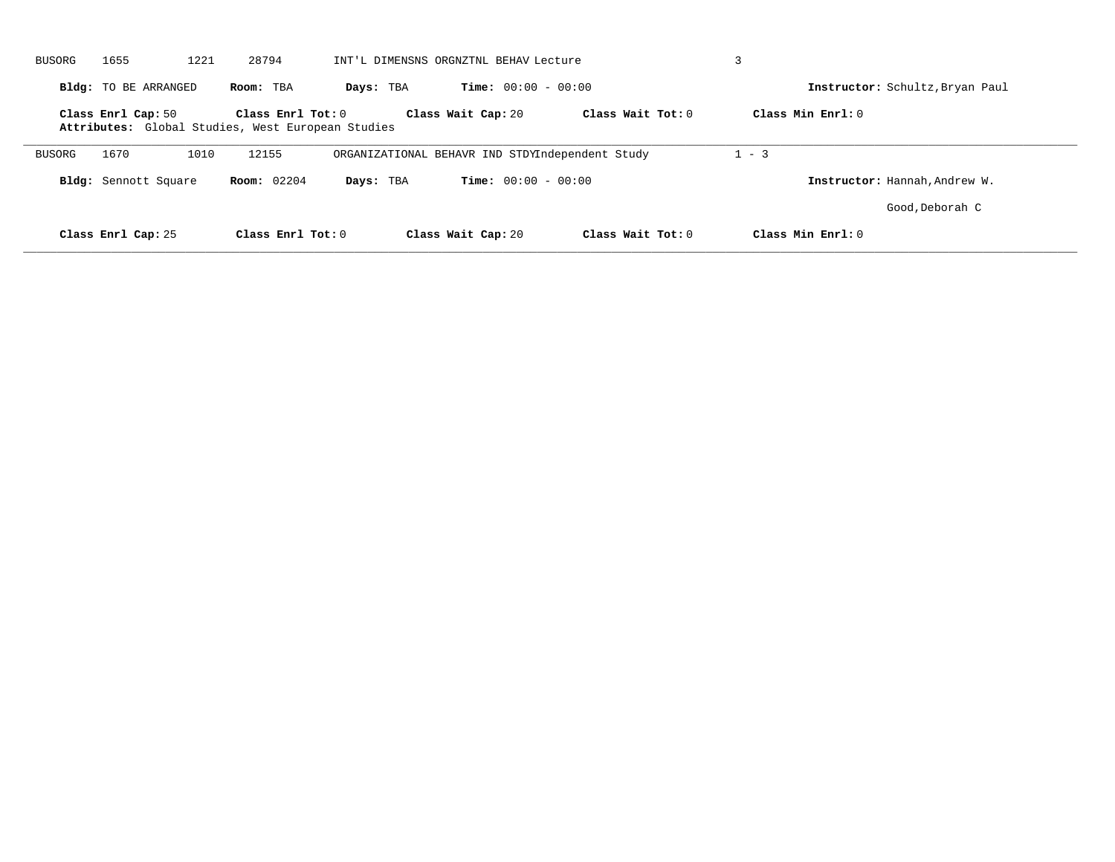| BUSORG | 1655                        | 28794<br>1221                                                          | INT'L DIMENSNS ORGNZTNL BEHAV Lecture           |                   |                                 |                 |
|--------|-----------------------------|------------------------------------------------------------------------|-------------------------------------------------|-------------------|---------------------------------|-----------------|
|        | <b>Bldg:</b> TO BE ARRANGED | Room: TBA                                                              | <b>Time:</b> $00:00 - 00:00$<br>Days: TBA       |                   | Instructor: Schultz, Bryan Paul |                 |
|        | Class Enrl Cap: 50          | Class Enrl Tot: 0<br>Attributes: Global Studies, West European Studies | Class Wait Cap: 20                              | Class Wait Tot: 0 | Class Min $Err1:0$              |                 |
| BUSORG | 1670                        | 12155<br>1010                                                          | ORGANIZATIONAL BEHAVR IND STDYIndependent Study |                   | $1 - 3$                         |                 |
|        | Bldg: Sennott Square        | <b>Room:</b> 02204                                                     | <b>Time:</b> $00:00 - 00:00$<br>Days: TBA       |                   | Instructor: Hannah, Andrew W.   |                 |
|        |                             |                                                                        |                                                 |                   |                                 | Good, Deborah C |
|        | Class Enrl Cap: 25          | Class Enrl Tot: 0                                                      | Class Wait Cap: 20                              | Class Wait Tot: 0 | Class Min Enrl: 0               |                 |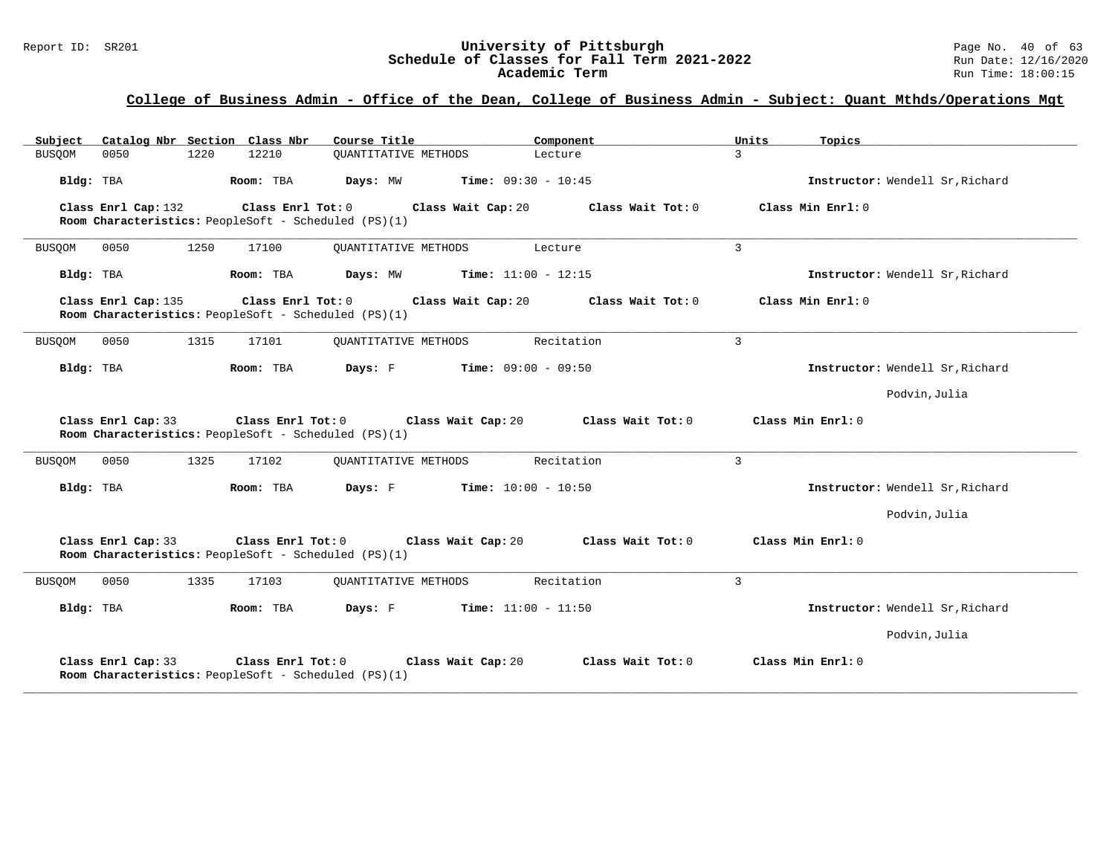| Catalog Nbr Section Class Nbr<br>Subject                                                        | Course Title<br>Component                 | Units<br>Topics                        |                                 |
|-------------------------------------------------------------------------------------------------|-------------------------------------------|----------------------------------------|---------------------------------|
| 1220<br>12210<br><b>BUSQOM</b><br>0050                                                          | <b>OUANTITATIVE METHODS</b><br>Lecture    | 3                                      |                                 |
| Bldg: TBA<br>Room: TBA                                                                          | <b>Time:</b> $09:30 - 10:45$<br>Days: MW  |                                        | Instructor: Wendell Sr, Richard |
| Class Enrl Cap: 132<br>Room Characteristics: PeopleSoft - Scheduled (PS)(1)                     | Class Enrl Tot: 0<br>Class Wait Cap: 20   | Class Wait Tot: 0<br>Class Min Enrl: 0 |                                 |
| 1250<br><b>BUSQOM</b><br>0050<br>17100                                                          | <b>OUANTITATIVE METHODS</b><br>Lecture    | 3                                      |                                 |
| Bldg: TBA<br>Room: TBA                                                                          | <b>Time:</b> $11:00 - 12:15$<br>Days: MW  |                                        | Instructor: Wendell Sr, Richard |
| Class Enrl Cap: 135<br>Room Characteristics: PeopleSoft - Scheduled (PS)(1)                     | Class Enrl Tot: 0<br>Class Wait Cap: 20   | Class Wait Tot: 0<br>Class Min Enrl: 0 |                                 |
| 0050<br>1315<br>17101<br><b>BUSQOM</b>                                                          | <b>OUANTITATIVE METHODS</b><br>Recitation | $\overline{3}$                         |                                 |
| Bldg: TBA<br>Room: TBA                                                                          | Days: F<br><b>Time:</b> $09:00 - 09:50$   |                                        | Instructor: Wendell Sr, Richard |
|                                                                                                 |                                           |                                        | Podvin, Julia                   |
| Class Enrl Cap: 33<br>Class Enrl Tot: 0<br>Room Characteristics: PeopleSoft - Scheduled (PS)(1) | Class Wait Cap: 20                        | Class Wait Tot: 0<br>Class Min Enrl: 0 |                                 |
| 0050<br>1325<br>17102<br><b>BUSQOM</b>                                                          | Recitation<br><b>OUANTITATIVE METHODS</b> | $\overline{3}$                         |                                 |
| Bldg: TBA<br>Room: TBA                                                                          | Days: F<br><b>Time:</b> $10:00 - 10:50$   |                                        | Instructor: Wendell Sr, Richard |
|                                                                                                 |                                           |                                        | Podvin, Julia                   |
| Class Enrl Cap: 33<br>Class Enrl Tot: 0<br>Room Characteristics: PeopleSoft - Scheduled (PS)(1) | Class Wait Cap: 20                        | Class Wait Tot: 0<br>Class Min Enrl: 0 |                                 |
| 0050<br>1335<br>17103<br>BUSQOM                                                                 | Recitation<br><b>OUANTITATIVE METHODS</b> | 3                                      |                                 |
| Bldg: TBA<br>Room: TBA                                                                          | <b>Time:</b> $11:00 - 11:50$<br>Days: F   |                                        | Instructor: Wendell Sr, Richard |
|                                                                                                 |                                           |                                        | Podvin, Julia                   |
| Class Enrl Cap: 33<br>Class Enrl Tot: 0<br>Room Characteristics: PeopleSoft - Scheduled (PS)(1) | Class Wait Cap: 20                        | Class Wait Tot: 0<br>Class Min Enrl: 0 |                                 |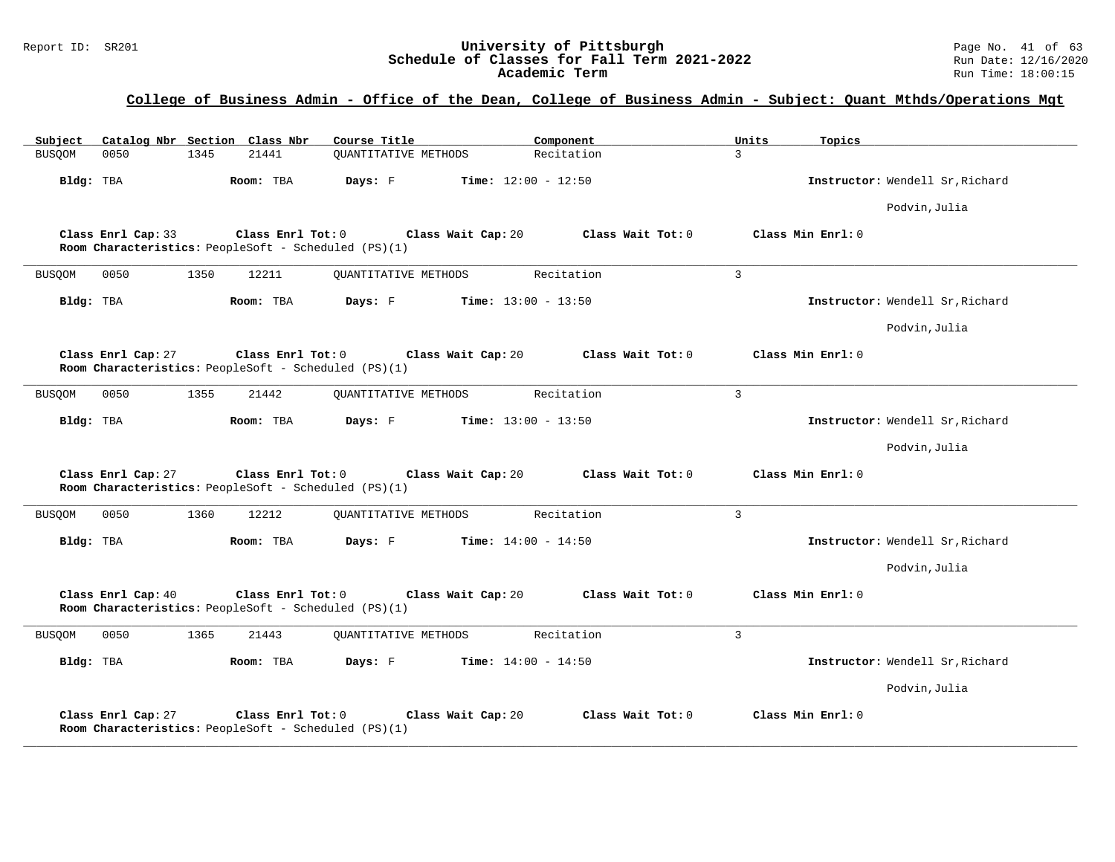# Report ID: SR201 **1988 Mage 10: SR201 University of Pittsburgh** Page No. 41 of 63<br>**Schedule of Classes for Fall Term 2021-2022** 2011 Page No. 41 of 63 Schedule of Classes for Fall Term 2021-2022<br>Academic Term

| Subject<br>Catalog Nbr Section Class Nbr                                                        | Course Title<br>Component                 | Units<br>Topics                 |
|-------------------------------------------------------------------------------------------------|-------------------------------------------|---------------------------------|
| 0050<br>1345<br>21441<br><b>BUSQOM</b>                                                          | <b>OUANTITATIVE METHODS</b><br>Recitation | 3                               |
| Bldg: TBA<br>Room: TBA                                                                          | Days: F<br><b>Time:</b> $12:00 - 12:50$   | Instructor: Wendell Sr, Richard |
|                                                                                                 |                                           | Podvin, Julia                   |
| Class Enrl Cap: 33<br>Class Enrl Tot: 0<br>Room Characteristics: PeopleSoft - Scheduled (PS)(1) | Class Wait Tot: 0<br>Class Wait Cap: 20   | Class Min Enrl: 0               |
| <b>BUSQOM</b><br>0050<br>1350<br>12211                                                          | <b>OUANTITATIVE METHODS</b><br>Recitation | 3                               |
| Bldg: TBA<br>Room: TBA                                                                          | <b>Time:</b> $13:00 - 13:50$<br>Days: F   | Instructor: Wendell Sr, Richard |
|                                                                                                 |                                           | Podvin, Julia                   |
| Class Enrl Cap: 27<br>Class Enrl Tot: 0<br>Room Characteristics: PeopleSoft - Scheduled (PS)(1) | Class Wait Cap: 20<br>Class Wait Tot: 0   | Class Min Enrl: 0               |
| <b>BUSQOM</b><br>0050<br>1355<br>21442                                                          | Recitation<br>QUANTITATIVE METHODS        | $\overline{3}$                  |
| Bldg: TBA<br>Room: TBA                                                                          | Days: F<br><b>Time:</b> $13:00 - 13:50$   | Instructor: Wendell Sr, Richard |
|                                                                                                 |                                           | Podvin, Julia                   |
| Class Enrl Cap: 27<br>Class Enrl Tot: 0<br>Room Characteristics: PeopleSoft - Scheduled (PS)(1) | Class Wait Cap: 20<br>Class Wait Tot: 0   | Class Min Enrl: 0               |
| 1360<br>12212<br><b>BUSQOM</b><br>0050                                                          | Recitation<br><b>OUANTITATIVE METHODS</b> | 3                               |
| Bldg: TBA<br>Room: TBA                                                                          | Days: F<br><b>Time:</b> $14:00 - 14:50$   | Instructor: Wendell Sr, Richard |
|                                                                                                 |                                           | Podvin, Julia                   |
| Class Enrl Cap: 40<br>Class Enrl Tot: 0<br>Room Characteristics: PeopleSoft - Scheduled (PS)(1) | Class Wait Cap: 20<br>Class Wait Tot: 0   | Class Min Enrl: 0               |
| 0050<br>1365<br>21443<br><b>BUSQOM</b>                                                          | <b>OUANTITATIVE METHODS</b><br>Recitation | $\overline{3}$                  |
| Bldg: TBA<br>Room: TBA                                                                          | Days: F<br><b>Time:</b> $14:00 - 14:50$   | Instructor: Wendell Sr, Richard |
|                                                                                                 |                                           | Podvin, Julia                   |
| Class Enrl Cap: 27<br>Class Enrl Tot: 0<br>Room Characteristics: PeopleSoft - Scheduled (PS)(1) | Class Wait Cap: 20<br>Class Wait Tot: 0   | Class Min Enrl: 0               |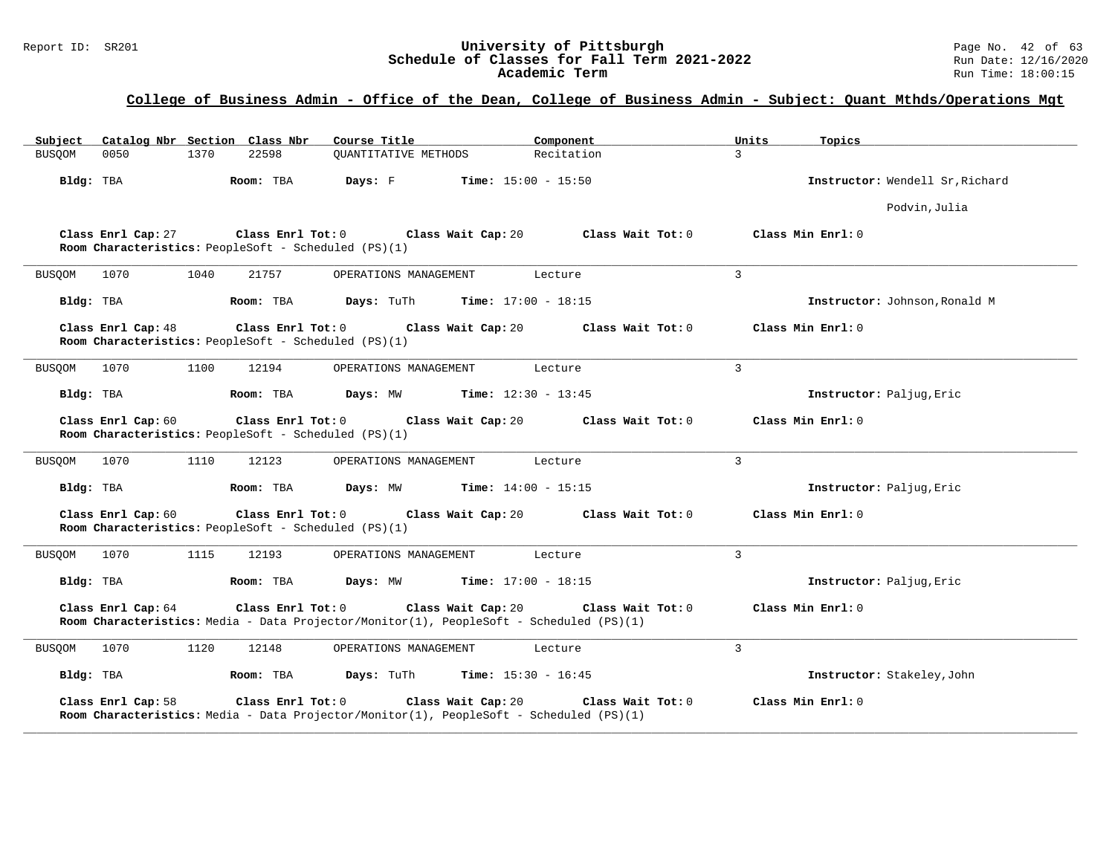# Report ID: SR201 **1988 Mage 10: SR201 University of Pittsburgh** Page No. 42 of 63<br>**Schedule of Classes for Fall Term 2021-2022** 2011 Page No. 42 of 63<br>Run Date: 12/16/2020 Schedule of Classes for Fall Term 2021-2022<br>Academic Term

| Catalog Nbr Section Class Nbr<br>Subject                                                                                           | Course Title                | Component                    | Units          | Topics                          |
|------------------------------------------------------------------------------------------------------------------------------------|-----------------------------|------------------------------|----------------|---------------------------------|
| 22598<br>0050<br>1370<br>BUSQOM                                                                                                    | <b>OUANTITATIVE METHODS</b> | Recitation                   | $\mathcal{L}$  |                                 |
| Room: TBA<br>Bldg: TBA                                                                                                             | Days: F                     | <b>Time:</b> $15:00 - 15:50$ |                | Instructor: Wendell Sr, Richard |
|                                                                                                                                    |                             |                              |                | Podvin, Julia                   |
| Class Enrl Cap: 27<br>Class Enrl Tot: 0<br>Room Characteristics: PeopleSoft - Scheduled (PS)(1)                                    | Class Wait Cap: 20          | Class Wait Tot: 0            |                | Class Min Enrl: 0               |
| BUSQOM<br>1070<br>1040<br>21757                                                                                                    | OPERATIONS MANAGEMENT       | Lecture                      | 3              |                                 |
| Bldg: TBA<br>Room: TBA                                                                                                             | Days: TuTh                  | <b>Time:</b> $17:00 - 18:15$ |                | Instructor: Johnson, Ronald M   |
| Class Enrl Cap: 48<br>Class Enrl Tot: 0<br>Room Characteristics: PeopleSoft - Scheduled (PS)(1)                                    | Class Wait Cap: 20          | Class Wait Tot: 0            |                | Class Min Enrl: 0               |
| 1070<br>1100<br>12194<br><b>BUSQOM</b>                                                                                             | OPERATIONS MANAGEMENT       | Lecture                      | 3              |                                 |
| Bldg: TBA<br>Room: TBA                                                                                                             | Days: MW                    | <b>Time:</b> $12:30 - 13:45$ |                | Instructor: Paljug, Eric        |
| Class Enrl Cap: 60<br>Class Enrl Tot: 0<br>Room Characteristics: PeopleSoft - Scheduled (PS)(1)                                    | Class Wait Cap: 20          | Class Wait Tot: 0            |                | Class Min Enrl: 0               |
| 1070<br>1110<br>12123<br>BUSQOM                                                                                                    | OPERATIONS MANAGEMENT       | Lecture                      | 3              |                                 |
| Bldg: TBA<br>Room: TBA                                                                                                             | Days: MW                    | <b>Time:</b> $14:00 - 15:15$ |                | Instructor: Paljug, Eric        |
| Class Enrl Cap: 60<br>Class Enrl Tot: 0<br>Room Characteristics: PeopleSoft - Scheduled (PS)(1)                                    | Class Wait Cap: 20          | Class Wait Tot: 0            |                | Class Min Enrl: 0               |
| 1070<br>1115<br>12193<br><b>BUSOOM</b>                                                                                             | OPERATIONS MANAGEMENT       | Lecture                      | 3              |                                 |
| Bldg: TBA<br>Room: TBA                                                                                                             | Days: MW                    | <b>Time:</b> $17:00 - 18:15$ |                | Instructor: Paljug, Eric        |
| Class Enrl Tot: 0<br>Class Enrl Cap: 64<br>Room Characteristics: Media - Data Projector/Monitor(1), PeopleSoft - Scheduled (PS)(1) | Class Wait Cap: 20          | Class Wait Tot: 0            |                | Class Min Enrl: 0               |
| 1070<br>1120<br>12148<br>BUSQOM                                                                                                    | OPERATIONS MANAGEMENT       | Lecture                      | $\overline{3}$ |                                 |
| Room: TBA<br>Bldg: TBA                                                                                                             | Days: TuTh                  | <b>Time:</b> $15:30 - 16:45$ |                | Instructor: Stakeley, John      |
| Class Enrl Tot: 0<br>Class Enrl Cap: 58<br>Room Characteristics: Media - Data Projector/Monitor(1), PeopleSoft - Scheduled (PS)(1) | Class Wait Cap: 20          | Class Wait Tot: 0            |                | Class Min Enrl: 0               |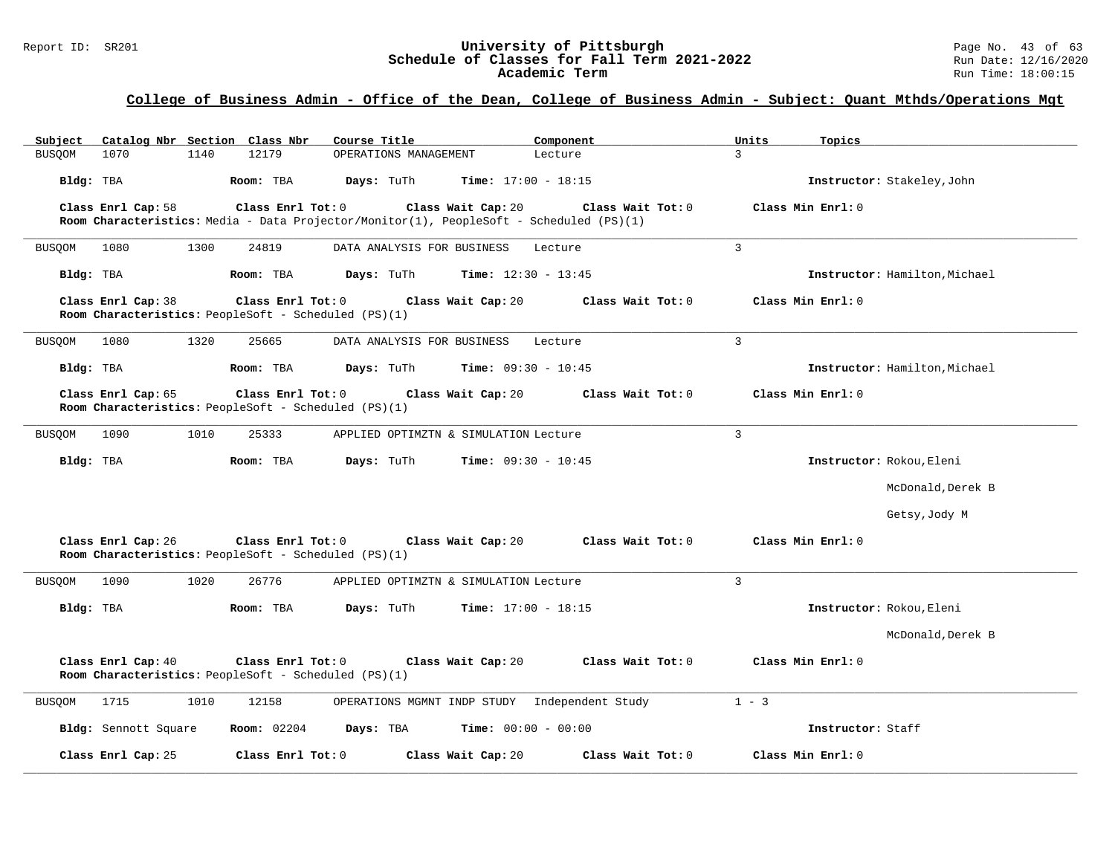| Subject<br>Catalog Nbr Section Class Nbr                                                        | Course Title<br>Component                                                               | Units<br>Topics               |
|-------------------------------------------------------------------------------------------------|-----------------------------------------------------------------------------------------|-------------------------------|
| 12179<br>1070<br>1140<br>BUSQOM                                                                 | OPERATIONS MANAGEMENT<br>Lecture                                                        | $\mathcal{L}$                 |
| Room: TBA<br>Bldg: TBA                                                                          | Days: TuTh<br><b>Time:</b> $17:00 - 18:15$                                              | Instructor: Stakeley, John    |
| Class Enrl Cap: 58<br>Class Enrl Tot: 0                                                         | Class Wait Cap: 20<br>Class Wait $Tot: 0$                                               | Class Min Enrl: 0             |
|                                                                                                 | Room Characteristics: Media - Data Projector/Monitor(1), PeopleSoft - Scheduled (PS)(1) |                               |
| 1300<br>24819<br>BUSQOM<br>1080                                                                 | DATA ANALYSIS FOR BUSINESS<br>Lecture                                                   | $\mathbf{R}$                  |
| Bldg: TBA<br>Room: TBA                                                                          | Days: TuTh<br><b>Time:</b> $12:30 - 13:45$                                              | Instructor: Hamilton, Michael |
| Class Enrl Cap: 38<br>Class Enrl Tot: 0<br>Room Characteristics: PeopleSoft - Scheduled (PS)(1) | Class Wait Cap: 20<br>Class Wait Tot: 0                                                 | Class Min Enrl: 0             |
| 1080<br>1320<br>25665<br><b>BUSQOM</b>                                                          | DATA ANALYSIS FOR BUSINESS<br>Lecture                                                   | $\overline{3}$                |
| Bldg: TBA<br>Room: TBA                                                                          | Days: TuTh<br><b>Time:</b> $09:30 - 10:45$                                              | Instructor: Hamilton, Michael |
| Class Enrl Cap: 65<br>Class Enrl Tot: 0<br>Room Characteristics: PeopleSoft - Scheduled (PS)(1) | Class Wait Cap: 20<br>Class Wait Tot: 0                                                 | Class Min Enrl: 0             |
| 1090<br>BUSQOM<br>1010<br>25333                                                                 | APPLIED OPTIMZTN & SIMULATION Lecture                                                   | 3                             |
| Bldg: TBA<br>Room: TBA                                                                          | Days: TuTh<br><b>Time:</b> $09:30 - 10:45$                                              | Instructor: Rokou, Eleni      |
|                                                                                                 |                                                                                         | McDonald, Derek B             |
|                                                                                                 |                                                                                         | Getsy, Jody M                 |
| Class Enrl Tot: 0<br>Class Enrl Cap: 26<br>Room Characteristics: PeopleSoft - Scheduled (PS)(1) | Class Wait Tot: 0<br>Class Wait Cap: 20                                                 | Class Min Enrl: 0             |
| 1090<br>1020<br>26776<br>BUSQOM                                                                 | APPLIED OPTIMZTN & SIMULATION Lecture                                                   | $\overline{3}$                |
| Bldg: TBA<br>Room: TBA                                                                          | Days: TuTh<br><b>Time:</b> $17:00 - 18:15$                                              | Instructor: Rokou, Eleni      |
|                                                                                                 |                                                                                         | McDonald, Derek B             |
| Class Enrl Cap: 40<br>Class Enrl Tot: 0                                                         | Class Wait Cap: 20<br>Class Wait Tot: 0                                                 | Class Min Enrl: 0             |
| Room Characteristics: PeopleSoft - Scheduled (PS)(1)                                            |                                                                                         |                               |
| 1715<br>1010<br>12158<br><b>BUSQOM</b>                                                          | OPERATIONS MGMNT INDP STUDY Independent Study                                           | $1 - 3$                       |
| Bldg: Sennott Square<br><b>Room:</b> 02204                                                      | Days: TBA<br><b>Time:</b> $00:00 - 00:00$                                               | Instructor: Staff             |
| Class Enrl Cap: 25<br>Class Enrl Tot: 0                                                         | Class Wait Cap: 20<br>Class Wait Tot: 0                                                 | Class Min Enrl: 0             |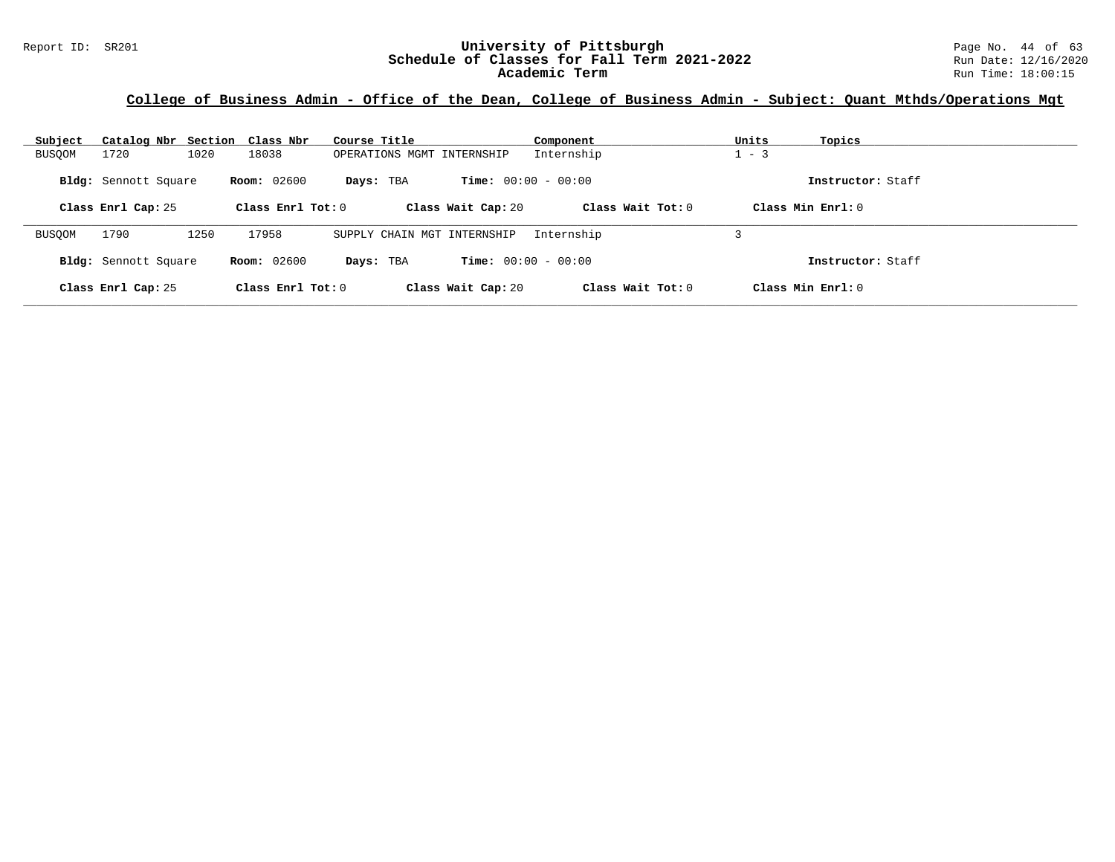| Subject       | Catalog Nbr Section Class Nbr |                     | Course Title                | Component                    | Units<br>Topics     |  |
|---------------|-------------------------------|---------------------|-----------------------------|------------------------------|---------------------|--|
| <b>BUSQOM</b> | 1020<br>1720                  | 18038               | OPERATIONS MGMT INTERNSHIP  | Internship                   | $1 - 3$             |  |
|               | Bldg: Sennott Square          | <b>Room:</b> 02600  | Days: TBA                   | <b>Time:</b> $00:00 - 00:00$ | Instructor: Staff   |  |
|               | Class Enrl Cap: 25            | Class Enrl Tot: $0$ | Class Wait Cap: 20          | Class Wait $Tot: 0$          | Class Min $Enrl: 0$ |  |
| <b>BUSOOM</b> | 1790<br>1250                  | 17958               | SUPPLY CHAIN MGT INTERNSHIP | Internship                   |                     |  |
|               | Bldg: Sennott Square          | <b>Room:</b> 02600  | Days: TBA                   | <b>Time:</b> $00:00 - 00:00$ | Instructor: Staff   |  |
|               | Class Enrl Cap: 25            | Class Enrl Tot: $0$ | Class Wait Cap: 20          | Class Wait Tot: 0            | Class Min $Enr1: 0$ |  |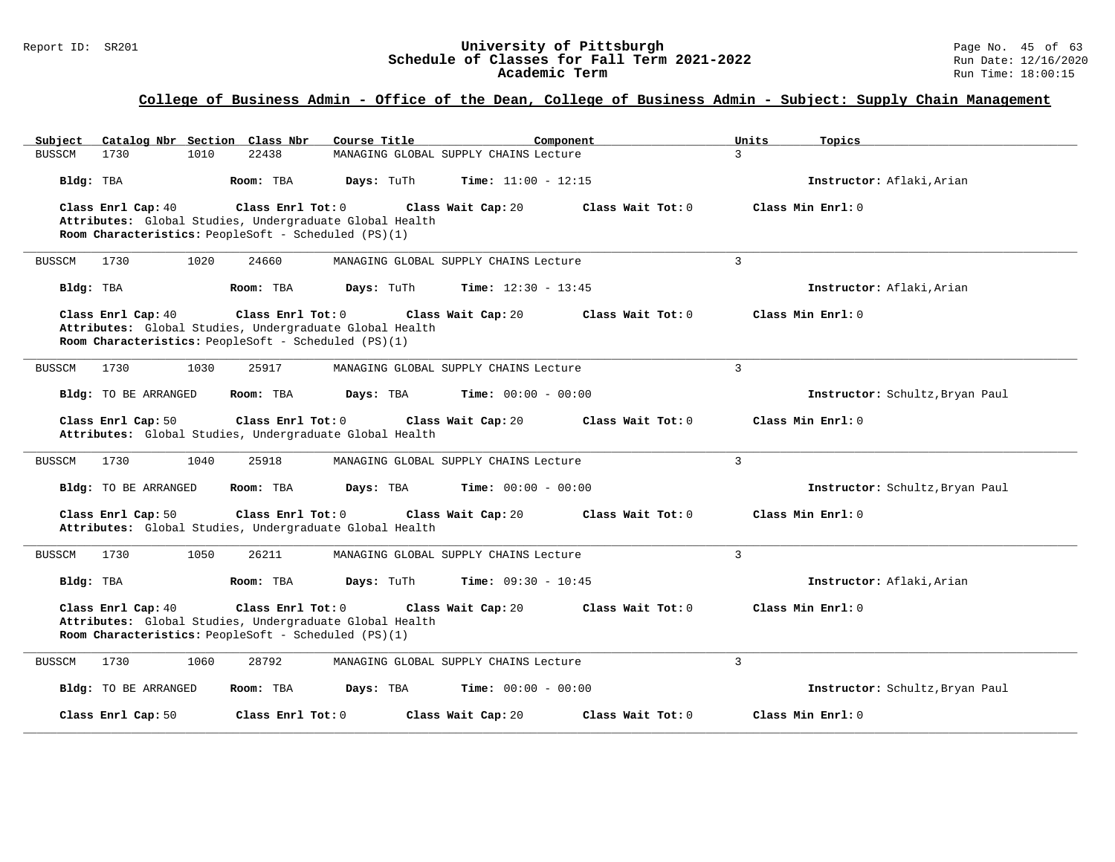# Report ID: SR201 **1988 Mage 10: SR201 University of Pittsburgh** Page No. 45 of 63<br>**Schedule of Classes for Fall Term 2021-2022** 2011 Page No. 45 of 63 Schedule of Classes for Fall Term 2021-2022<br>Academic Term

# **College of Business Admin - Office of the Dean, College of Business Admin - Subject: Supply Chain Management**

| Catalog Nbr Section Class Nbr<br>Course Title<br>Subject                                                                                                                         | Component<br>Units<br>Topics                                    |
|----------------------------------------------------------------------------------------------------------------------------------------------------------------------------------|-----------------------------------------------------------------|
| 22438<br><b>BUSSCM</b><br>1730<br>1010<br>MANAGING GLOBAL SUPPLY CHAINS Lecture                                                                                                  | $\mathcal{L}$                                                   |
| Bldg: TBA<br>Room: TBA<br>Days: TuTh                                                                                                                                             | Time: $11:00 - 12:15$<br>Instructor: Aflaki, Arian              |
| Class Enrl Cap: 40<br>Class Enrl Tot: 0<br>Class Wait Cap: 20<br>Attributes: Global Studies, Undergraduate Global Health<br>Room Characteristics: PeopleSoft - Scheduled (PS)(1) | Class Wait Tot: 0<br>Class Min Enrl: 0                          |
| <b>BUSSCM</b><br>1730<br>1020<br>24660<br>MANAGING GLOBAL SUPPLY CHAINS Lecture                                                                                                  | $\overline{3}$                                                  |
| Days: TuTh<br>Bldg: TBA<br>Room: TBA                                                                                                                                             | <b>Time:</b> $12:30 - 13:45$<br>Instructor: Aflaki, Arian       |
| Class Enrl Cap: 40<br>Class Enrl Tot: 0<br>Class Wait Cap: 20<br>Attributes: Global Studies, Undergraduate Global Health<br>Room Characteristics: PeopleSoft - Scheduled (PS)(1) | Class Wait Tot: 0<br>Class Min Enrl: 0                          |
| <b>BUSSCM</b><br>1730<br>1030<br>25917<br>MANAGING GLOBAL SUPPLY CHAINS Lecture                                                                                                  | 3                                                               |
| Bldg: TO BE ARRANGED<br>Room: TBA<br>Days: TBA                                                                                                                                   | <b>Time:</b> $00:00 - 00:00$<br>Instructor: Schultz, Bryan Paul |
| Class Enrl Cap: 50<br>Class Enrl Tot: 0<br>Class Wait Cap: 20<br>Attributes: Global Studies, Undergraduate Global Health                                                         | Class Wait Tot: 0<br>Class Min Enrl: 0                          |
| 1730<br>1040<br>25918<br><b>BUSSCM</b><br>MANAGING GLOBAL SUPPLY CHAINS Lecture                                                                                                  | 3                                                               |
| Bldg: TO BE ARRANGED<br>Room: TBA<br>Days: TBA                                                                                                                                   | <b>Time:</b> $00:00 - 00:00$<br>Instructor: Schultz, Bryan Paul |
| Class Enrl Cap: 50<br>Class Enrl Tot: 0<br>Class Wait Cap: 20<br>Attributes: Global Studies, Undergraduate Global Health                                                         | Class Wait Tot: 0<br>Class Min Enrl: 0                          |
| 1730<br>1050<br>26211<br><b>BUSSCM</b><br>MANAGING GLOBAL SUPPLY CHAINS Lecture                                                                                                  | 3                                                               |
| Bldg: TBA<br>Room: TBA<br>Days: TuTh                                                                                                                                             | <b>Time:</b> $09:30 - 10:45$<br>Instructor: Aflaki, Arian       |
| Class Enrl Cap: 40<br>Class Enrl Tot: 0<br>Class Wait Cap: 20<br>Attributes: Global Studies, Undergraduate Global Health<br>Room Characteristics: PeopleSoft - Scheduled (PS)(1) | Class Wait Tot: 0<br>Class Min $Enr1: 0$                        |
| 28792<br>BUSSCM<br>1730<br>1060<br>MANAGING GLOBAL SUPPLY CHAINS Lecture                                                                                                         | 3                                                               |
| Bldg: TO BE ARRANGED<br>Room: TBA<br>Days: TBA                                                                                                                                   | Time: $00:00 - 00:00$<br>Instructor: Schultz, Bryan Paul        |
| Class Enrl Cap: 50<br>Class Enrl Tot: 0<br>Class Wait Cap: 20                                                                                                                    | Class Wait Tot: 0<br>Class Min Enrl: 0                          |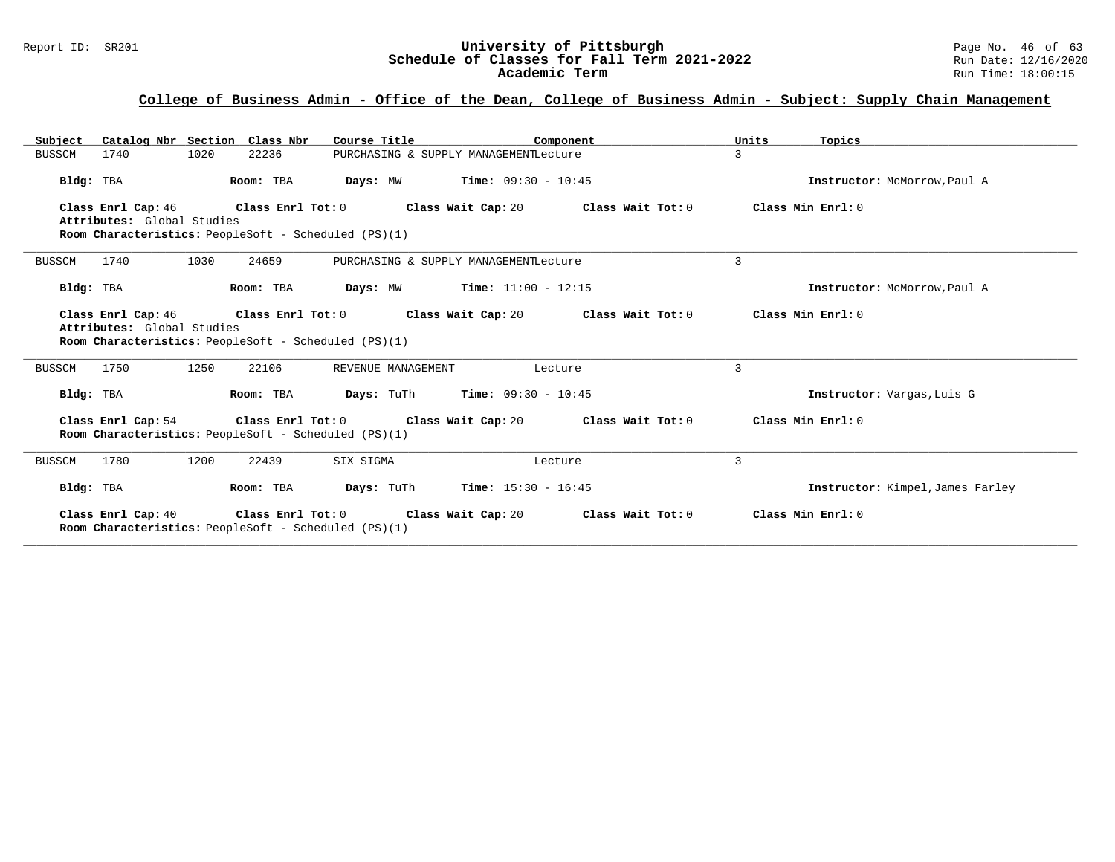# **College of Business Admin - Office of the Dean, College of Business Admin - Subject: Supply Chain Management**

| Catalog Nbr Section Class Nbr<br>Subject         | Course Title                                                              | Component                                                                                            | Units<br>Topics                  |
|--------------------------------------------------|---------------------------------------------------------------------------|------------------------------------------------------------------------------------------------------|----------------------------------|
| 1020<br>1740<br><b>BUSSCM</b>                    | 22236                                                                     | PURCHASING & SUPPLY MANAGEMENTLecture                                                                | 3                                |
| Bldg: TBA                                        | Room: TBA<br>Days: MW                                                     | <b>Time:</b> $09:30 - 10:45$                                                                         | Instructor: McMorrow, Paul A     |
| Class Enrl Cap: 46<br>Attributes: Global Studies | Room Characteristics: PeopleSoft - Scheduled (PS)(1)                      | Class Enrl Tot: $0$ Class Wait Cap: $20$ Class Wait Tot: $0$                                         | Class Min Enrl: 0                |
| 1740<br>1030<br>BUSSCM                           | 24659                                                                     | PURCHASING & SUPPLY MANAGEMENTLecture                                                                | 3                                |
| Bldg: TBA                                        | Room: TBA                                                                 | <b>Days:</b> MW <b>Time:</b> $11:00 - 12:15$                                                         | Instructor: McMorrow, Paul A     |
| Class Enrl Cap: 46<br>Attributes: Global Studies | <b>Room Characteristics:</b> PeopleSoft - Scheduled (PS)(1)               | Class Enrl Tot: $0$ Class Wait Cap: $20$ Class Wait Tot: $0$                                         | Class Min Enrl: 0                |
| 1250<br>1750<br><b>BUSSCM</b>                    | 22106<br>REVENUE MANAGEMENT                                               | Lecture                                                                                              | 3                                |
| Bldg: TBA                                        | Room: TBA                                                                 | <b>Days:</b> TuTh <b>Time:</b> $09:30 - 10:45$                                                       | Instructor: Vargas, Luis G       |
|                                                  | Room Characteristics: PeopleSoft - Scheduled (PS)(1)                      | Class Enrl Cap: 54 $\qquad$ Class Enrl Tot: 0 $\qquad$ Class Wait Cap: 20 $\qquad$ Class Wait Tot: 0 | Class Min Enrl: 0                |
| 1200<br>BUSSCM<br>1780                           | 22439<br>SIX SIGMA                                                        | Lecture                                                                                              | 3                                |
| Bldg: TBA                                        | Room: TBA                                                                 | <b>Days:</b> TuTh <b>Time:</b> $15:30 - 16:45$                                                       | Instructor: Kimpel, James Farley |
| Class Enrl Cap: 40                               | Class Enrl Tot: 0<br>Room Characteristics: PeopleSoft - Scheduled (PS)(1) | Class Wait Cap: 20 Class Wait Tot: 0                                                                 | Class Min Enrl: 0                |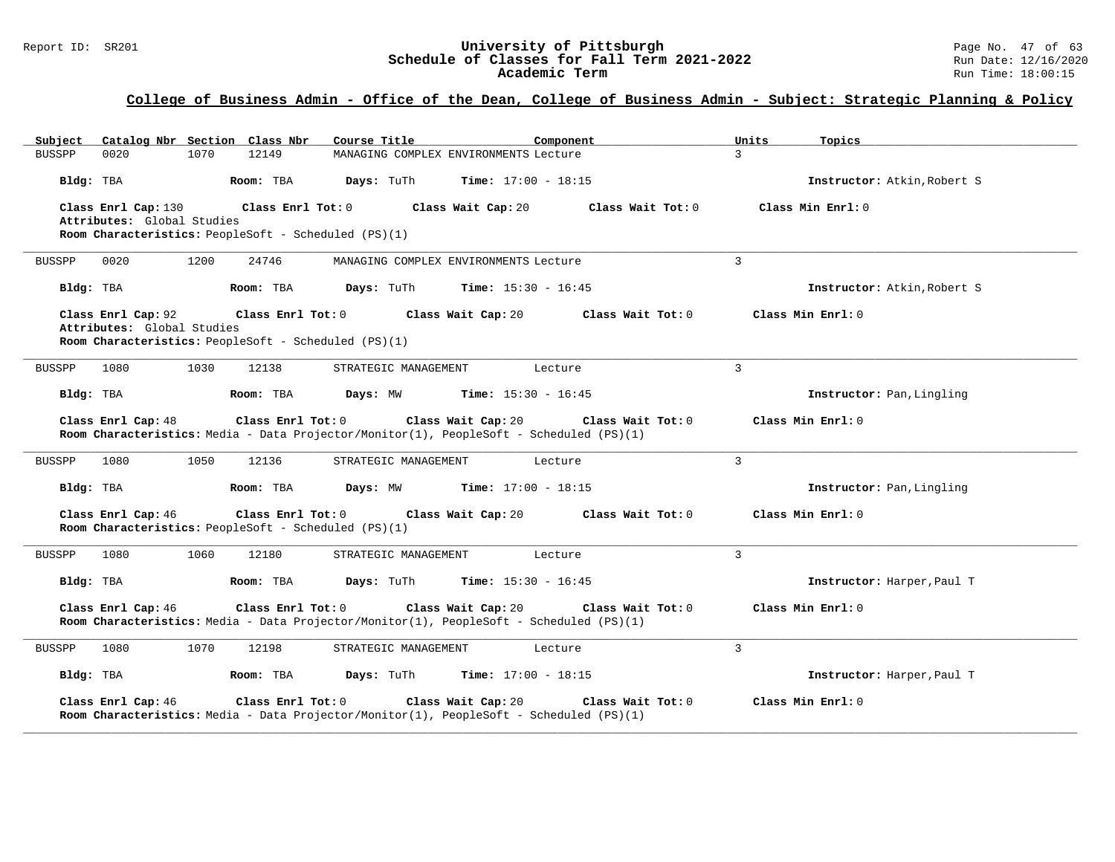# Report ID: SR201 **1988 Mage 19: SR201 University of Pittsburgh** Page No. 47 of 63<br>**Schedule of Classes for Fall Term 2021-2022** 2011 Page No. 47 of 63 Schedule of Classes for Fall Term 2021-2022<br>Academic Term

# **College of Business Admin - Office of the Dean, College of Business Admin - Subject: Strategic Planning & Policy**

| Catalog Nbr Section Class Nbr<br>Subject                                                                                       | Course Title<br>Component                                                                                     | Units<br>Topics                          |
|--------------------------------------------------------------------------------------------------------------------------------|---------------------------------------------------------------------------------------------------------------|------------------------------------------|
| <b>BUSSPP</b><br>0020<br>1070<br>12149                                                                                         | MANAGING COMPLEX ENVIRONMENTS Lecture                                                                         | $\mathcal{L}$                            |
| Room: TBA<br>Bldg: TBA                                                                                                         | Days: TuTh<br><b>Time:</b> $17:00 - 18:15$                                                                    | Instructor: Atkin, Robert S              |
| Class Enrl Cap: 130<br>Class Enrl Tot: 0<br>Attributes: Global Studies<br>Room Characteristics: PeopleSoft - Scheduled (PS)(1) | Class Wait Cap: 20                                                                                            | Class Wait Tot: 0<br>Class Min $Enrl: 0$ |
| 1200<br>24746<br><b>BUSSPP</b><br>0020                                                                                         | MANAGING COMPLEX ENVIRONMENTS Lecture                                                                         | $\overline{3}$                           |
| Bldg: TBA<br>Room: TBA                                                                                                         | Days: TuTh<br><b>Time:</b> $15:30 - 16:45$                                                                    | Instructor: Atkin, Robert S              |
| Class Enrl Cap: 92<br>Class Enrl Tot: 0<br>Attributes: Global Studies<br>Room Characteristics: PeopleSoft - Scheduled (PS)(1)  | Class Wait Cap: 20                                                                                            | Class Wait Tot: 0<br>Class Min Enrl: 0   |
| 1080<br>1030<br><b>BUSSPP</b><br>12138                                                                                         | STRATEGIC MANAGEMENT<br>Lecture                                                                               | $\mathcal{L}$                            |
| Bldg: TBA<br>Room: TBA                                                                                                         | Days: MW<br><b>Time:</b> $15:30 - 16:45$                                                                      | Instructor: Pan, Lingling                |
| Class Enrl Cap: 48<br>Class Enrl Tot: 0                                                                                        | Class Wait Cap: 20<br>Room Characteristics: Media - Data Projector/Monitor(1), PeopleSoft - Scheduled (PS)(1) | Class Min Enrl: 0<br>Class Wait Tot: 0   |
| 1080<br>1050<br>12136<br><b>BUSSPP</b>                                                                                         | STRATEGIC MANAGEMENT<br>Lecture                                                                               | 3                                        |
| Bldg: TBA<br>Room: TBA                                                                                                         | Days: MW<br><b>Time:</b> $17:00 - 18:15$                                                                      | Instructor: Pan, Lingling                |
| Class Enrl Cap: 46<br>Class Enrl Tot: 0<br>Room Characteristics: PeopleSoft - Scheduled (PS)(1)                                | Class Wait Cap: 20                                                                                            | Class Min Enrl: 0<br>Class Wait Tot: 0   |
| 1080<br>1060<br>12180<br><b>BUSSPP</b>                                                                                         | STRATEGIC MANAGEMENT<br>Lecture                                                                               | 3                                        |
| Bldg: TBA<br>Room: TBA                                                                                                         | Days: TuTh<br><b>Time:</b> $15:30 - 16:45$                                                                    | Instructor: Harper, Paul T               |
| Class Enrl Cap: 46<br>Class Enrl Tot: 0                                                                                        | Class Wait Cap: 20<br>Room Characteristics: Media - Data Projector/Monitor(1), PeopleSoft - Scheduled (PS)(1) | Class Min Enrl: 0<br>Class Wait Tot: 0   |
| 1080<br>1070<br>12198<br><b>BUSSPP</b>                                                                                         | STRATEGIC MANAGEMENT<br>Lecture                                                                               | 3                                        |
| Bldg: TBA<br>Room: TBA                                                                                                         | <b>Time:</b> $17:00 - 18:15$<br>Days: TuTh                                                                    | Instructor: Harper, Paul T               |
| Class Enrl Cap: 46<br>Class Enrl Tot: 0                                                                                        | Class Wait Cap: 20<br>Room Characteristics: Media - Data Projector/Monitor(1), PeopleSoft - Scheduled (PS)(1) | Class Wait Tot: 0<br>Class Min $Err1:0$  |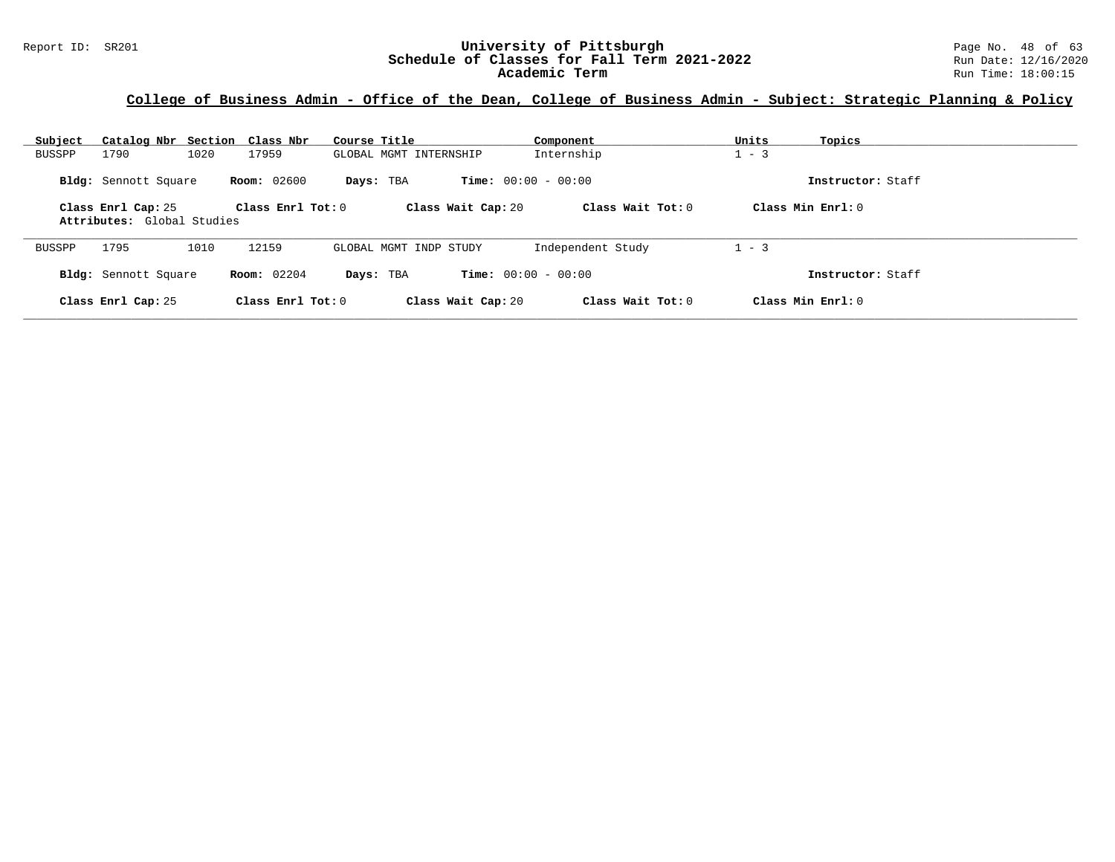### **College of Business Admin - Office of the Dean, College of Business Admin - Subject: Strategic Planning & Policy**

| Subject<br>Catalog Nbr Section Class Nbr         |                     | Course Title                              | Component           | Units<br>Topics     |
|--------------------------------------------------|---------------------|-------------------------------------------|---------------------|---------------------|
| 1020<br>1790<br><b>BUSSPP</b>                    | 17959               | GLOBAL MGMT INTERNSHIP                    | Internship          | $1 - 3$             |
| Bldg: Sennott Square                             | <b>Room:</b> 02600  | <b>Time:</b> $00:00 - 00:00$<br>Days: TBA |                     | Instructor: Staff   |
| Class Enrl Cap: 25<br>Attributes: Global Studies | Class $Enr1 Tot: 0$ | Class Wait Cap: 20                        | Class Wait Tot: $0$ | Class Min $Enrl: 0$ |
| 1795<br>1010<br>BUSSPP                           | 12159               | GLOBAL MGMT INDP STUDY                    | Independent Study   | $1 - 3$             |
| Bldg: Sennott Square                             | <b>Room:</b> 02204  | <b>Time:</b> $00:00 - 00:00$<br>Days: TBA |                     | Instructor: Staff   |
| Class Enrl Cap: 25                               | Class Enrl Tot: $0$ | Class Wait Cap: 20                        | Class Wait $Tot: 0$ | Class Min Enrl: 0   |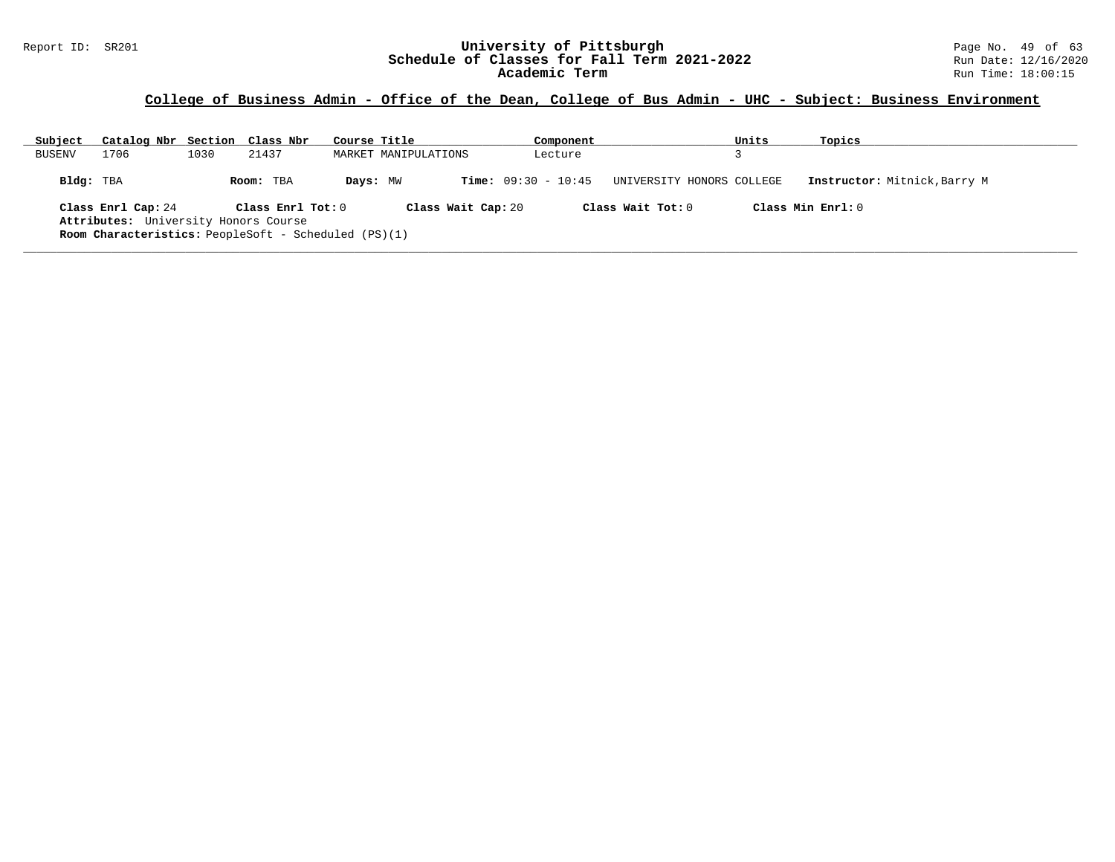#### Report ID: SR201 **University of Pittsburgh University of Pittsburgh** Page No. 49 of 63<br>**Schedule of Classes for Fall Term 2021-2022** Run Date: 12/16/2020 **Schedule of Classes for Fall Term 2021-2022** Run Date: 12/16/2020 **Academic Term** Run Time: 18:00:15

### **College of Business Admin - Office of the Dean, College of Bus Admin - UHC - Subject: Business Environment**

| Subject       | Catalog Nbr Section Class Nbr                                                                                             |      |                                | Course Title |                      | Component                    |                                                | Units | Topics                                            |
|---------------|---------------------------------------------------------------------------------------------------------------------------|------|--------------------------------|--------------|----------------------|------------------------------|------------------------------------------------|-------|---------------------------------------------------|
| <b>BUSENV</b> | 1706                                                                                                                      | 1030 | 21437                          |              | MARKET MANIPULATIONS | Lecture                      |                                                |       |                                                   |
| Bldg: TBA     | Class Enrl Cap: 24<br>Attributes: University Honors Course<br><b>Room Characteristics:</b> PeopleSoft - Scheduled (PS)(1) |      | Room: TBA<br>Class Enrl Tot: 0 | Days: MW     | Class Wait Cap: 20   | <b>Time:</b> $09:30 - 10:45$ | UNIVERSITY HONORS COLLEGE<br>Class Wait Tot: 0 |       | Instructor: Mitnick, Barry M<br>Class Min Enrl: 0 |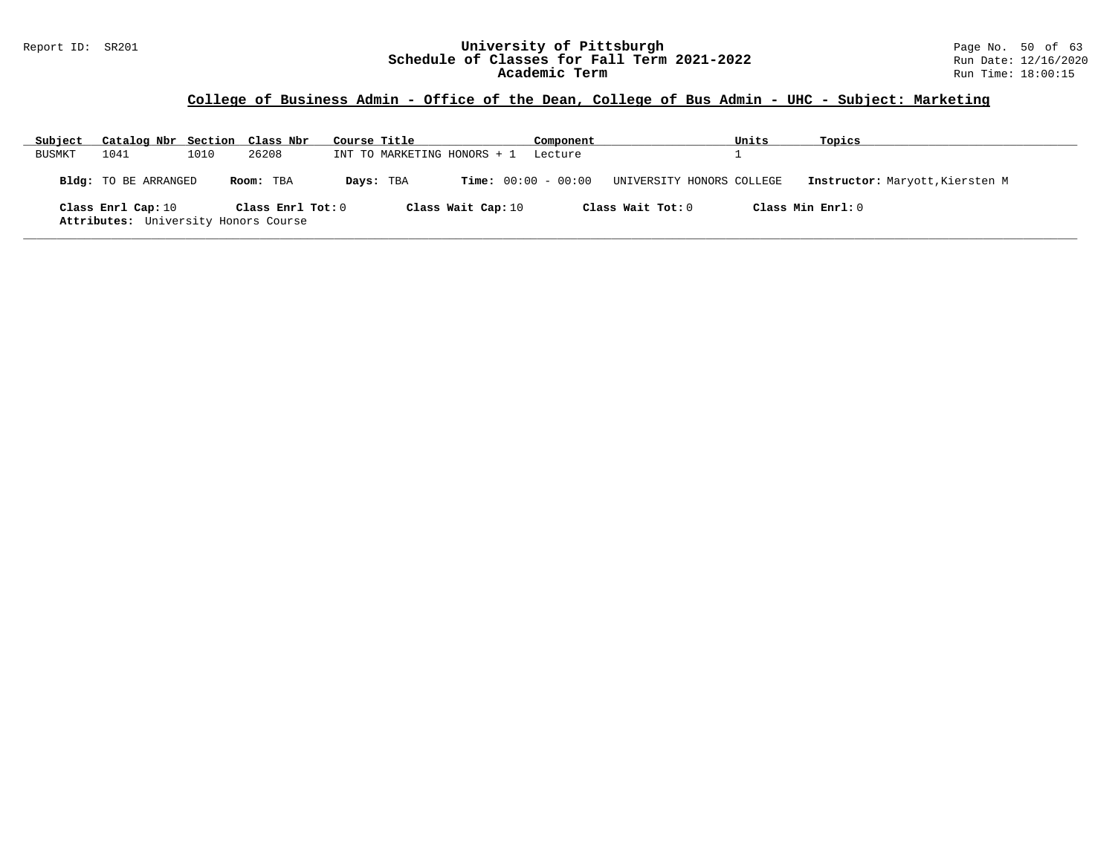#### Report ID: SR201 **University of Pittsburgh University of Pittsburgh** Page No. 50 of 63<br>**Schedule of Classes for Fall Term 2021-2022** Run Date: 12/16/2020 **Schedule of Classes for Fall Term 2021-2022** Run Date: 12/16/2020 **Academic Term** Run Time: 18:00:15

| Subject | Catalog Nbr Section Class Nbr                              |      |                   | Course Title |                             |                    | Component             |                           | Units | Topics                          |
|---------|------------------------------------------------------------|------|-------------------|--------------|-----------------------------|--------------------|-----------------------|---------------------------|-------|---------------------------------|
| BUSMKT  | 1041                                                       | 1010 | 26208             |              | INT TO MARKETING HONORS + 1 |                    | Lecture               |                           |       |                                 |
|         | <b>Bldg:</b> TO BE ARRANGED                                |      | Room: TBA         | Days: TBA    |                             |                    | $Time: 00:00 - 00:00$ | UNIVERSITY HONORS COLLEGE |       | Instructor: Maryott, Kiersten M |
|         | Class Enrl Cap: 10<br>Attributes: University Honors Course |      | Class Enrl Tot: 0 |              |                             | Class Wait Cap: 10 |                       | Class Wait Tot: 0         |       | Class Min Enrl: 0               |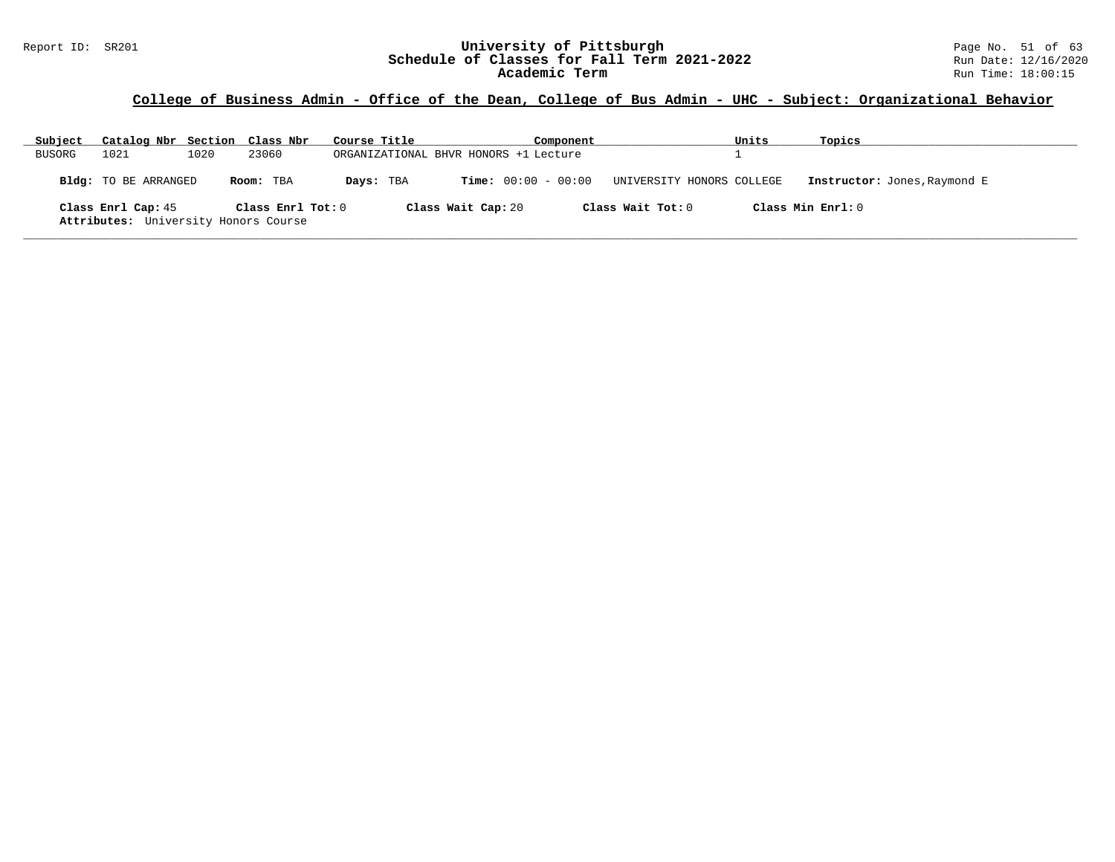| Subject | Catalog Nbr Section Class Nbr                              |      |                   | Course Title |                                       | Component |                           | Units | Topics                       |
|---------|------------------------------------------------------------|------|-------------------|--------------|---------------------------------------|-----------|---------------------------|-------|------------------------------|
| BUSORG  | 1021                                                       | 1020 | 23060             |              | ORGANIZATIONAL BHVR HONORS +1 Lecture |           |                           |       |                              |
|         | Bldg: TO BE ARRANGED                                       |      | Room: TBA         | Days: TBA    | $Time: 00:00 - 00:00$                 |           | UNIVERSITY HONORS COLLEGE |       | Instructor: Jones, Raymond E |
|         | Class Enrl Cap: 45<br>Attributes: University Honors Course |      | Class Enrl Tot: 0 |              | Class Wait Cap: 20                    |           | Class Wait Tot: 0         |       | Class Min Enrl: 0            |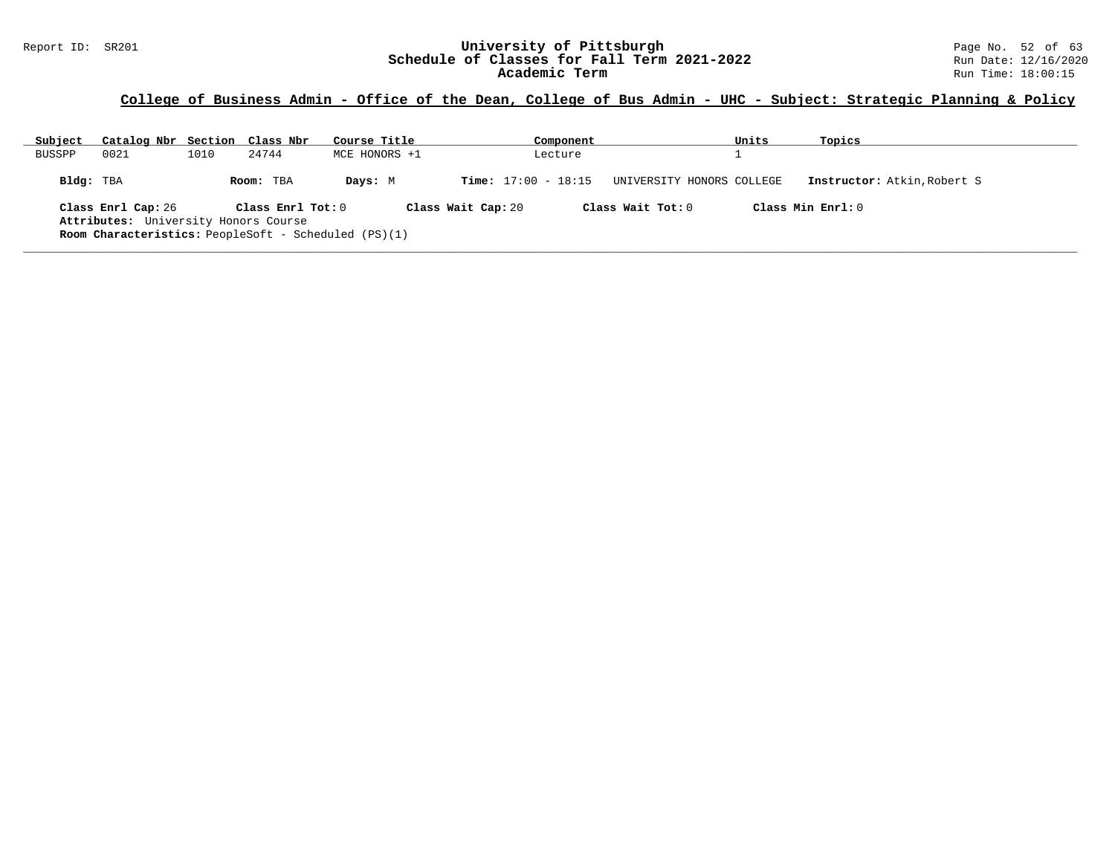### **College of Business Admin - Office of the Dean, College of Bus Admin - UHC - Subject: Strategic Planning & Policy**

| Subject       | Catalog Nbr Section Class Nbr                                                                                             |      |                     | Course Title  |                    |                              | Component |                           | Units | Topics                             |
|---------------|---------------------------------------------------------------------------------------------------------------------------|------|---------------------|---------------|--------------------|------------------------------|-----------|---------------------------|-------|------------------------------------|
| <b>BUSSPP</b> | 0021                                                                                                                      | 1010 | 24744               | MCE HONORS +1 |                    |                              | Lecture   |                           |       |                                    |
| Bldg: TBA     |                                                                                                                           |      | Room: TBA           | Days: M       |                    | <b>Time:</b> $17:00 - 18:15$ |           | UNIVERSITY HONORS COLLEGE |       | <b>Instructor:</b> Atkin, Robert S |
|               | Class Enrl Cap: 26<br>Attributes: University Honors Course<br><b>Room Characteristics:</b> PeopleSoft - Scheduled (PS)(1) |      | Class $Enr1 Tot: 0$ |               | Class Wait Cap: 20 |                              |           | Class Wait $Tot: 0$       |       | Class Min Enrl: 0                  |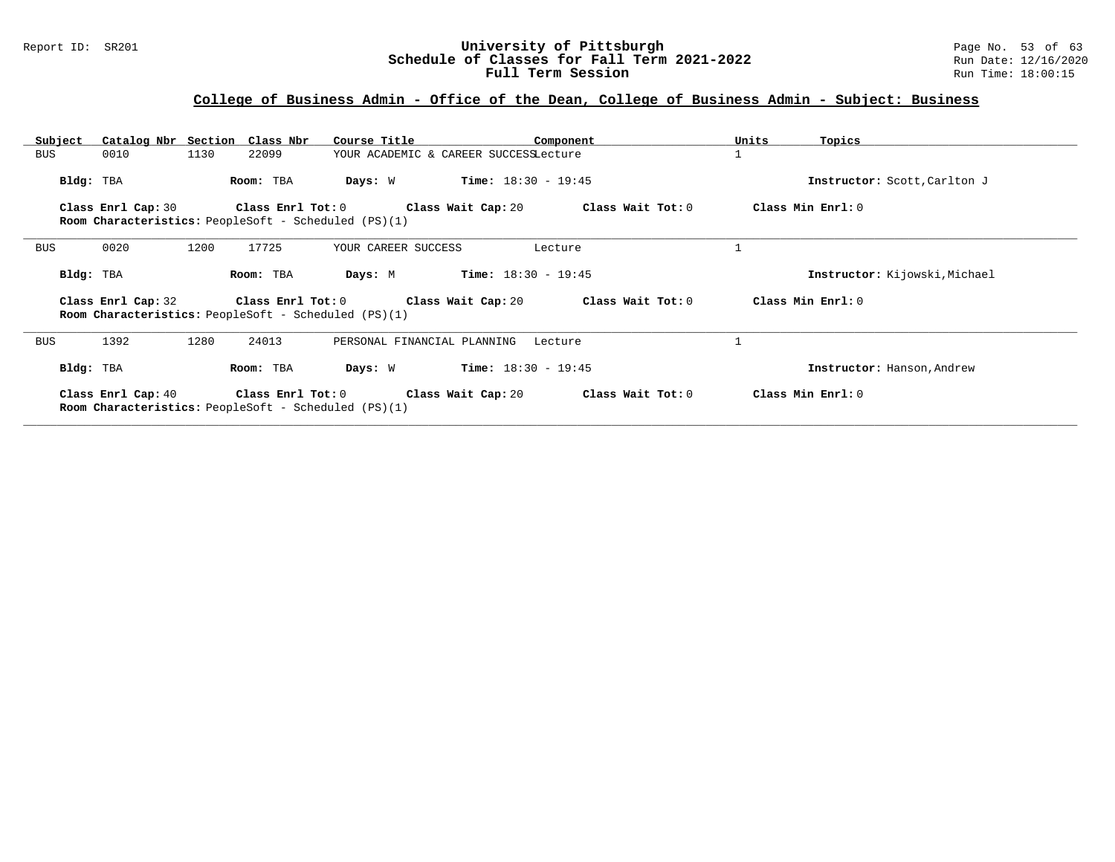#### Report ID: SR201 **1988 Conserved Builder Schedule of Pittsburgh** Page No. 53 of 63<br>**Schedule of Classes for Fall Term 2021-2022** 2011 Page No. 53 of 63 **Schedule of Classes for Fall Term 2021-2022** Run Date: 12/16/2020 **Full Term Session Rundall Term Session Rundall Term Session**

| Subject    |                    | Catalog Nbr Section Class Nbr | Course Title                                                                                                                | Component                             |                                      | Units<br>Topics               |
|------------|--------------------|-------------------------------|-----------------------------------------------------------------------------------------------------------------------------|---------------------------------------|--------------------------------------|-------------------------------|
| BUS        | 0010               | 1130<br>22099                 |                                                                                                                             | YOUR ACADEMIC & CAREER SUCCESSLecture |                                      |                               |
| Bldg: TBA  |                    | Room: TBA                     | Days: W                                                                                                                     | $Time: 18:30 - 19:45$                 |                                      | Instructor: Scott, Carlton J  |
|            | Class Enrl Cap: 30 | Class Enrl Tot: 0             | <b>Room Characteristics:</b> PeopleSoft - Scheduled (PS)(1)                                                                 |                                       | Class Wait Cap: 20 Class Wait Tot: 0 | Class Min Enrl: 0             |
| BUS        | 0020               | 17725<br>1200                 | YOUR CAREER SUCCESS                                                                                                         | Lecture                               |                                      |                               |
| Bldg: TBA  |                    | Room: TBA                     | Days: M                                                                                                                     | $Time: 18:30 - 19:45$                 |                                      | Instructor: Kijowski, Michael |
|            | Class Enrl Cap: 32 |                               | Class Enrl Tot: $0$ Class Wait Cap: $20$ Class Wait Tot: $0$<br><b>Room Characteristics:</b> PeopleSoft - Scheduled (PS)(1) |                                       |                                      | Class Min Enrl: 0             |
| <b>BUS</b> | 1392               | 1280<br>24013                 | PERSONAL FINANCIAL PLANNING                                                                                                 | Lecture                               |                                      |                               |
| Bldg: TBA  |                    | Room: TBA                     | Days: W                                                                                                                     | <b>Time:</b> $18:30 - 19:45$          |                                      | Instructor: Hanson, Andrew    |
|            | Class Enrl Cap: 40 |                               | Class Enrl Tot: 0 Class Wait Cap: 20<br><b>Room Characteristics:</b> PeopleSoft - Scheduled (PS)(1)                         |                                       | Class Wait Tot: 0                    | Class Min Enrl: 0             |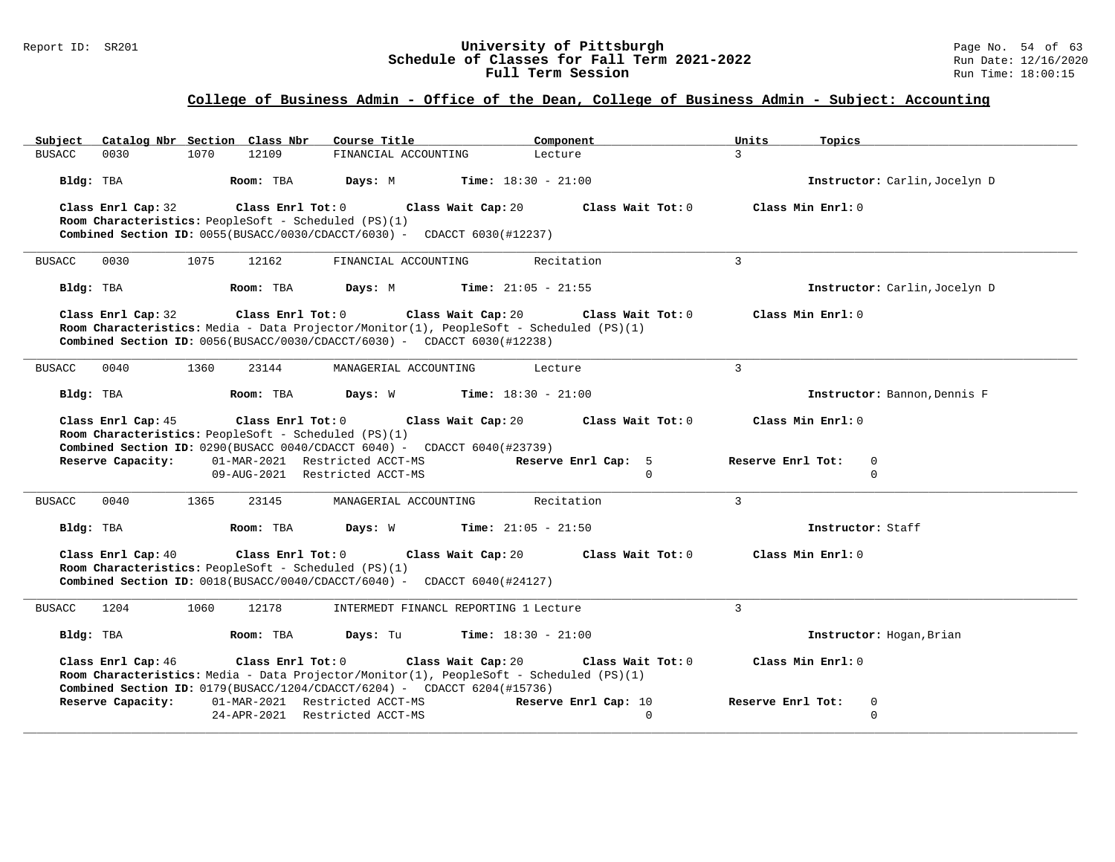#### Report ID: SR201 **University of Pittsburgh University of Pittsburgh** Page No. 54 of 63<br>**Schedule of Classes for Fall Term 2021-2022** Run Date: 12/16/2020 **Schedule of Classes for Fall Term 2021-2022** Run Date: 12/16/2020 **Full Term Session Rundall Term Session Rundall Term Session**

| Catalog Nbr Section Class Nbr<br>Subject                                                                                                                                                                                                  | Course Title                                | Component                                                            | Units<br>Topics                                       |
|-------------------------------------------------------------------------------------------------------------------------------------------------------------------------------------------------------------------------------------------|---------------------------------------------|----------------------------------------------------------------------|-------------------------------------------------------|
| 12109<br>0030<br>1070<br><b>BUSACC</b>                                                                                                                                                                                                    | FINANCIAL ACCOUNTING                        | Lecture                                                              | $\overline{3}$                                        |
| Bldg: TBA<br>Room: TBA                                                                                                                                                                                                                    | Days: M<br>$Time: 18:30 - 21:00$            |                                                                      | Instructor: Carlin, Jocelyn D                         |
| Class Enrl Cap: 32<br>Class Enrl Tot: 0<br>Room Characteristics: PeopleSoft - Scheduled (PS)(1)<br><b>Combined Section ID:</b> $0055(BUSACC/0030/CDACCT/6030)$ - CDACCT 6030(#12237)                                                      | Class Wait Cap: 20                          | Class Wait Tot: 0                                                    | Class Min Enrl: 0                                     |
| 0030<br>1075<br>12162<br><b>BUSACC</b>                                                                                                                                                                                                    | FINANCIAL ACCOUNTING                        | Recitation                                                           | $\overline{3}$                                        |
| Bldg: TBA<br>Room: TBA                                                                                                                                                                                                                    | <b>Days:</b> M <b>Time:</b> $21:05 - 21:55$ |                                                                      | Instructor: Carlin, Jocelyn D                         |
| Class Enrl Cap: 32<br>Room Characteristics: Media - Data Projector/Monitor(1), PeopleSoft - Scheduled (PS)(1)<br><b>Combined Section ID:</b> $0056(BUSACC/0030/CDACC/6030)$ - CDACCT $6030(\text{\#}12238)$                               | Class Enrl Tot: $0$ Class Wait Cap: 20      | Class Wait Tot: 0                                                    | Class Min Enrl: 0                                     |
| 0040<br>1360<br><b>BUSACC</b><br>23144                                                                                                                                                                                                    | MANAGERIAL ACCOUNTING                       | Lecture                                                              | $\mathbf{3}$                                          |
| Room: TBA<br>Bldg: TBA                                                                                                                                                                                                                    | <b>Days:</b> W <b>Time:</b> $18:30 - 21:00$ |                                                                      | Instructor: Bannon, Dennis F                          |
| Class Enrl Cap: 45<br>Class Enrl Tot: 0<br>Room Characteristics: PeopleSoft - Scheduled (PS)(1)<br><b>Combined Section ID:</b> 0290(BUSACC 0040/CDACCT 6040) - CDACCT 6040(#23739)<br>Reserve Capacity:<br>01-MAR-2021 Restricted ACCT-MS |                                             | Class Wait Cap: 20 $\qquad$ Class Wait Tot: 0<br>Reserve Enrl Cap: 5 | Class Min Enrl: 0<br>$\mathbf 0$<br>Reserve Enrl Tot: |
| 09-AUG-2021 Restricted ACCT-MS                                                                                                                                                                                                            |                                             | $\Omega$                                                             | $\Omega$                                              |
| 0040<br>1365<br>23145<br><b>BUSACC</b>                                                                                                                                                                                                    | MANAGERIAL ACCOUNTING                       | Recitation                                                           | 3                                                     |
| Room: TBA<br>Bldg: TBA                                                                                                                                                                                                                    | <b>Days:</b> W <b>Time:</b> $21:05 - 21:50$ |                                                                      | Instructor: Staff                                     |
| Class Enrl Cap: 40<br>Room Characteristics: PeopleSoft - Scheduled (PS)(1)<br><b>Combined Section ID:</b> $0018(BUSACC/0040/CDACCT/6040)$ - CDACCT 6040(#24127)                                                                           | Class Enrl Tot: 0 Class Wait Cap: 20        | Class Wait Tot: 0                                                    | Class Min Enrl: 0                                     |
| 1204<br>12178<br>1060<br><b>BUSACC</b>                                                                                                                                                                                                    | INTERMEDT FINANCL REPORTING 1 Lecture       |                                                                      | $\overline{3}$                                        |
| Bldg: TBA<br>Room: TBA                                                                                                                                                                                                                    | Days: Tu                                    | <b>Time:</b> $18:30 - 21:00$                                         | Instructor: Hogan, Brian                              |
| Class Enrl Cap: 46<br>Room Characteristics: Media - Data Projector/Monitor(1), PeopleSoft - Scheduled (PS)(1)<br><b>Combined Section ID:</b> $0179(BUSACC/1204/CDACCT/6204)$ - CDACCT 6204(#15736)                                        | Class Enrl Tot: $0$ Class Wait Cap: $20$    | Class Wait Tot: 0                                                    | Class Min Enrl: 0                                     |
| Reserve Capacity:<br>01-MAR-2021 Restricted ACCT-MS                                                                                                                                                                                       | 24-APR-2021 Restricted ACCT-MS              | Reserve Enrl Cap: 10<br>$\Omega$                                     | Reserve Enrl Tot:<br>0<br>$\mathbf 0$                 |
|                                                                                                                                                                                                                                           |                                             |                                                                      |                                                       |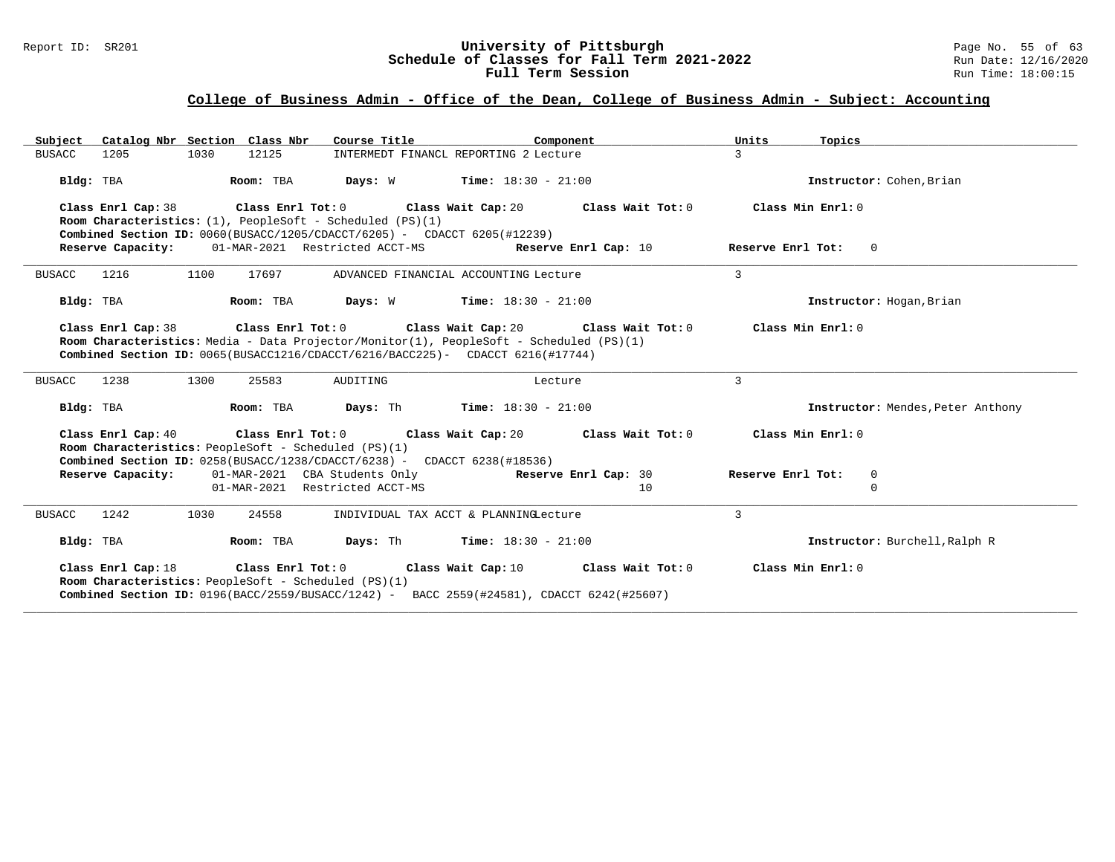#### Report ID: SR201 **1988 Constrained Supervisity of Pittsburgh** Page No. 55 of 63<br>**Schedule of Classes for Fall Term 2021-2022** 2011 Page No. 55 of 63 **Schedule of Classes for Fall Term 2021-2022** Run Date: 12/16/2020 **Full Term Session Rundall Term Session Rundall Term Session**

| Subject Catalog Nbr Section Class Nbr                                                       | Course Title                                                                                                                                                                                                                                                                      | Component            | Units<br>Topics                   |
|---------------------------------------------------------------------------------------------|-----------------------------------------------------------------------------------------------------------------------------------------------------------------------------------------------------------------------------------------------------------------------------------|----------------------|-----------------------------------|
| <b>BUSACC</b><br>1205<br>1030                                                               | INTERMEDT FINANCL REPORTING 2 Lecture<br>12125                                                                                                                                                                                                                                    |                      | $\mathcal{L}$                     |
| Bldg: TBA                                                                                   | Room: TBA<br><b>Days:</b> W <b>Time:</b> $18:30 - 21:00$                                                                                                                                                                                                                          |                      | Instructor: Cohen, Brian          |
| Class Enrl Cap: 38<br><b>Room Characteristics:</b> $(1)$ , PeopleSoft - Scheduled $(PS)(1)$ | Class Enrl Tot: $0$ Class Wait Cap: $20$ Class Wait Tot: $0$ Class Min Enrl: $0$                                                                                                                                                                                                  |                      |                                   |
|                                                                                             | <b>Combined Section ID:</b> $0060(BUSACC/1205/CDACCT/6205)$ - CDACCT 6205(#12239)<br>Reserve Capacity: 01-MAR-2021 Restricted ACCT-MS Reserve Enrl Cap: 10                                                                                                                        |                      | Reserve Enrl Tot: 0               |
| <b>BUSACC</b><br>1216<br>1100                                                               | 17697<br>ADVANCED FINANCIAL ACCOUNTING Lecture                                                                                                                                                                                                                                    |                      | $\mathcal{E}$                     |
| Bldg: TBA                                                                                   | Room: TBA $Days: W$ Time: $18:30 - 21:00$                                                                                                                                                                                                                                         |                      | Instructor: Hogan, Brian          |
|                                                                                             | Class Enrl Cap: 38 $\qquad$ Class Enrl Tot: 0 $\qquad$ Class Wait Cap: 20 $\qquad$ Class Wait Tot: 0<br>Room Characteristics: Media - Data Projector/Monitor(1), PeopleSoft - Scheduled (PS)(1)<br>Combined Section ID: 0065(BUSACC1216/CDACCT/6216/BACC225)- CDACCT 6216(#17744) |                      | Class Min Enrl: 0                 |
| 1300<br><b>BUSACC</b><br>1238                                                               | AUDITING<br>25583                                                                                                                                                                                                                                                                 | Lecture              | 3                                 |
| Bldg: TBA                                                                                   | <b>Room:</b> TBA <b>Days:</b> Th <b>Time:</b> $18:30 - 21:00$                                                                                                                                                                                                                     |                      | Instructor: Mendes, Peter Anthony |
| Class Enrl Cap: 40<br>Room Characteristics: PeopleSoft - Scheduled (PS)(1)                  | Class Enrl Tot: $0$ Class Wait Cap: $20$ Class Wait Tot: $0$<br><b>Combined Section ID:</b> $0258(BUSACC/1238/CDACC/6238) - CDACCT 6238(#18536)$                                                                                                                                  |                      | Class Min Enrl: 0                 |
| Reserve Capacity:                                                                           | 01-MAR-2021 CBA Students Only                                                                                                                                                                                                                                                     | Reserve Enrl Cap: 30 | Reserve Enrl Tot:<br>$\mathbf 0$  |
|                                                                                             | 01-MAR-2021 Restricted ACCT-MS                                                                                                                                                                                                                                                    | 10                   | $\Omega$                          |
| <b>BUSACC</b><br>1242<br>1030                                                               | 24558<br>INDIVIDUAL TAX ACCT & PLANNINGLecture                                                                                                                                                                                                                                    |                      | $\mathcal{E}$                     |
| Bldg: TBA                                                                                   | <b>Room:</b> TBA <b>Days:</b> Th <b>Time:</b> $18:30 - 21:00$                                                                                                                                                                                                                     |                      | Instructor: Burchell, Ralph R     |
| Class Enrl Cap: 18<br>Room Characteristics: PeopleSoft - Scheduled (PS)(1)                  | Class Enrl Tot: 0<br>Class Wait Cap: 10<br>Combined Section ID: 0196(BACC/2559/BUSACC/1242) - BACC 2559(#24581), CDACCT 6242(#25607)                                                                                                                                              | Class Wait Tot: 0    | Class Min Enrl: 0                 |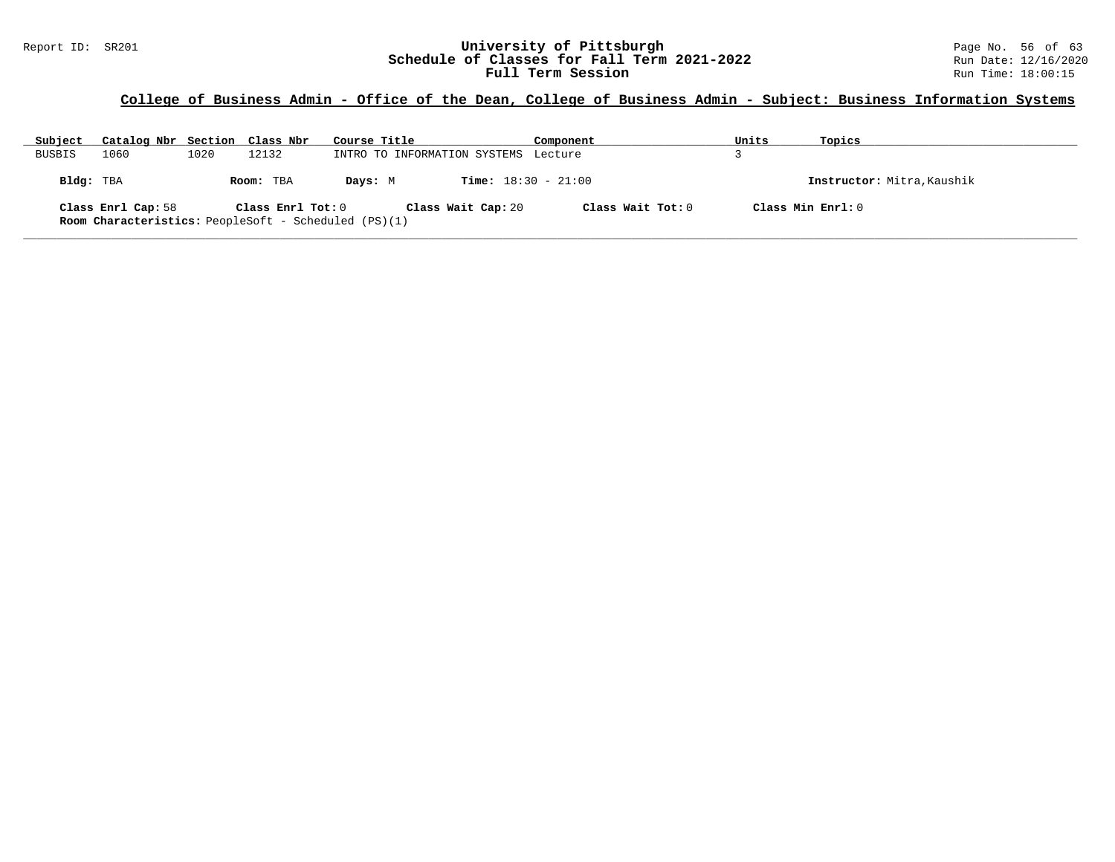#### Report ID: SR201 **1988 Mage 10: SR201 University of Pittsburgh** Page No. 56 of 63<br>**Schedule of Classes for Fall Term 2021-2022** 2011 Page No. 56 of 63 **Schedule of Classes for Fall Term 2021-2022** Run Date: 12/16/2021<br>**Full Term Session** Run Time: 18:00:15 Full Term Session

### **College of Business Admin - Office of the Dean, College of Business Admin - Subject: Business Information Systems**

| Subject       | Catalog Nbr Section Class Nbr                                                     |      |                   | Course Title |                                      | Component         | Units | Topics                     |
|---------------|-----------------------------------------------------------------------------------|------|-------------------|--------------|--------------------------------------|-------------------|-------|----------------------------|
| <b>BUSBIS</b> | 1060                                                                              | 1020 | 12132             |              | INTRO TO INFORMATION SYSTEMS Lecture |                   |       |                            |
| Bldg: TBA     |                                                                                   |      | Room: TBA         | Days: M      | <b>Time:</b> $18:30 - 21:00$         |                   |       | Instructor: Mitra, Kaushik |
|               | Class Enrl Cap: 58<br><b>Room Characteristics:</b> PeopleSoft - Scheduled (PS)(1) |      | Class Enrl Tot: 0 |              | Class Wait Cap: 20                   | Class Wait Tot: 0 |       | Class Min Enrl: 0          |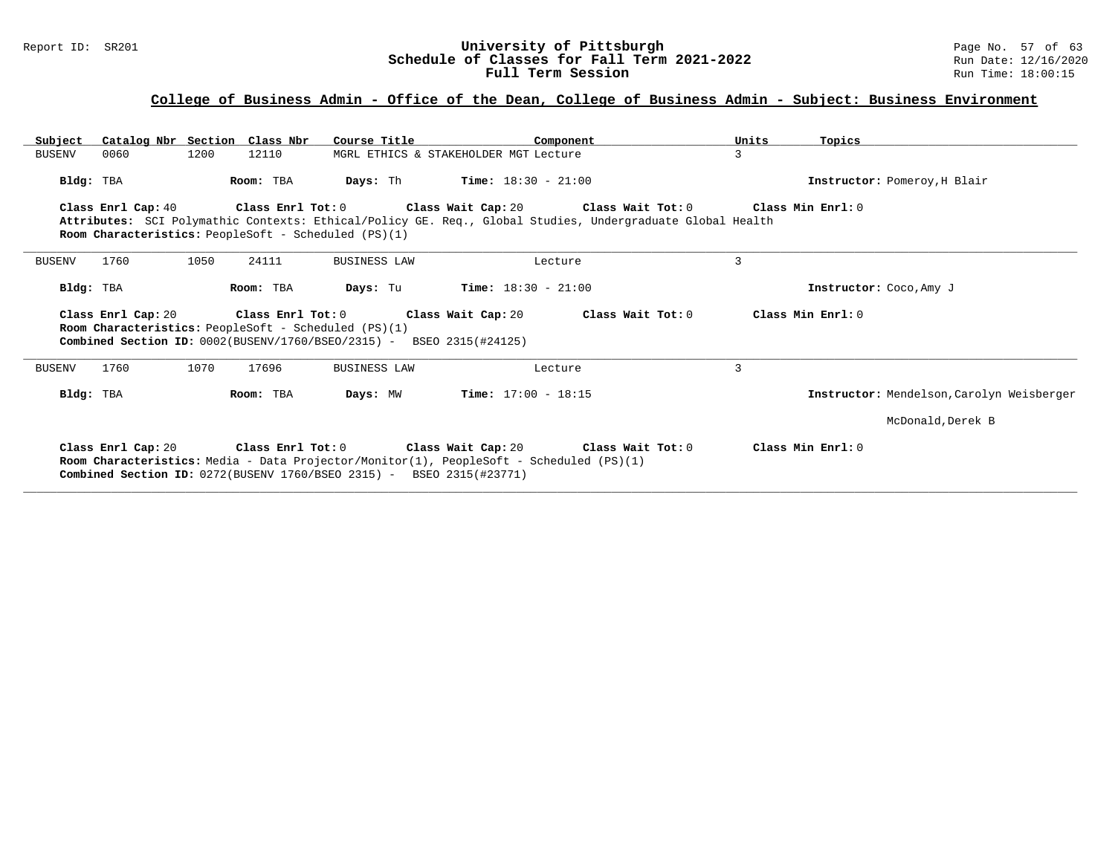#### Report ID: SR201 **1988 Mage 10: SR201 University of Pittsburgh** Page No. 57 of 63<br>**Schedule of Classes for Fall Term 2021-2022** 2011 Page No. 57 of 63 **Schedule of Classes for Fall Term 2021-2022** Run Date: 12/16/2020 **Full Term Session Rundall Term Session Rundall Term Session**

# **College of Business Admin - Office of the Dean, College of Business Admin - Subject: Business Environment**

| Subject               | Catalog Nbr Section Class Nbr                                                                                                                              | Course Title        | Component                                                                                                                                                                                                  | Units | Topics                                    |
|-----------------------|------------------------------------------------------------------------------------------------------------------------------------------------------------|---------------------|------------------------------------------------------------------------------------------------------------------------------------------------------------------------------------------------------------|-------|-------------------------------------------|
| BUSENV<br>0060        | 1200<br>12110                                                                                                                                              |                     | MGRL ETHICS & STAKEHOLDER MGT Lecture                                                                                                                                                                      | 3     |                                           |
| Bldg: TBA             | Room: TBA                                                                                                                                                  |                     | <b>Days:</b> Th <b>Time:</b> $18:30 - 21:00$                                                                                                                                                               |       | Instructor: Pomeroy, H Blair              |
|                       | <b>Room Characteristics:</b> PeopleSoft - Scheduled (PS)(1)                                                                                                |                     | Class Enrl Cap: 40 $\,$ Class Enrl Tot: 0 $\,$ Class Wait Cap: 20 $\,$ Class Wait Tot: 0 $\,$<br>Attributes: SCI Polymathic Contexts: Ethical/Policy GE. Req., Global Studies, Undergraduate Global Health |       | Class Min Enrl: 0                         |
| 1760<br><b>BUSENV</b> | 1050<br>24111                                                                                                                                              | <b>BUSINESS LAW</b> | Lecture                                                                                                                                                                                                    | 3     |                                           |
| Bldg: TBA             | Room: TBA                                                                                                                                                  | Days: Tu            | <b>Time:</b> $18:30 - 21:00$                                                                                                                                                                               |       | Instructor: Coco, Amy J                   |
| Class Enrl Cap: 20    | Class Enrl Tot: 0<br>Room Characteristics: PeopleSoft - Scheduled (PS)(1)<br><b>Combined Section ID:</b> $0002(BUSENV/1760/BSEO/2315)$ - BSEO 2315(#24125) |                     | Class Wait Cap: 20<br>Class Wait Tot: 0                                                                                                                                                                    |       | Class Min Enrl: 0                         |
| 1760<br><b>BUSENV</b> | 1070<br>17696                                                                                                                                              | <b>BUSINESS LAW</b> | Lecture                                                                                                                                                                                                    | 3     |                                           |
| Bldg: TBA             | Room: TBA                                                                                                                                                  | Days: MW            | <b>Time:</b> $17:00 - 18:15$                                                                                                                                                                               |       | Instructor: Mendelson, Carolyn Weisberger |
|                       |                                                                                                                                                            |                     |                                                                                                                                                                                                            |       | McDonald, Derek B                         |
| Class Enrl Cap: 20    | <b>Combined Section ID:</b> $0272(BUSENV 1760/BSEC 2315) - BSEC 2315(#23771)$                                                                              |                     | Class Enrl Tot: $0$ Class Wait Cap: $20$ Class Wait Tot: $0$<br><b>Room Characteristics:</b> Media - Data Projector/Monitor(1), PeopleSoft - Scheduled (PS)(1)                                             |       | Class Min Enrl: 0                         |

**\_\_\_\_\_\_\_\_\_\_\_\_\_\_\_\_\_\_\_\_\_\_\_\_\_\_\_\_\_\_\_\_\_\_\_\_\_\_\_\_\_\_\_\_\_\_\_\_\_\_\_\_\_\_\_\_\_\_\_\_\_\_\_\_\_\_\_\_\_\_\_\_\_\_\_\_\_\_\_\_\_\_\_\_\_\_\_\_\_\_\_\_\_\_\_\_\_\_\_\_\_\_\_\_\_\_\_\_\_\_\_\_\_\_\_\_\_\_\_\_\_\_\_\_\_\_\_\_\_\_\_\_\_\_\_\_\_\_\_\_\_\_\_\_\_\_\_\_\_\_\_\_\_\_\_\_**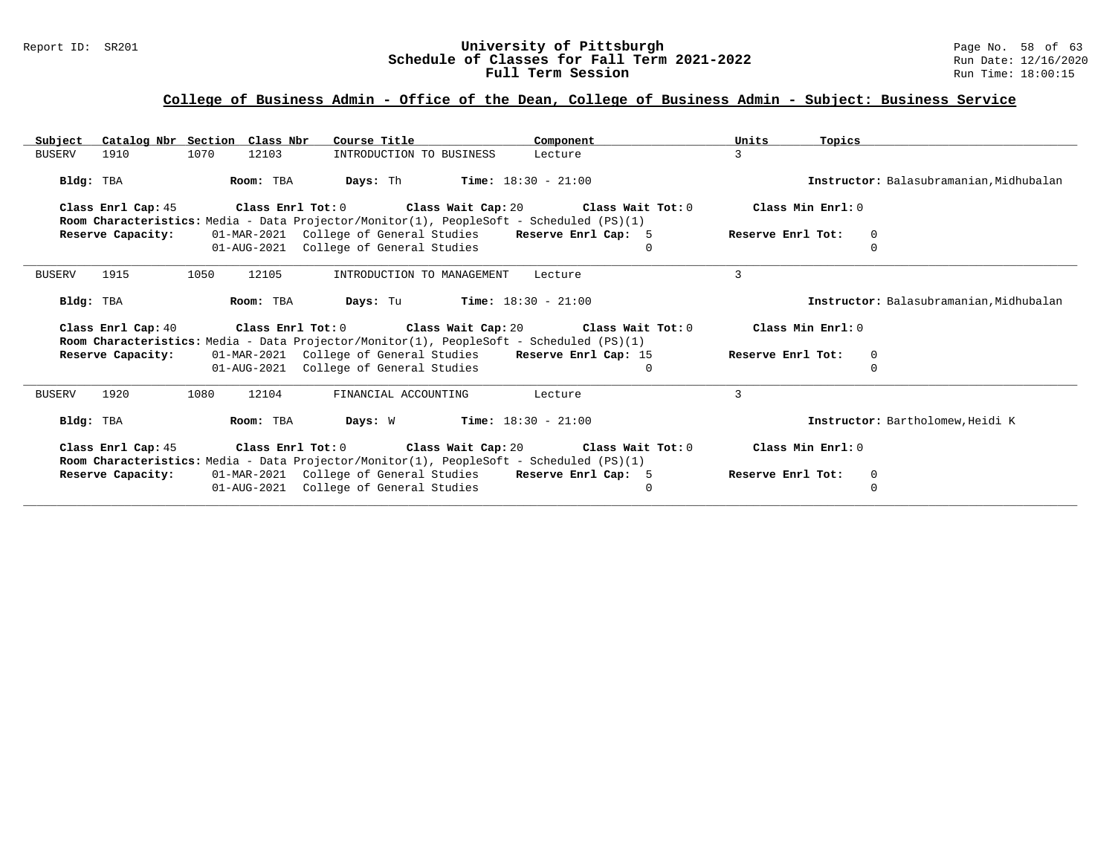#### Report ID: SR201 **University of Pittsburgh** Page No. 58 of 63 **Schedule of Classes for Fall Term 2021-2022** Run Date: 12/16/2020 **Full Term Session Rundall Term Session Rundall Term Session**

| Catalog Nbr Section Class Nbr<br>Subject                                                                                                                                      | Course Title                                                                                         | Component            | Units<br>Topics   |                                         |
|-------------------------------------------------------------------------------------------------------------------------------------------------------------------------------|------------------------------------------------------------------------------------------------------|----------------------|-------------------|-----------------------------------------|
| 1070<br><b>BUSERV</b><br>1910<br>12103                                                                                                                                        | INTRODUCTION TO BUSINESS                                                                             | Lecture              | 3                 |                                         |
| Room: TBA<br>Bldg: TBA                                                                                                                                                        | <b>Time:</b> $18:30 - 21:00$<br>Days: Th                                                             |                      |                   | Instructor: Balasubramanian, Midhubalan |
| Class Enrl Tot: $0$ Class Wait Cap: $20$ Class Wait Tot: $0$<br>Class Enrl Cap: 45<br>Room Characteristics: Media - Data Projector/Monitor(1), PeopleSoft - Scheduled (PS)(1) | Class Min Enrl: 0                                                                                    |                      |                   |                                         |
| Reserve Capacity:                                                                                                                                                             | 01-MAR-2021 College of General Studies                                                               | Reserve Enrl Cap: 5  | Reserve Enrl Tot: | 0                                       |
|                                                                                                                                                                               | 01-AUG-2021 College of General Studies                                                               | $\Omega$             |                   | $\Omega$                                |
| 1915<br>1050<br>12105<br><b>BUSERV</b>                                                                                                                                        | INTRODUCTION TO MANAGEMENT                                                                           | Lecture              | $\mathcal{L}$     |                                         |
| Bldg: TBA<br>Room: TBA                                                                                                                                                        | <b>Days:</b> Tu <b>Time:</b> $18:30 - 21:00$                                                         |                      |                   | Instructor: Balasubramanian. Midhubalan |
| Class Enrl Cap: 40<br>Room Characteristics: Media - Data Projector/Monitor(1), PeopleSoft - Scheduled (PS)(1)                                                                 | Class Enrl Tot: $0$ Class Wait Cap: $20$ Class Wait Tot: $0$                                         |                      | Class Min Enrl: 0 |                                         |
| Reserve Capacity:                                                                                                                                                             | 01-MAR-2021 College of General Studies                                                               | Reserve Enrl Cap: 15 | Reserve Enrl Tot: | 0                                       |
|                                                                                                                                                                               | 01-AUG-2021 College of General Studies                                                               | $\Omega$             |                   |                                         |
| 1920<br>1080<br>12104<br><b>BUSERV</b>                                                                                                                                        | FINANCIAL ACCOUNTING                                                                                 | Lecture              | 3                 |                                         |
| Bldg: TBA<br>Room: TBA                                                                                                                                                        | <b>Days:</b> W <b>Time:</b> $18:30 - 21:00$                                                          |                      |                   | Instructor: Bartholomew, Heidi K        |
| Class Enrl Tot: 0<br>Class Enrl Cap: 45                                                                                                                                       | Class Wait Cap: 20 $\,$ Class Wait Tot: 0                                                            |                      | Class Min Enrl: 0 |                                         |
| Room Characteristics: Media - Data Projector/Monitor(1), PeopleSoft - Scheduled (PS)(1)                                                                                       |                                                                                                      |                      |                   |                                         |
| Reserve Capacity:                                                                                                                                                             | 01-MAR-2021 College of General Studies Reserve Enrl Cap: 5<br>01-AUG-2021 College of General Studies | $\mathbf{0}$         | Reserve Enrl Tot: | 0<br>$\Omega$                           |
|                                                                                                                                                                               |                                                                                                      |                      |                   |                                         |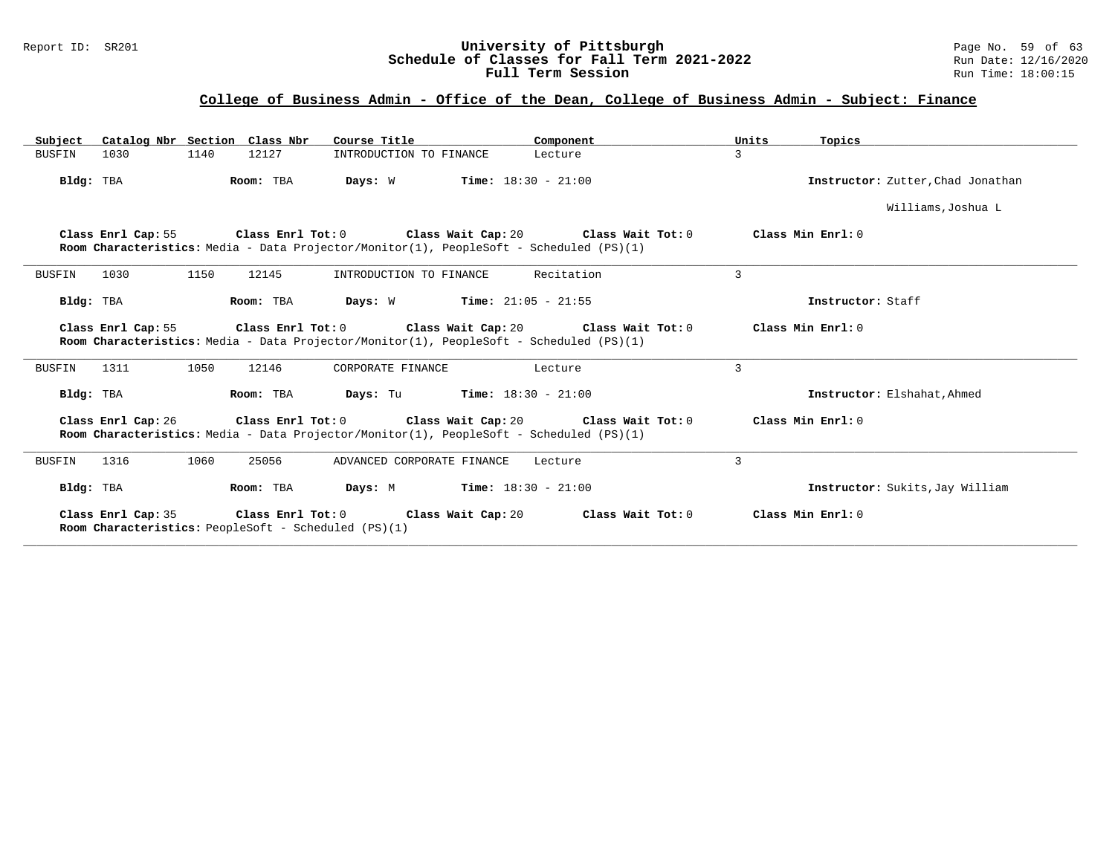#### Report ID: SR201 **1998 Mage 10: SR201 University of Pittsburgh** Page No. 59 of 63<br>**Schedule of Classes for Fall Term 2021-2022** 2011 Page 12/16/2020 **Schedule of Classes for Fall Term 2021-2022** Run Date: 12/16/2020 **Full Term Session Rundall Term Session Rundall Term Session**

| Subject Catalog Nbr Section Class Nbr                                                                                                                                                     | Course Title<br>Component                                                                                                                               | Units<br>Topics                   |  |  |  |  |  |  |  |
|-------------------------------------------------------------------------------------------------------------------------------------------------------------------------------------------|---------------------------------------------------------------------------------------------------------------------------------------------------------|-----------------------------------|--|--|--|--|--|--|--|
| 1140<br>12127<br><b>BUSFIN</b><br>1030                                                                                                                                                    | INTRODUCTION TO FINANCE<br>Lecture                                                                                                                      | 3                                 |  |  |  |  |  |  |  |
| Bldg: TBA<br>Room: TBA                                                                                                                                                                    | Days: W<br><b>Time:</b> $18:30 - 21:00$                                                                                                                 | Instructor: Zutter, Chad Jonathan |  |  |  |  |  |  |  |
|                                                                                                                                                                                           |                                                                                                                                                         | Williams, Joshua L                |  |  |  |  |  |  |  |
| Class Enrl Cap: 55 Class Enrl Tot: 0 Class Wait Cap: 20 Class Wait Tot: 0<br>Class Min Enrl: 0<br>Room Characteristics: Media - Data Projector/Monitor(1), PeopleSoft - Scheduled (PS)(1) |                                                                                                                                                         |                                   |  |  |  |  |  |  |  |
| 1150<br><b>BUSFIN</b><br>1030<br>12145                                                                                                                                                    | Recitation<br>INTRODUCTION TO FINANCE                                                                                                                   | 3                                 |  |  |  |  |  |  |  |
| Room: TBA<br>Bldg: TBA                                                                                                                                                                    | <b>Days:</b> W <b>Time:</b> $21:05 - 21:55$                                                                                                             | Instructor: Staff                 |  |  |  |  |  |  |  |
| Class Enrl Cap: 55                                                                                                                                                                        | Class Enrl Tot: $0$ Class Wait Cap: $20$ Class Wait Tot: $0$<br>Room Characteristics: Media - Data Projector/Monitor(1), PeopleSoft - Scheduled (PS)(1) | Class Min Enrl: 0                 |  |  |  |  |  |  |  |
| 1050<br>12146<br>BUSFIN<br>1311                                                                                                                                                           | CORPORATE FINANCE<br>Lecture                                                                                                                            | $\mathcal{L}$                     |  |  |  |  |  |  |  |
| Bldg: TBA<br>Room: TBA                                                                                                                                                                    | <b>Days:</b> Tu <b>Time:</b> $18:30 - 21:00$                                                                                                            | Instructor: Elshahat, Ahmed       |  |  |  |  |  |  |  |
|                                                                                                                                                                                           | Class Enrl Cap: 26 Class Enrl Tot: 0 Class Wait Cap: 20 Class Wait Tot: 0                                                                               | Class Min Enrl: 0                 |  |  |  |  |  |  |  |
|                                                                                                                                                                                           | Room Characteristics: Media - Data Projector/Monitor(1), PeopleSoft - Scheduled (PS)(1)                                                                 |                                   |  |  |  |  |  |  |  |
| 1060<br>25056<br>1316<br>BUSFIN                                                                                                                                                           | ADVANCED CORPORATE FINANCE<br>Lecture                                                                                                                   | 3                                 |  |  |  |  |  |  |  |
| Room: TBA<br>Bldg: TBA                                                                                                                                                                    | <b>Days:</b> M <b>Time:</b> $18:30 - 21:00$                                                                                                             | Instructor: Sukits, Jay William   |  |  |  |  |  |  |  |
| Class Enrl Cap: 35<br>Room Characteristics: PeopleSoft - Scheduled (PS)(1)                                                                                                                | Class Enrl Tot: 0 Class Wait Cap: 20<br>Class Wait Tot: 0                                                                                               | Class Min Enrl: 0                 |  |  |  |  |  |  |  |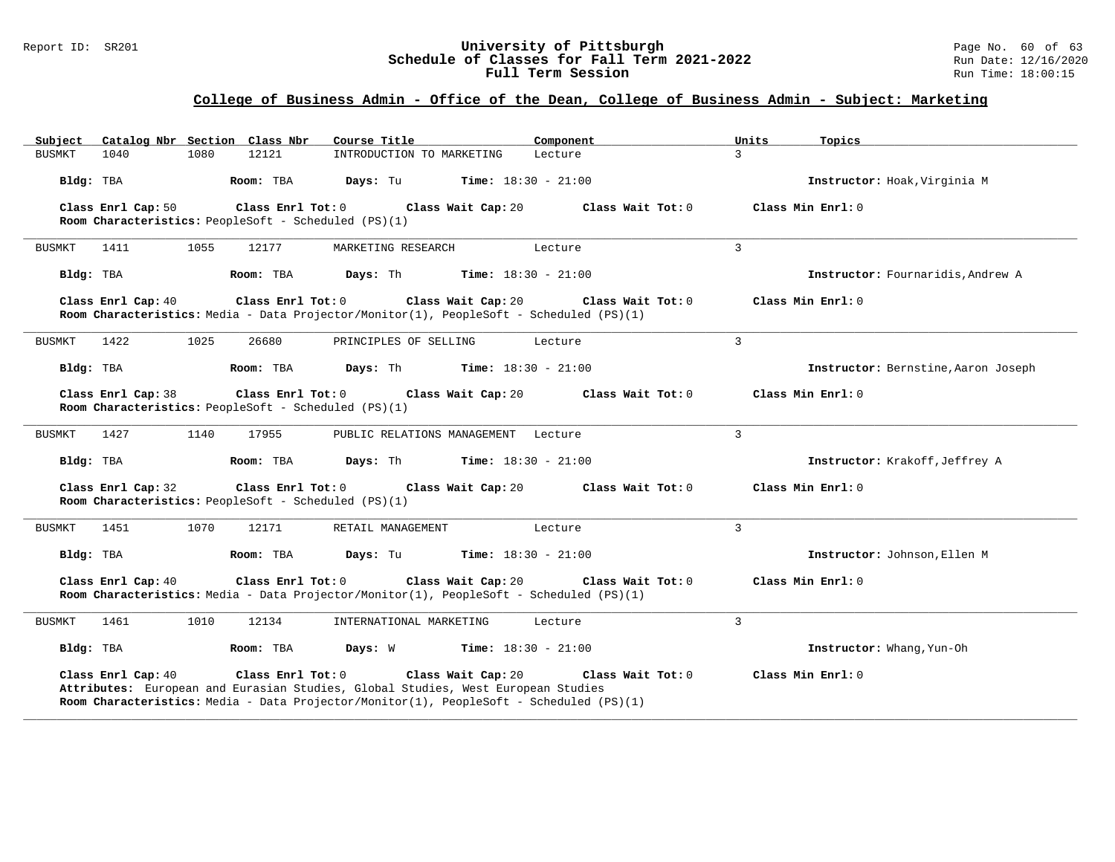#### Report ID: SR201 **1988 Construment Superversity of Pittsburgh** Page No. 60 of 63<br>**Schedule of Classes for Fall Term 2021-2022** 2011 Page No. 60 of 63 **Schedule of Classes for Fall Term 2021-2022** Run Date: 12/16/2020 **Full Term Session Rundall Term Session Rundall Term Session**

| Catalog Nbr Section Class Nbr<br>Subject                                   | Course Title                                                                                                                                                                                                           | Component                | Units<br>Topics                     |
|----------------------------------------------------------------------------|------------------------------------------------------------------------------------------------------------------------------------------------------------------------------------------------------------------------|--------------------------|-------------------------------------|
| <b>BUSMKT</b><br>1040<br>1080                                              | 12121<br>INTRODUCTION TO MARKETING                                                                                                                                                                                     | $\mathcal{L}$<br>Lecture |                                     |
| Bldg: TBA                                                                  | Room: TBA<br>Days: Tu<br><b>Time:</b> $18:30 - 21:00$                                                                                                                                                                  |                          | Instructor: Hoak, Virginia M        |
| Class Enrl Cap: 50                                                         | Class Enrl Tot: 0<br>Class Wait Cap: 20                                                                                                                                                                                | Class Wait Tot: 0        | Class Min Enrl: 0                   |
| Room Characteristics: PeopleSoft - Scheduled (PS)(1)                       |                                                                                                                                                                                                                        |                          |                                     |
| 1055<br>1411<br>BUSMKT                                                     | 12177<br>MARKETING RESEARCH                                                                                                                                                                                            | 3<br>Lecture             |                                     |
| Bldg: TBA                                                                  | Room: TBA<br>Days: Th<br><b>Time:</b> $18:30 - 21:00$                                                                                                                                                                  |                          | Instructor: Fournaridis, Andrew A   |
| Class Enrl Cap: 40                                                         | Class Enrl Tot: 0<br>Class Wait Cap: 20                                                                                                                                                                                | Class Wait Tot: 0        | Class Min Enrl: 0                   |
|                                                                            | Room Characteristics: Media - Data Projector/Monitor(1), PeopleSoft - Scheduled (PS)(1)                                                                                                                                |                          |                                     |
| 1025<br>1422<br>BUSMKT                                                     | 26680<br>PRINCIPLES OF SELLING                                                                                                                                                                                         | 3<br>Lecture             |                                     |
| Bldg: TBA                                                                  | Room: TBA<br>Days: Th<br><b>Time:</b> $18:30 - 21:00$                                                                                                                                                                  |                          | Instructor: Bernstine, Aaron Joseph |
| Class Enrl Cap: 38                                                         | Class Enrl Tot: 0<br>Class Wait Cap: 20                                                                                                                                                                                | Class Wait $Tot: 0$      | Class Min Enrl: 0                   |
| Room Characteristics: PeopleSoft - Scheduled (PS)(1)                       |                                                                                                                                                                                                                        |                          |                                     |
| 1140<br><b>BUSMKT</b><br>1427                                              | 17955<br>PUBLIC RELATIONS MANAGEMENT Lecture                                                                                                                                                                           | 3                        |                                     |
| Bldg: TBA                                                                  | Room: TBA<br>Days: Th<br><b>Time:</b> $18:30 - 21:00$                                                                                                                                                                  |                          | Instructor: Krakoff, Jeffrey A      |
| Class Enrl Cap: 32<br>Room Characteristics: PeopleSoft - Scheduled (PS)(1) | Class Enrl Tot: 0<br>Class Wait Cap: 20                                                                                                                                                                                | Class Wait Tot: 0        | Class Min Enrl: 0                   |
| 1451<br>1070<br>BUSMKT                                                     | 12171<br>RETAIL MANAGEMENT                                                                                                                                                                                             | 3<br>Lecture             |                                     |
| Bldg: TBA                                                                  | Room: TBA<br>Days: Tu<br><b>Time:</b> $18:30 - 21:00$                                                                                                                                                                  |                          | Instructor: Johnson, Ellen M        |
| Class Enrl Cap: 40                                                         | Class Enrl Tot: 0<br>Class Wait Cap: 20<br>Room Characteristics: Media - Data Projector/Monitor(1), PeopleSoft - Scheduled (PS)(1)                                                                                     | Class Wait Tot: 0        | Class Min Enrl: 0                   |
| 1010<br><b>BUSMKT</b><br>1461                                              | 12134<br>INTERNATIONAL MARKETING                                                                                                                                                                                       | 3<br>Lecture             |                                     |
| Bldg: TBA                                                                  | <b>Time:</b> $18:30 - 21:00$<br>Room: TBA<br>Days: W                                                                                                                                                                   |                          | Instructor: Whang, Yun-Oh           |
| Class Enrl Cap: 40                                                         | Class Enrl Tot: 0<br>Class Wait Cap: 20<br>Attributes: European and Eurasian Studies, Global Studies, West European Studies<br>Room Characteristics: Media - Data Projector/Monitor(1), PeopleSoft - Scheduled (PS)(1) | Class Wait Tot: 0        | Class Min Enrl: 0                   |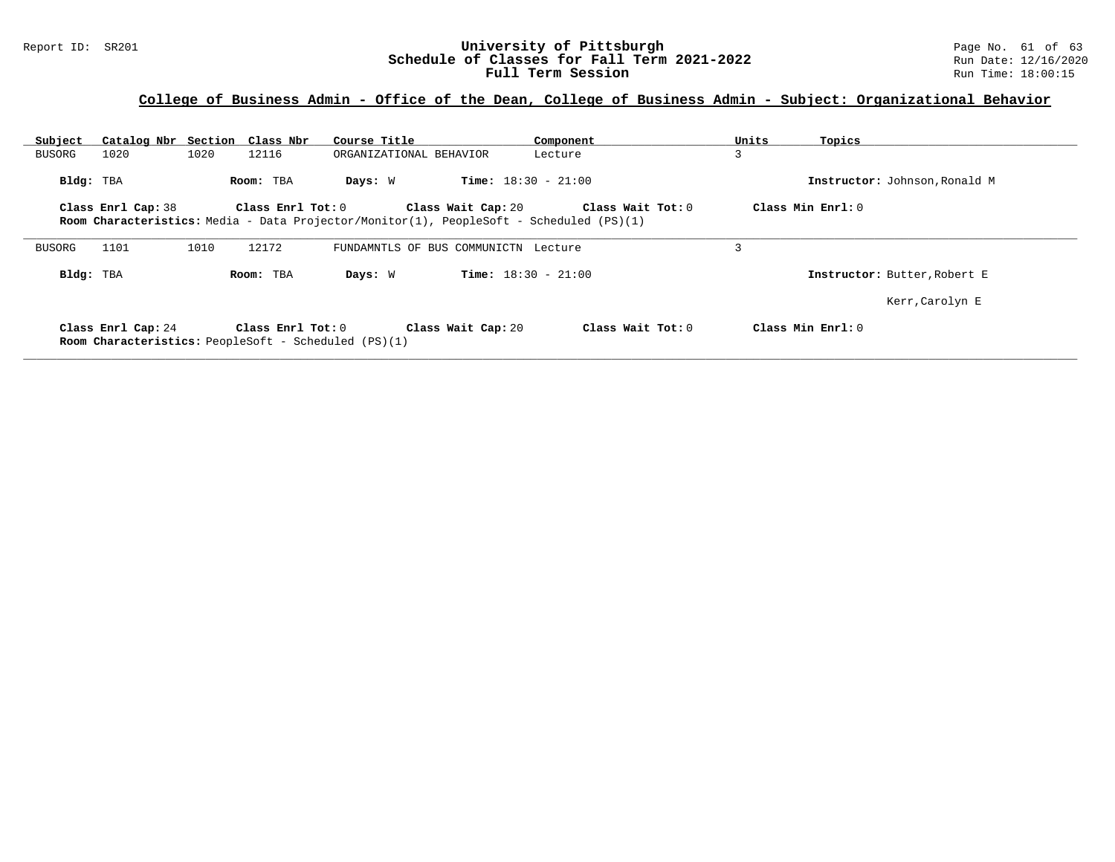#### Report ID: SR201 **1988 Mage 10: SR201 University of Pittsburgh** Page No. 61 of 63<br>**Schedule of Classes for Fall Term 2021-2022** 2011 Page No. 61 of 63<br>Run Date: 12/16/2020 **Schedule of Classes for Fall Term 2021-2022** Run Date: 12/16/2020 **Full Term Session Rundall Term Session Rundall Term Session**

# **College of Business Admin - Office of the Dean, College of Business Admin - Subject: Organizational Behavior**

| Subject   | Catalog Nbr Section Class Nbr |      |                                                                                      | Course Title |                                      | Component                                                                               |                   | Units          | Topics                        |
|-----------|-------------------------------|------|--------------------------------------------------------------------------------------|--------------|--------------------------------------|-----------------------------------------------------------------------------------------|-------------------|----------------|-------------------------------|
| BUSORG    | 1020                          | 1020 | 12116                                                                                |              | ORGANIZATIONAL BEHAVIOR              | Lecture                                                                                 |                   | 3              |                               |
| Bldg: TBA |                               |      | Room: TBA                                                                            | Days: W      |                                      | <b>Time:</b> $18:30 - 21:00$                                                            |                   |                | Instructor: Johnson, Ronald M |
|           | Class Enrl Cap: 38            |      | Class Enrl Tot: 0                                                                    |              | Class Wait Cap: 20                   |                                                                                         | Class Wait Tot: 0 |                | Class Min $Enr1: 0$           |
|           |                               |      |                                                                                      |              |                                      | Room Characteristics: Media - Data Projector/Monitor(1), PeopleSoft - Scheduled (PS)(1) |                   |                |                               |
| BUSORG    | 1101                          | 1010 | 12172                                                                                |              | FUNDAMNTLS OF BUS COMMUNICTN Lecture |                                                                                         |                   | $\overline{ }$ |                               |
| Bldg: TBA |                               |      | Room: TBA                                                                            | Days: W      |                                      | <b>Time:</b> $18:30 - 21:00$                                                            |                   |                | Instructor: Butter, Robert E  |
|           |                               |      |                                                                                      |              |                                      |                                                                                         |                   |                | Kerr, Carolyn E               |
|           | Class Enrl Cap: 24            |      | Class $Enr1$ Tot: $0$<br><b>Room Characteristics:</b> PeopleSoft - Scheduled (PS)(1) |              | Class Wait Cap: 20                   |                                                                                         | Class Wait Tot: 0 |                | Class Min Enrl: 0             |

**\_\_\_\_\_\_\_\_\_\_\_\_\_\_\_\_\_\_\_\_\_\_\_\_\_\_\_\_\_\_\_\_\_\_\_\_\_\_\_\_\_\_\_\_\_\_\_\_\_\_\_\_\_\_\_\_\_\_\_\_\_\_\_\_\_\_\_\_\_\_\_\_\_\_\_\_\_\_\_\_\_\_\_\_\_\_\_\_\_\_\_\_\_\_\_\_\_\_\_\_\_\_\_\_\_\_\_\_\_\_\_\_\_\_\_\_\_\_\_\_\_\_\_\_\_\_\_\_\_\_\_\_\_\_\_\_\_\_\_\_\_\_\_\_\_\_\_\_\_\_\_\_\_\_\_\_**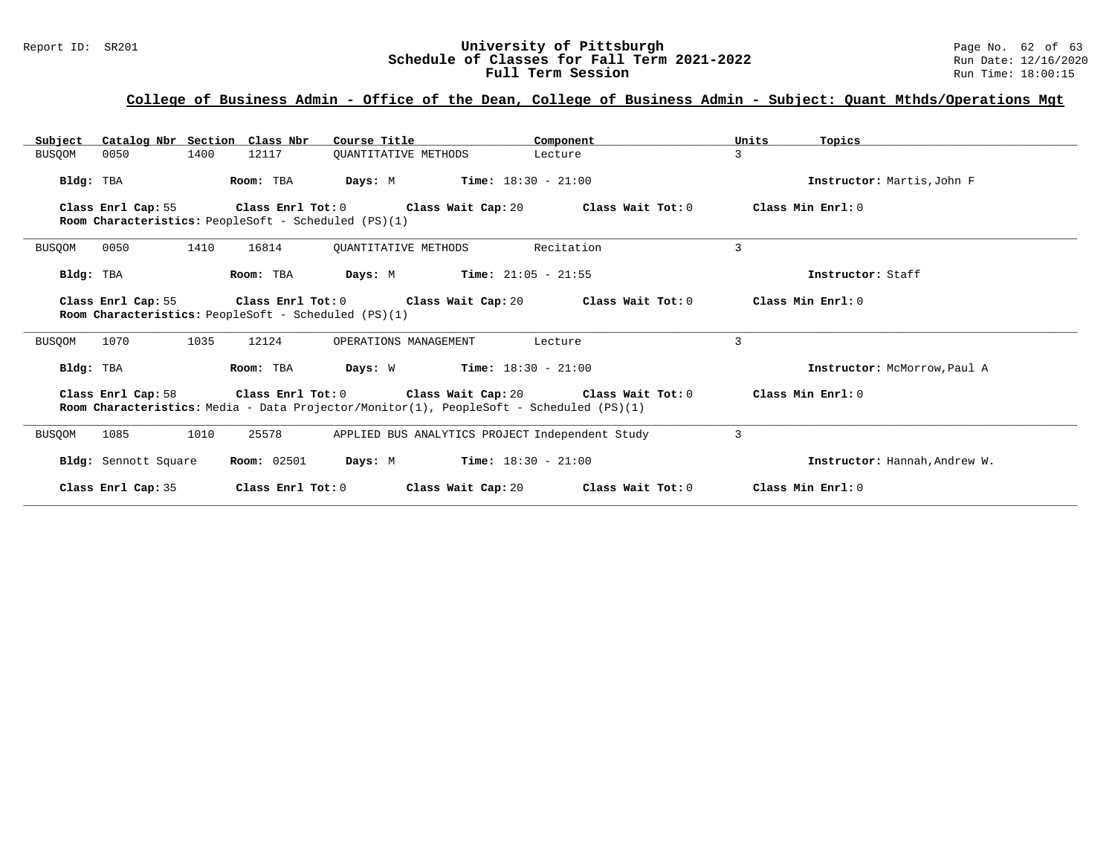#### Report ID: SR201 **University of Pittsburgh** Page No. 62 of 63 **Schedule of Classes for Fall Term 2021-2022** Run Date: 12/16/2020 **Full Term Session Rundall Term Session Rundall Term Session**

| Catalog Nbr Section Class Nbr<br>Subject                                                                                                                                                                                    | Course Title                                                                                                                | Component                                       | Units<br>Topics               |  |  |  |  |  |
|-----------------------------------------------------------------------------------------------------------------------------------------------------------------------------------------------------------------------------|-----------------------------------------------------------------------------------------------------------------------------|-------------------------------------------------|-------------------------------|--|--|--|--|--|
| <b>BUSQOM</b><br>1400<br>0050                                                                                                                                                                                               | 12117<br><b>OUANTITATIVE METHODS</b>                                                                                        | Lecture                                         | 3                             |  |  |  |  |  |
| Bldg: TBA                                                                                                                                                                                                                   | Room: TBA                                                                                                                   | <b>Days:</b> M <b>Time:</b> $18:30 - 21:00$     | Instructor: Martis, John F    |  |  |  |  |  |
| Class Enrl Cap: 55                                                                                                                                                                                                          | Class Enrl Tot: $0$ Class Wait Cap: $20$ Class Wait Tot: $0$<br><b>Room Characteristics:</b> PeopleSoft - Scheduled (PS)(1) | Class Min Enrl: 0                               |                               |  |  |  |  |  |
| 0050<br>1410<br><b>BUSQOM</b>                                                                                                                                                                                               | 16814<br>OUANTITATIVE METHODS                                                                                               | Recitation                                      | 3                             |  |  |  |  |  |
| Bldg: TBA                                                                                                                                                                                                                   | <b>Days:</b> M <b>Time:</b> $21:05 - 21:55$<br>Room: TBA                                                                    |                                                 | Instructor: Staff             |  |  |  |  |  |
| Class Enrl Tot: $0$ Class Wait Cap: $20$ Class Wait Tot: $0$<br>Class Enrl Cap: 55<br>Room Characteristics: PeopleSoft - Scheduled (PS)(1)                                                                                  | Class Min Enrl: 0                                                                                                           |                                                 |                               |  |  |  |  |  |
| 1070<br>1035<br><b>BUSOOM</b>                                                                                                                                                                                               | 12124<br>OPERATIONS MANAGEMENT                                                                                              | Lecture                                         | 3                             |  |  |  |  |  |
| Bldg: TBA                                                                                                                                                                                                                   | Room: TBA<br><b>Days:</b> W <b>Time:</b> $18:30 - 21:00$                                                                    |                                                 | Instructor: McMorrow, Paul A  |  |  |  |  |  |
| Class Enrl Cap: 58 $\qquad$ Class Enrl Tot: 0 $\qquad$ Class Wait Cap: 20 $\qquad$ Class Wait Tot: 0<br>Class Min Enrl: 0<br><b>Room Characteristics:</b> Media - Data Projector/Monitor(1), PeopleSoft - Scheduled (PS)(1) |                                                                                                                             |                                                 |                               |  |  |  |  |  |
| <b>BUSOOM</b><br>1085<br>1010                                                                                                                                                                                               | 25578                                                                                                                       | APPLIED BUS ANALYTICS PROJECT Independent Study | 3                             |  |  |  |  |  |
| Bldg: Sennott Square                                                                                                                                                                                                        | <b>Room:</b> 02501                                                                                                          | <b>Days:</b> M <b>Time:</b> $18:30 - 21:00$     | Instructor: Hannah, Andrew W. |  |  |  |  |  |
| Class Enrl Cap: 35                                                                                                                                                                                                          | Class Enrl Tot: 0                                                                                                           | Class Wait Cap: 20 $\,$ Class Wait Tot: 0 $\,$  | Class Min Enrl: 0             |  |  |  |  |  |